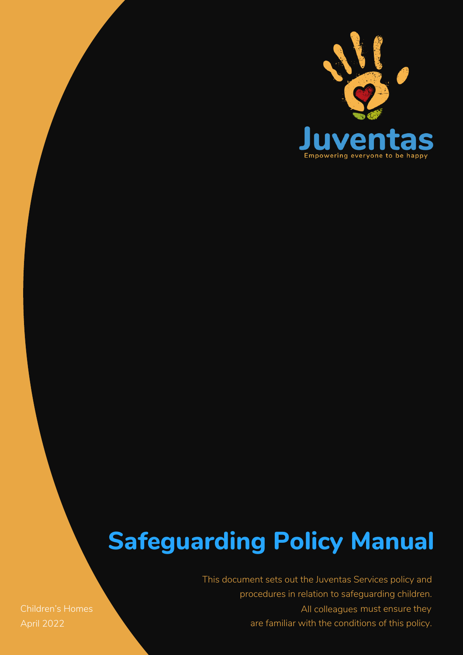

# **Safeguarding Policy Manual**

procedures in relation to safeguarding children.<br>Children's Homes extensive to the contract of the colleagues must ensure they This document sets out the Juventas Services policy and All colleagues must ensure they are familiar with the conditions of this policy.

April 2022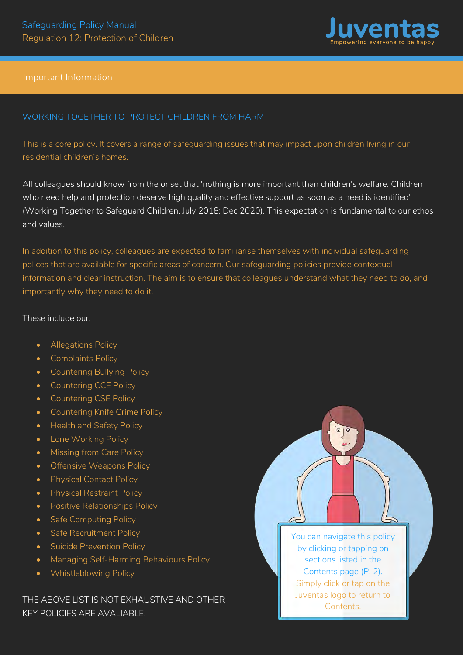

#### Important Information

# WORKING TOGETHER TO PROTECT CHILDREN FROM HARM

This is a core policy. It covers a range of safeguarding issues that may impact upon children living in our residential children's homes.

All colleagues should know from the onset that 'nothing is more important than children's welfare. Children who need help and protection deserve high quality and effective support as soon as a need is identified' (Working Together to Safeguard Children, July 2018; Dec 2020). This expectation is fundamental to our ethos and values.

In addition to this policy, colleagues are expected to familiarise themselves with individual safeguarding polices that are available for specific areas of concern. Our safeguarding policies provide contextual information and clear instruction. The aim is to ensure that colleagues understand what they need to do, and importantly why they need to do it.

#### These include our:

- Allegations Policy
- Complaints Policy
- Countering Bullying Policy
- Countering CCE Policy
- Countering CSE Policy
- Countering Knife Crime Policy
- Health and Safety Policy
- Lone Working Policy
- Missing from Care Policy
- Offensive Weapons Policy
- Physical Contact Policy
- Physical Restraint Policy
- Positive Relationships Policy
- Safe Computing Policy
- Safe Recruitment Policy
- Suicide Prevention Policy
- Managing Self-Harming Behaviours Policy
- Whistleblowing Policy

THE ABOVE LIST IS NOT EXHAUSTIVE AND OTHER KEY POLICIES ARE AVALIABLE.

You can navigate this policy by clicking or tapping on sections listed in the Contents page (P. 2). Simply click or tap on the Juventas logo to return to Contents.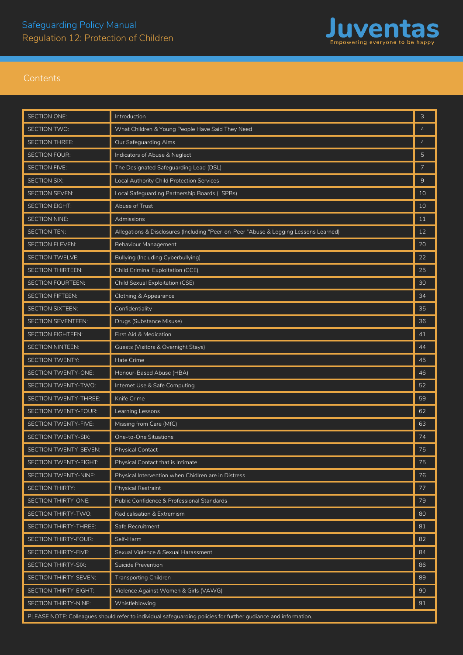

| SECTION ONE:                                                                                                   | Introduction                                                                         | 3  |  |
|----------------------------------------------------------------------------------------------------------------|--------------------------------------------------------------------------------------|----|--|
| SECTION TWO:                                                                                                   | What Children & Young People Have Said They Need                                     |    |  |
| SECTION THREE:                                                                                                 | Our Safeguarding Aims                                                                |    |  |
| <b>SECTION FOUR:</b>                                                                                           | Indicators of Abuse & Neglect                                                        |    |  |
| SECTION FIVE:                                                                                                  | The Designated Safeguarding Lead (DSL)                                               |    |  |
| SECTION SIX:                                                                                                   | Local Authority Child Protection Services                                            |    |  |
| SECTION SEVEN:                                                                                                 | Local Safeguarding Partnership Boards (LSPBs)                                        |    |  |
| SECTION EIGHT:                                                                                                 | Abuse of Trust                                                                       |    |  |
| <b>SECTION NINE:</b>                                                                                           | Admissions                                                                           |    |  |
| SECTION TEN:                                                                                                   | Allegations & Disclosures (Including "Peer-on-Peer "Abuse & Logging Lessons Learned) |    |  |
| SECTION ELEVEN:                                                                                                | Behaviour Management                                                                 |    |  |
| <b>SECTION TWELVE:</b>                                                                                         | Bullying (Including Cyberbullying)                                                   |    |  |
| SECTION THIRTEEN:                                                                                              | Child Criminal Exploitation (CCE)                                                    |    |  |
| SECTION FOURTEEN:                                                                                              | Child Sexual Exploitation (CSE)                                                      |    |  |
| SECTION FIFTEEN:                                                                                               | Clothing & Appearance                                                                |    |  |
| SECTION SIXTEEN:                                                                                               | Confidentiality                                                                      |    |  |
| SECTION SEVENTEEN:                                                                                             | Drugs (Substance Misuse)                                                             |    |  |
| SECTION EIGHTEEN:                                                                                              | First Aid & Medication                                                               | 41 |  |
| SECTION NINTEEN:                                                                                               | Guests (Visitors & Overnight Stays)                                                  | 44 |  |
| SECTION TWENTY:                                                                                                | Hate Crime                                                                           | 45 |  |
| SECTION TWENTY-ONE:                                                                                            | Honour-Based Abuse (HBA)                                                             | 46 |  |
| SECTION TWENTY-TWO:                                                                                            | Internet Use & Safe Computing                                                        | 52 |  |
| SECTION TWENTY-THREE:                                                                                          | Knife Crime                                                                          |    |  |
| SECTION TWENTY-FOUR:                                                                                           | Learning Lessons                                                                     |    |  |
| SECTION TWENTY-FIVE:                                                                                           | Missing from Care (MfC)                                                              |    |  |
| SECTION TWENTY-SIX:                                                                                            | One-to-One Situations                                                                |    |  |
| SECTION TWENTY-SEVEN:                                                                                          | <b>Physical Contact</b>                                                              |    |  |
| SECTION TWENTY-EIGHT:                                                                                          | Physical Contact that is Intimate                                                    |    |  |
| SECTION TWENTY-NINE:                                                                                           | Physical Intervention when Chidlren are in Distress                                  | 76 |  |
| SECTION THIRTY:                                                                                                | <b>Physical Restraint</b>                                                            | 77 |  |
| SECTION THIRTY-ONE:                                                                                            | Public Confidence & Professional Standards                                           | 79 |  |
| SECTION THIRTY-TWO:                                                                                            | Radicalisation & Extremism                                                           | 80 |  |
| SECTION THIRTY-THREE:                                                                                          | Safe Recruitment                                                                     | 81 |  |
| SECTION THIRTY-FOUR:                                                                                           | Self-Harm                                                                            | 82 |  |
| SECTION THIRTY-FIVE:                                                                                           | Sexual Violence & Sexual Harassment                                                  | 84 |  |
| SECTION THIRTY-SIX:                                                                                            | Suicide Prevention                                                                   | 86 |  |
| SECTION THIRTY-SEVEN:                                                                                          | <b>Transporting Children</b>                                                         | 89 |  |
| SECTION THIRTY-EIGHT:                                                                                          | Violence Against Women & Girls (VAWG)                                                |    |  |
| SECTION THIRTY-NINE:                                                                                           | Whistleblowing                                                                       | 91 |  |
| PLEASE NOTE: Colleagues should refer to individual safeguarding policies for further gudiance and information. |                                                                                      |    |  |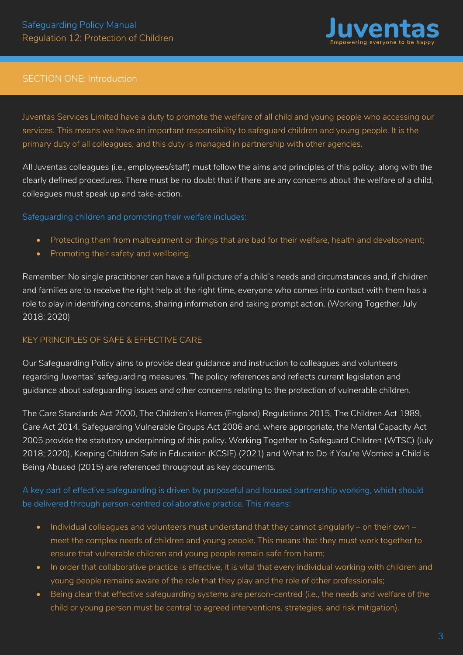

# <span id="page-3-0"></span>SECTION ONE: Introduction

Juventas Services Limited have a duty to promote the welfare of all child and young people who accessing our services. This means we have an important responsibility to safeguard children and young people. It is the primary duty of all colleagues, and this duty is managed in partnership with other agencies.

All Juventas colleagues (i.e., employees/staff) must follow the aims and principles of this policy, along with the clearly defined procedures. There must be no doubt that if there are any concerns about the welfare of a child, colleagues must speak up and take-action.

Safeguarding children and promoting their welfare includes:

- Protecting them from maltreatment or things that are bad for their welfare, health and development;
- Promoting their safety and wellbeing.

Remember: No single practitioner can have a full picture of a child's needs and circumstances and, if children and families are to receive the right help at the right time, everyone who comes into contact with them has a role to play in identifying concerns, sharing information and taking prompt action. (Working Together, July 2018; 2020)

# KEY PRINCIPLES OF SAFE & FEFECTIVE CARE

Our Safeguarding Policy aims to provide clear guidance and instruction to colleagues and volunteers regarding Juventas' safeguarding measures. The policy references and reflects current legislation and guidance about safeguarding issues and other concerns relating to the protection of vulnerable children.

The Care Standards Act 2000, The Children's Homes (England) Regulations 2015, The Children Act 1989, Care Act 2014, Safeguarding Vulnerable Groups Act 2006 and, where appropriate, the Mental Capacity Act 2005 provide the statutory underpinning of this policy. Working Together to Safeguard Children (WTSC) (July 2018; 2020), Keeping Children Safe in Education (KCSIE) (2021) and What to Do if You're Worried a Child is Being Abused (2015) are referenced throughout as key documents.

A key part of effective safeguarding is driven by purposeful and focused partnership working, which should be delivered through person-centred collaborative practice. This means:

- Individual colleagues and volunteers must understand that they cannot singularly on their own meet the complex needs of children and young people. This means that they must work together to ensure that vulnerable children and young people remain safe from harm;
- In order that collaborative practice is effective, it is vital that every individual working with children and young people remains aware of the role that they play and the role of other professionals;
- Being clear that effective safeguarding systems are person-centred (i.e., the needs and welfare of the child or young person must be central to agreed interventions, strategies, and risk mitigation).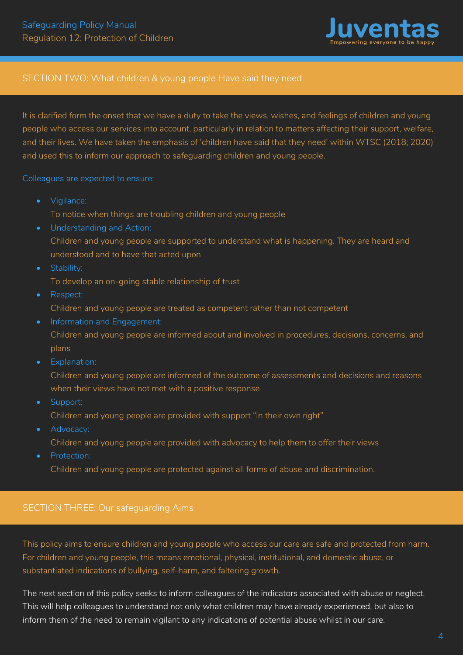

### <span id="page-4-0"></span>SECTION TWO: What children & young people Have said they need

It is clarified form the onset that we have a duty to take the views, wishes, and feelings of children and young people who access our services into account, particularly in relation to matters affecting their support, welfare, and their lives. We have taken the emphasis of 'children have said that they need' within WTSC (2018; 2020) and used this to inform our approach to safeguarding children and young people.

Colleagues are expected to ensure:

- Vigilance: To notice when things are troubling children and young people
- Understanding and Action: Children and young people are supported to understand what is happening. They are heard and understood and to have that acted upon
- Stability:
	- To develop an on-going stable relationship of trust
- Respect: Children and young people are treated as competent rather than not competent
- Information and Engagement: Children and young people are informed about and involved in procedures, decisions, concerns, and plans
- Explanation:
- Children and young people are informed of the outcome of assessments and decisions and reasons when their views have not met with a positive response
- Support:
	- Children and young people are provided with support "in their own right"
- Advocacy:
- Children and young people are provided with advocacy to help them to offer their views
- Protection:
	- Children and young people are protected against all forms of abuse and discrimination.

#### SECTION THREE: Our safeguarding Aims

This policy aims to ensure children and young people who access our care are safe and protected from harm. For children and young people, this means emotional, physical, institutional, and domestic abuse, or substantiated indications of bullying, self-harm, and faltering growth.

The next section of this policy seeks to inform colleagues of the indicators associated with abuse or neglect. This will help colleagues to understand not only what children may have already experienced, but also to inform them of the need to remain vigilant to any indications of potential abuse whilst in our care.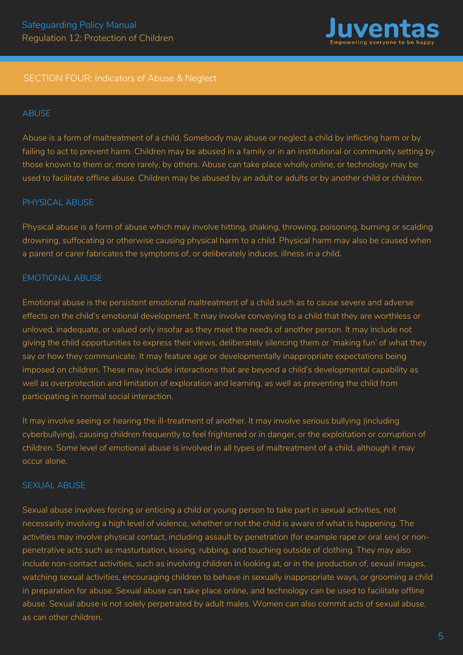

#### <span id="page-5-0"></span>SECTION FOUR: Indicators of Abuse & Neglect

#### **ABUSE**

Abuse is a form of maltreatment of a child. Somebody may abuse or neglect a child by inflicting harm or by failing to act to prevent harm. Children may be abused in a family or in an institutional or community setting by those known to them or, more rarely, by others. Abuse can take place wholly online, or technology may be used to facilitate offline abuse. Children may be abused by an adult or adults or by another child or children.

#### PHYSICAL ABUSE

Physical abuse is a form of abuse which may involve hitting, shaking, throwing, poisoning, burning or scalding drowning, suffocating or otherwise causing physical harm to a child. Physical harm may also be caused when a parent or carer fabricates the symptoms of, or deliberately induces, illness in a child.

#### EMOTIONAL ABUSE

Emotional abuse is the persistent emotional maltreatment of a child such as to cause severe and adverse effects on the child's emotional development. It may involve conveying to a child that they are worthless or unloved, inadequate, or valued only insofar as they meet the needs of another person. It may include not giving the child opportunities to express their views, deliberately silencing them or 'making fun' of what they say or how they communicate. It may feature age or developmentally inappropriate expectations being imposed on children. These may include interactions that are beyond a child's developmental capability as well as overprotection and limitation of exploration and learning, as well as preventing the child from participating in normal social interaction.

It may involve seeing or hearing the ill-treatment of another. It may involve serious bullying (including cyberbullying), causing children frequently to feel frightened or in danger, or the exploitation or corruption of children. Some level of emotional abuse is involved in all types of maltreatment of a child, although it may occur alone.

#### SEXUAL ABUSE

Sexual abuse involves forcing or enticing a child or young person to take part in sexual activities, not necessarily involving a high level of violence, whether or not the child is aware of what is happening. The activities may involve physical contact, including assault by penetration (for example rape or oral sex) or nonpenetrative acts such as masturbation, kissing, rubbing, and touching outside of clothing. They may also include non-contact activities, such as involving children in looking at, or in the production of, sexual images, watching sexual activities, encouraging children to behave in sexually inappropriate ways, or grooming a child in preparation for abuse. Sexual abuse can take place online, and technology can be used to facilitate offline abuse. Sexual abuse is not solely perpetrated by adult males. Women can also commit acts of sexual abuse, as can other children.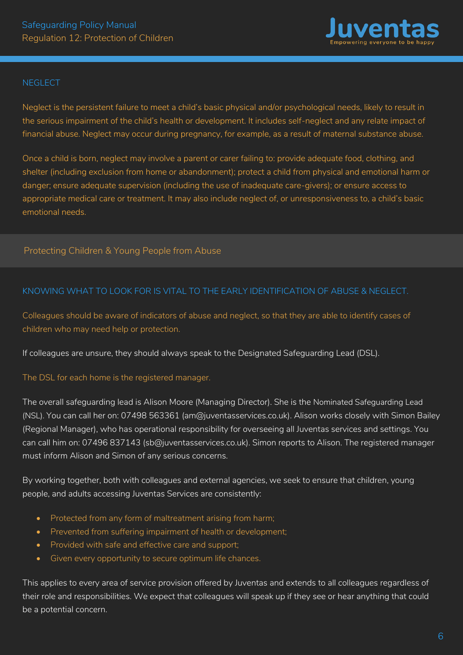

#### **NEGLECT**

Neglect is the persistent failure to meet a child's basic physical and/or psychological needs, likely to result in the serious impairment of the child's health or development. It includes self-neglect and any relate impact of financial abuse. Neglect may occur during pregnancy, for example, as a result of maternal substance abuse.

Once a child is born, neglect may involve a parent or carer failing to: provide adequate food, clothing, and shelter (including exclusion from home or abandonment); protect a child from physical and emotional harm or danger; ensure adequate supervision (including the use of inadequate care-givers); or ensure access to appropriate medical care or treatment. It may also include neglect of, or unresponsiveness to, a child's basic emotional needs.

# Protecting Children & Young People from Abuse

#### KNOWING WHAT TO LOOK FOR IS VITAL TO THE EARLY IDENTIFICATION OF ABUSE & NEGLECT.

Colleagues should be aware of indicators of abuse and neglect, so that they are able to identify cases of children who may need help or protection.

If colleagues are unsure, they should always speak to the Designated Safeguarding Lead (DSL).

#### The DSL for each home is the registered manager.

The overall safeguarding lead is Alison Moore (Managing Director). She is the Nominated Safeguarding Lead (NSL). You can call her on: 07498 563361 (am@juventasservices.co.uk). Alison works closely with Simon Bailey (Regional Manager), who has operational responsibility for overseeing all Juventas services and settings. You can call him on: 07496 837143 (sb@juventasservices.co.uk). Simon reports to Alison. The registered manager must inform Alison and Simon of any serious concerns.

By working together, both with colleagues and external agencies, we seek to ensure that children, young people, and adults accessing Juventas Services are consistently:

- Protected from any form of maltreatment arising from harm;
- Prevented from suffering impairment of health or development;
- Provided with safe and effective care and support;
- Given every opportunity to secure optimum life chances.

This applies to every area of service provision offered by Juventas and extends to all colleagues regardless of their role and responsibilities. We expect that colleagues will speak up if they see or hear anything that could be a potential concern.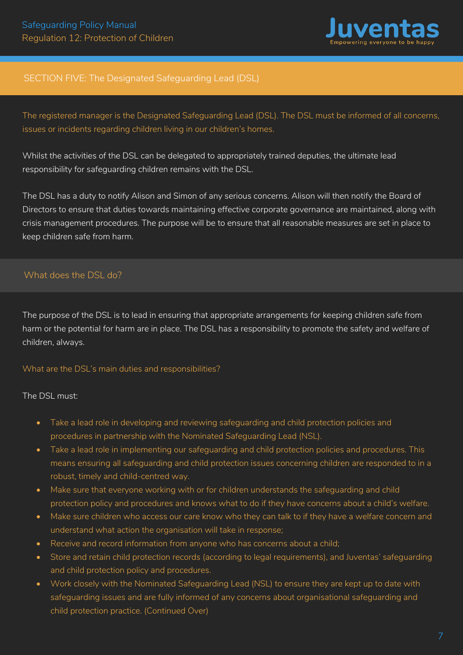

# <span id="page-7-0"></span>SECTION FIVE: The Designated Safeguarding Lead (DSL)

The registered manager is the Designated Safeguarding Lead (DSL). The DSL must be informed of all concerns, issues or incidents regarding children living in our children's homes.

Whilst the activities of the DSL can be delegated to appropriately trained deputies, the ultimate lead responsibility for safeguarding children remains with the DSL.

The DSL has a duty to notify Alison and Simon of any serious concerns. Alison will then notify the Board of Directors to ensure that duties towards maintaining effective corporate governance are maintained, along with crisis management procedures. The purpose will be to ensure that all reasonable measures are set in place to keep children safe from harm.

# What does the DSL do?

The purpose of the DSL is to lead in ensuring that appropriate arrangements for keeping children safe from harm or the potential for harm are in place. The DSL has a responsibility to promote the safety and welfare of children, always.

#### What are the DSL's main duties and responsibilities?

The DSL must:

- Take a lead role in developing and reviewing safeguarding and child protection policies and procedures in partnership with the Nominated Safeguarding Lead (NSL).
- Take a lead role in implementing our safeguarding and child protection policies and procedures. This means ensuring all safeguarding and child protection issues concerning children are responded to in a robust, timely and child-centred way.
- Make sure that everyone working with or for children understands the safeguarding and child protection policy and procedures and knows what to do if they have concerns about a child's welfare.
- Make sure children who access our care know who they can talk to if they have a welfare concern and understand what action the organisation will take in response;
- Receive and record information from anyone who has concerns about a child;
- Store and retain child protection records (according to legal requirements), and Juventas' safeguarding and child protection policy and procedures.
- Work closely with the Nominated Safeguarding Lead (NSL) to ensure they are kept up to date with safeguarding issues and are fully informed of any concerns about organisational safeguarding and child protection practice. (Continued Over)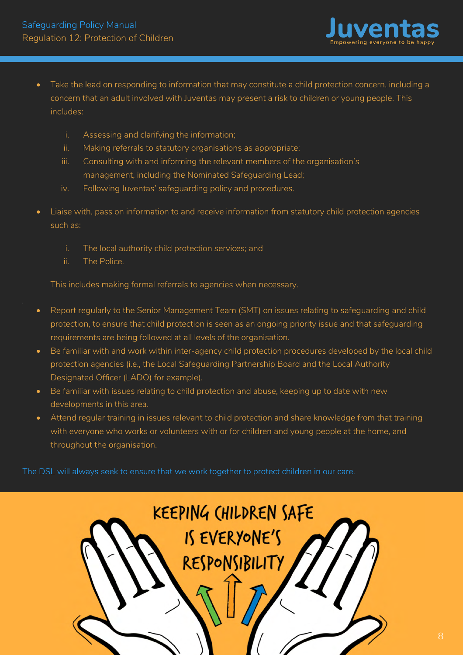

- Take the lead on responding to information that may constitute a child protection concern, including a concern that an adult involved with Juventas may present a risk to children or young people. This includes:
	- i. Assessing and clarifying the information;
	- ii. Making referrals to statutory organisations as appropriate;
	- iii. Consulting with and informing the relevant members of the organisation's management, including the Nominated Safeguarding Lead;
	- iv. Following Juventas' safeguarding policy and procedures.
- Liaise with, pass on information to and receive information from statutory child protection agencies such as:
	- i. The local authority child protection services; and
	- ii. The Police.

This includes making formal referrals to agencies when necessary.

- Report regularly to the Senior Management Team (SMT) on issues relating to safeguarding and child protection, to ensure that child protection is seen as an ongoing priority issue and that safeguarding requirements are being followed at all levels of the organisation.
- Be familiar with and work within inter-agency child protection procedures developed by the local child protection agencies (i.e., the Local Safeguarding Partnership Board and the Local Authority Designated Officer (LADO) for example).
- Be familiar with issues relating to child protection and abuse, keeping up to date with new developments in this area.
- Attend regular training in issues relevant to child protection and share knowledge from that training with everyone who works or volunteers with or for children and young people at the home, and throughout the organisation.

The DSL will always seek to ensure that we work together to protect children in our care.

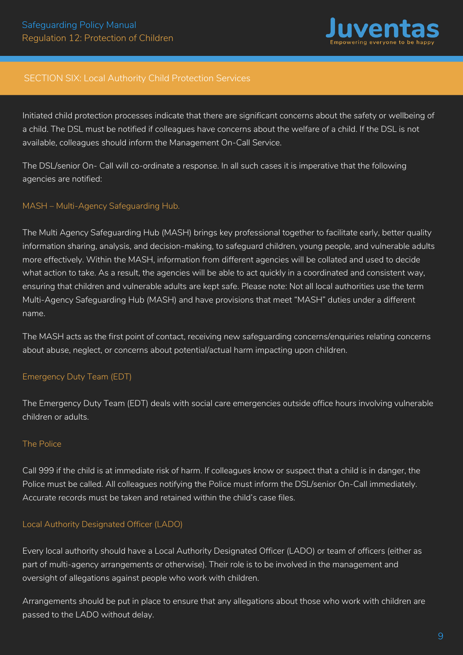

#### SECTION SIX: Local Authority Child Protection Services

Initiated child protection processes indicate that there are significant concerns about the safety or wellbeing of a child. The DSL must be notified if colleagues have concerns about the welfare of a child. If the DSL is not available, colleagues should inform the Management On-Call Service.

The DSL/senior On- Call will co-ordinate a response. In all such cases it is imperative that the following agencies are notified:

#### MASH – Multi-Agency Safeguarding Hub.

The Multi Agency Safeguarding Hub (MASH) brings key professional together to facilitate early, better quality information sharing, analysis, and decision-making, to safeguard children, young people, and vulnerable adults more effectively. Within the MASH, information from different agencies will be collated and used to decide what action to take. As a result, the agencies will be able to act quickly in a coordinated and consistent way, ensuring that children and vulnerable adults are kept safe. Please note: Not all local authorities use the term Multi-Agency Safeguarding Hub (MASH) and have provisions that meet "MASH" duties under a different name.

The MASH acts as the first point of contact, receiving new safeguarding concerns/enquiries relating concerns about abuse, neglect, or concerns about potential/actual harm impacting upon children.

#### Emergency Duty Team (EDT)

The Emergency Duty Team (EDT) deals with social care emergencies outside office hours involving vulnerable children or adults.

#### The Police

Call 999 if the child is at immediate risk of harm. If colleagues know or suspect that a child is in danger, the Police must be called. All colleagues notifying the Police must inform the DSL/senior On-Call immediately. Accurate records must be taken and retained within the child's case files.

#### Local Authority Designated Officer (LADO)

Every local authority should have a Local Authority Designated Officer (LADO) or team of officers (either as part of multi-agency arrangements or otherwise). Their role is to be involved in the management and oversight of allegations against people who work with children.

Arrangements should be put in place to ensure that any allegations about those who work with children are passed to the LADO without delay.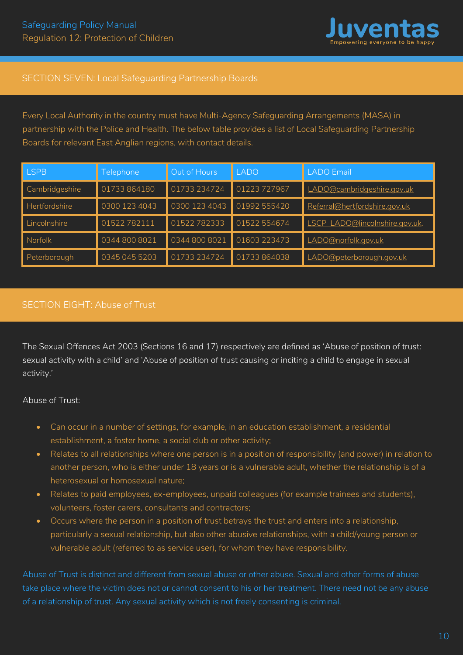

# <span id="page-10-0"></span>SECTION SEVEN: Local Safeguarding Partnership Boards

Every Local Authority in the country must have Multi-Agency Safeguarding Arrangements (MASA) in partnership with the Police and Health. The below table provides a list of Local Safeguarding Partnership Boards for relevant East Anglian regions, with contact details.

| <b>LSPB</b>    | <b>Telephone</b> | Out of Hours  | <b>LADO</b>  | <b>LADO</b> Email              |
|----------------|------------------|---------------|--------------|--------------------------------|
| Cambridgeshire | 01733864180      | 01733 234724  | 01223 727967 | LADO@cambridgeshire.gov.uk     |
| Hertfordshire  | 0300 123 4043    | 0300 123 4043 | 01992 555420 | Referral@hertfordshire.gov.uk  |
| Lincolnshire   | 01522782111      | 01522782333   | 01522 554674 | LSCP_LADO@lincolnshire.gov.uk. |
| Norfolk        | 0344 800 8021    | 0344 800 8021 | 01603 223473 | LADO@norfolk.gov.uk            |
| Peterborough   | 0345 045 5203    | 01733 234724  | 01733864038  | LADO@peterborough.gov.uk       |

# SECTION EIGHT: Abuse of Trust

The Sexual Offences Act 2003 (Sections 16 and 17) respectively are defined as 'Abuse of position of trust: sexual activity with a child' and 'Abuse of position of trust causing or inciting a child to engage in sexual activity.'

Abuse of Trust:

- Can occur in a number of settings, for example, in an education establishment, a residential establishment, a foster home, a social club or other activity;
- Relates to all relationships where one person is in a position of responsibility (and power) in relation to another person, who is either under 18 years or is a vulnerable adult, whether the relationship is of a heterosexual or homosexual nature;
- Relates to paid employees, ex-employees, unpaid colleagues (for example trainees and students), volunteers, foster carers, consultants and contractors;
- Occurs where the person in a position of trust betrays the trust and enters into a relationship, particularly a sexual relationship, but also other abusive relationships, with a child/young person or vulnerable adult (referred to as service user), for whom they have responsibility.

Abuse of Trust is distinct and different from sexual abuse or other abuse. Sexual and other forms of abuse take place where the victim does not or cannot consent to his or her treatment. There need not be any abuse of a relationship of trust. Any sexual activity which is not freely consenting is criminal.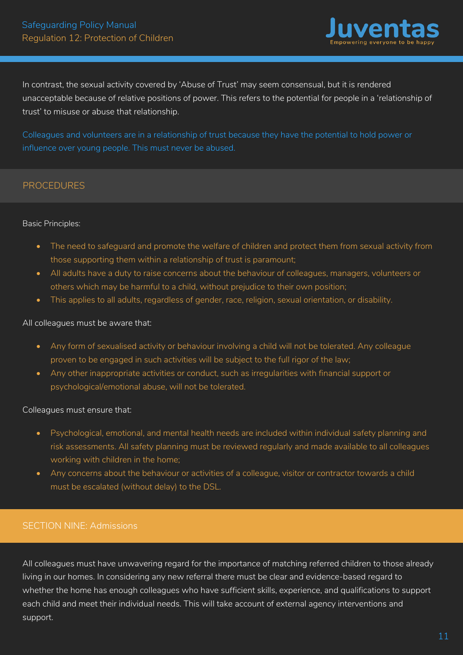

<span id="page-11-0"></span>In contrast, the sexual activity covered by 'Abuse of Trust' may seem consensual, but it is rendered unacceptable because of relative positions of power. This refers to the potential for people in a 'relationship of trust' to misuse or abuse that relationship.

Colleagues and volunteers are in a relationship of trust because they have the potential to hold power or influence over young people. This must never be abused.

# **PROCEDURES**

#### Basic Principles:

- The need to safeguard and promote the welfare of children and protect them from sexual activity from those supporting them within a relationship of trust is paramount;
- All adults have a duty to raise concerns about the behaviour of colleagues, managers, volunteers or others which may be harmful to a child, without prejudice to their own position;
- This applies to all adults, regardless of gender, race, religion, sexual orientation, or disability.

#### All colleagues must be aware that:

- Any form of sexualised activity or behaviour involving a child will not be tolerated. Any colleague proven to be engaged in such activities will be subject to the full rigor of the law;
- Any other inappropriate activities or conduct, such as irregularities with financial support or psychological/emotional abuse, will not be tolerated.

#### Colleagues must ensure that:

- Psychological, emotional, and mental health needs are included within individual safety planning and risk assessments. All safety planning must be reviewed regularly and made available to all colleagues working with children in the home;
- Any concerns about the behaviour or activities of a colleague, visitor or contractor towards a child must be escalated (without delay) to the DSL.

# SECTION NINE: Admissions

All colleagues must have unwavering regard for the importance of matching referred children to those already living in our homes. In considering any new referral there must be clear and evidence-based regard to whether the home has enough colleagues who have sufficient skills, experience, and qualifications to support each child and meet their individual needs. This will take account of external agency interventions and support.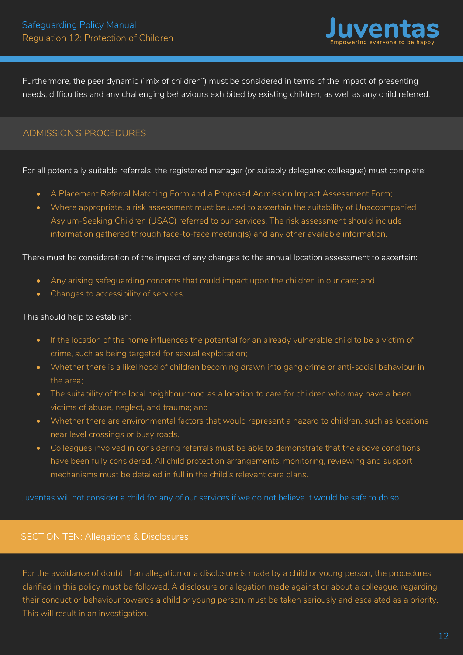

<span id="page-12-0"></span>Furthermore, the peer dynamic ("mix of children") must be considered in terms of the impact of presenting needs, difficulties and any challenging behaviours exhibited by existing children, as well as any child referred.

# ADMISSION'S PROCEDURES

#### For all potentially suitable referrals, the registered manager (or suitably delegated colleague) must complete:

- A Placement Referral Matching Form and a Proposed Admission Impact Assessment Form;
- Where appropriate, a risk assessment must be used to ascertain the suitability of Unaccompanied Asylum-Seeking Children (USAC) referred to our services. The risk assessment should include information gathered through face-to-face meeting(s) and any other available information.

#### There must be consideration of the impact of any changes to the annual location assessment to ascertain:

- Any arising safeguarding concerns that could impact upon the children in our care; and
- Changes to accessibility of services.

#### This should help to establish:

- If the location of the home influences the potential for an already vulnerable child to be a victim of crime, such as being targeted for sexual exploitation;
- Whether there is a likelihood of children becoming drawn into gang crime or anti-social behaviour in the area;
- The suitability of the local neighbourhood as a location to care for children who may have a been victims of abuse, neglect, and trauma; and
- Whether there are environmental factors that would represent a hazard to children, such as locations near level crossings or busy roads.
- Colleagues involved in considering referrals must be able to demonstrate that the above conditions have been fully considered. All child protection arrangements, monitoring, reviewing and support mechanisms must be detailed in full in the child's relevant care plans.

Juventas will not consider a child for any of our services if we do not believe it would be safe to do so.

#### SECTION TEN: Allegations & Disclosures

For the avoidance of doubt, if an allegation or a disclosure is made by a child or young person, the procedures clarified in this policy must be followed. A disclosure or allegation made against or about a colleague, regarding their conduct or behaviour towards a child or young person, must be taken seriously and escalated as a priority. This will result in an investigation.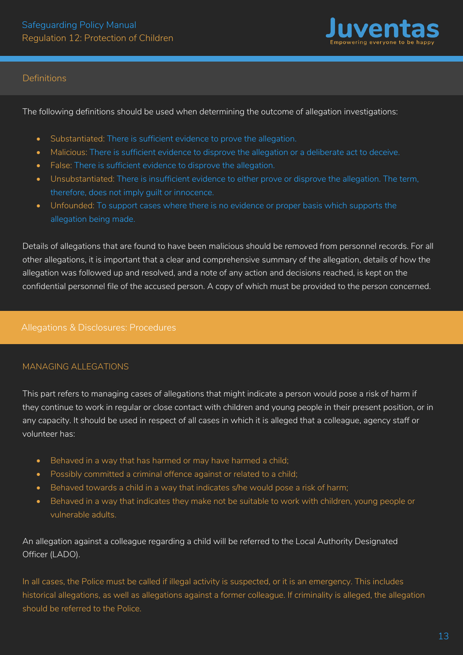

# Definitions

The following definitions should be used when determining the outcome of allegation investigations:

- Substantiated: There is sufficient evidence to prove the allegation.
- Malicious: There is sufficient evidence to disprove the allegation or a deliberate act to deceive.
- False: There is sufficient evidence to disprove the allegation.
- Unsubstantiated: There is insufficient evidence to either prove or disprove the allegation. The term, therefore, does not imply guilt or innocence.
- Unfounded: To support cases where there is no evidence or proper basis which supports the allegation being made.

Details of allegations that are found to have been malicious should be removed from personnel records. For all other allegations, it is important that a clear and comprehensive summary of the allegation, details of how the allegation was followed up and resolved, and a note of any action and decisions reached, is kept on the confidential personnel file of the accused person. A copy of which must be provided to the person concerned.

# Allegations & Disclosures: Procedures

# MANAGING ALLEGATIONS

This part refers to managing cases of allegations that might indicate a person would pose a risk of harm if they continue to work in regular or close contact with children and young people in their present position, or in any capacity. It should be used in respect of all cases in which it is alleged that a colleague, agency staff or volunteer has:

- Behaved in a way that has harmed or may have harmed a child;
- Possibly committed a criminal offence against or related to a child;
- Behaved towards a child in a way that indicates s/he would pose a risk of harm;
- Behaved in a way that indicates they make not be suitable to work with children, young people or vulnerable adults.

An allegation against a colleague regarding a child will be referred to the Local Authority Designated Officer (LADO).

In all cases, the Police must be called if illegal activity is suspected, or it is an emergency. This includes historical allegations, as well as allegations against a former colleague. If criminality is alleged, the allegation should be referred to the Police.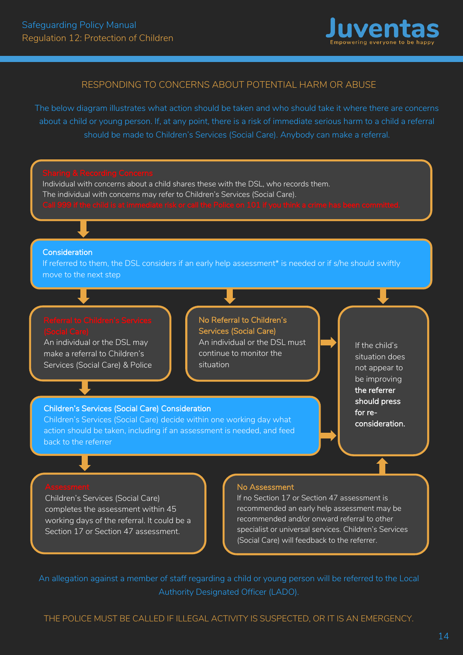

#### RESPONDING TO CONCERNS ABOUT POTENTIAL HARM OR ABUSE

The below diagram illustrates what action should be taken and who should take it where there are concerns about a child or young person. If, at any point, there is a risk of immediate serious harm to a child a referral should be made to Children's Services (Social Care). Anybody can make a referral.



An allegation against a member of staff regarding a child or young person will be referred to the Local Authority Designated Officer (LADO).

THE POLICE MUST BE CALLED IF ILLEGAL ACTIVITY IS SUSPECTED, OR IT IS AN EMERGENCY.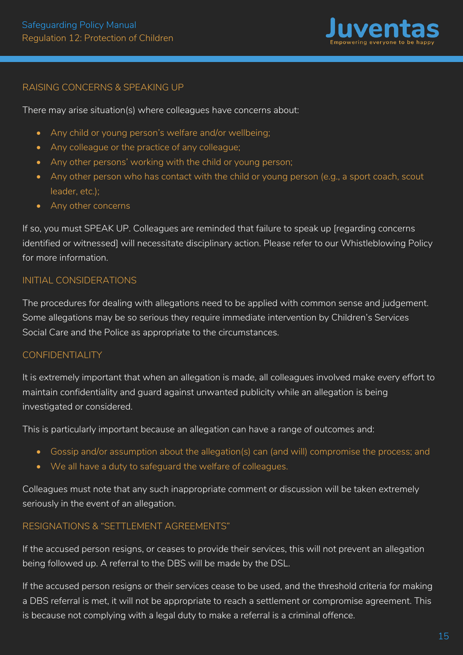

# RAISING CONCERNS & SPEAKING UP

There may arise situation(s) where colleagues have concerns about:

- Any child or young person's welfare and/or wellbeing;
- Any colleague or the practice of any colleague;
- Any other persons' working with the child or young person;
- Any other person who has contact with the child or young person (e.g., a sport coach, scout leader, etc.);
- Any other concerns

If so, you must SPEAK UP. Colleagues are reminded that failure to speak up [regarding concerns identified or witnessed] will necessitate disciplinary action. Please refer to our Whistleblowing Policy for more information.

# INITIAL CONSIDERATIONS

The procedures for dealing with allegations need to be applied with common sense and judgement. Some allegations may be so serious they require immediate intervention by Children's Services Social Care and the Police as appropriate to the circumstances.

# CONFIDENTIALITY

It is extremely important that when an allegation is made, all colleagues involved make every effort to maintain confidentiality and guard against unwanted publicity while an allegation is being investigated or considered.

This is particularly important because an allegation can have a range of outcomes and:

- Gossip and/or assumption about the allegation(s) can (and will) compromise the process; and
- We all have a duty to safeguard the welfare of colleagues.

Colleagues must note that any such inappropriate comment or discussion will be taken extremely seriously in the event of an allegation.

# RESIGNATIONS & "SETTLEMENT AGREEMENTS"

If the accused person resigns, or ceases to provide their services, this will not prevent an allegation being followed up. A referral to the DBS will be made by the DSL.

If the accused person resigns or their services cease to be used, and the threshold criteria for making a DBS referral is met, it will not be appropriate to reach a settlement or compromise agreement. This is because not complying with a legal duty to make a referral is a criminal offence.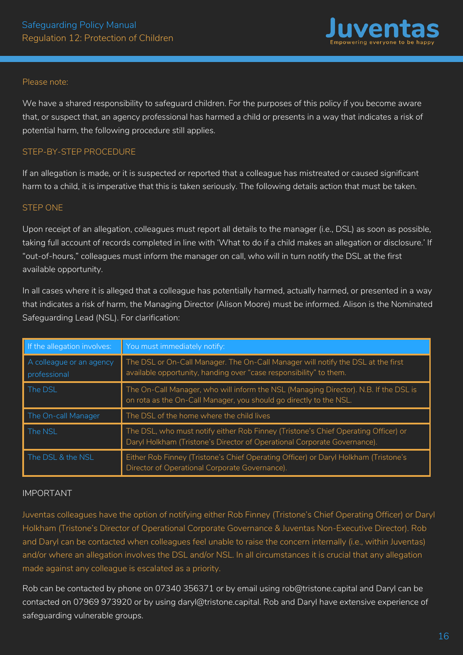

#### Please note:

We have a shared responsibility to safeguard children. For the purposes of this policy if you become aware that, or suspect that, an agency professional has harmed a child or presents in a way that indicates a risk of potential harm, the following procedure still applies.

#### STEP-BY-STEP PROCEDURE

If an allegation is made, or it is suspected or reported that a colleague has mistreated or caused significant harm to a child, it is imperative that this is taken seriously. The following details action that must be taken.

#### STEP ONE

Upon receipt of an allegation, colleagues must report all details to the manager (i.e., DSL) as soon as possible, taking full account of records completed in line with 'What to do if a child makes an allegation or disclosure.' If "out-of-hours," colleagues must inform the manager on call, who will in turn notify the DSL at the first available opportunity.

In all cases where it is alleged that a colleague has potentially harmed, actually harmed, or presented in a way that indicates a risk of harm, the Managing Director (Alison Moore) must be informed. Alison is the Nominated Safeguarding Lead (NSL). For clarification:

| If the allegation involves:              | You must immediately notify:                                                                                                                                   |
|------------------------------------------|----------------------------------------------------------------------------------------------------------------------------------------------------------------|
| A colleague or an agency<br>professional | The DSL or On-Call Manager. The On-Call Manager will notify the DSL at the first<br>available opportunity, handing over "case responsibility" to them.         |
| The DSL                                  | The On-Call Manager, who will inform the NSL (Managing Director). N.B. If the DSL is<br>on rota as the On-Call Manager, you should go directly to the NSL.     |
| The On-call Manager                      | The DSL of the home where the child lives                                                                                                                      |
| The NSL                                  | The DSL, who must notify either Rob Finney (Tristone's Chief Operating Officer) or<br>Daryl Holkham (Tristone's Director of Operational Corporate Governance). |
| The DSL & the NSL                        | Either Rob Finney (Tristone's Chief Operating Officer) or Daryl Holkham (Tristone's<br>Director of Operational Corporate Governance).                          |

#### IMPORTANT

Juventas colleagues have the option of notifying either Rob Finney (Tristone's Chief Operating Officer) or Daryl Holkham (Tristone's Director of Operational Corporate Governance & Juventas Non-Executive Director). Rob and Daryl can be contacted when colleagues feel unable to raise the concern internally (i.e., within Juventas) and/or where an allegation involves the DSL and/or NSL. In all circumstances it is crucial that any allegation made against any colleague is escalated as a priority.

Rob can be contacted by phone on 07340 356371 or by email using rob@tristone.capital and Daryl can be contacted on 07969 973920 or by using daryl@tristone.capital. Rob and Daryl have extensive experience of safeguarding vulnerable groups.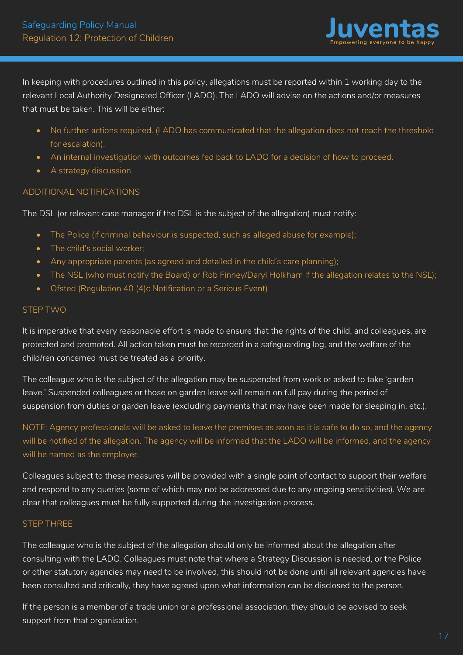

In keeping with procedures outlined in this policy, allegations must be reported within 1 working day to the relevant Local Authority Designated Officer (LADO). The LADO will advise on the actions and/or measures that must be taken. This will be either:

- No further actions required. (LADO has communicated that the allegation does not reach the threshold for escalation).
- An internal investigation with outcomes fed back to LADO for a decision of how to proceed.
- A strategy discussion.

# ADDITIONAL NOTIFICATIONS

The DSL (or relevant case manager if the DSL is the subject of the allegation) must notify:

- The Police (if criminal behaviour is suspected, such as alleged abuse for example):
- The child's social worker;
- Any appropriate parents (as agreed and detailed in the child's care planning);
- The NSL (who must notify the Board) or Rob Finney/Daryl Holkham if the allegation relates to the NSL);
- Ofsted (Regulation 40 (4)c Notification or a Serious Event)

#### STEP TWO

It is imperative that every reasonable effort is made to ensure that the rights of the child, and colleagues, are protected and promoted. All action taken must be recorded in a safeguarding log, and the welfare of the child/ren concerned must be treated as a priority.

The colleague who is the subject of the allegation may be suspended from work or asked to take 'garden leave.' Suspended colleagues or those on garden leave will remain on full pay during the period of suspension from duties or garden leave (excluding payments that may have been made for sleeping in, etc.).

NOTE: Agency professionals will be asked to leave the premises as soon as it is safe to do so, and the agency will be notified of the allegation. The agency will be informed that the LADO will be informed, and the agency will be named as the employer.

Colleagues subject to these measures will be provided with a single point of contact to support their welfare and respond to any queries (some of which may not be addressed due to any ongoing sensitivities). We are clear that colleagues must be fully supported during the investigation process.

# STEP THREE

The colleague who is the subject of the allegation should only be informed about the allegation after consulting with the LADO. Colleagues must note that where a Strategy Discussion is needed, or the Police or other statutory agencies may need to be involved, this should not be done until all relevant agencies have been consulted and critically, they have agreed upon what information can be disclosed to the person.

If the person is a member of a trade union or a professional association, they should be advised to seek support from that organisation.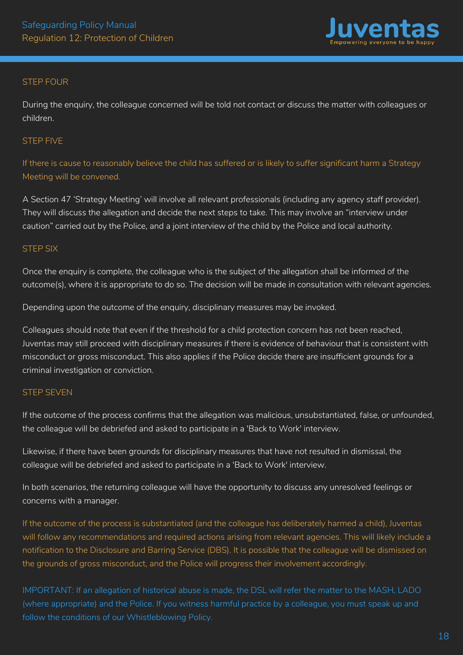

#### STEP FOUR

During the enquiry, the colleague concerned will be told not contact or discuss the matter with colleagues or children.

#### STEP FIVE

If there is cause to reasonably believe the child has suffered or is likely to suffer significant harm a Strategy Meeting will be convened.

A Section 47 'Strategy Meeting' will involve all relevant professionals (including any agency staff provider). They will discuss the allegation and decide the next steps to take. This may involve an "interview under caution" carried out by the Police, and a joint interview of the child by the Police and local authority.

#### STEP SIX

Once the enquiry is complete, the colleague who is the subject of the allegation shall be informed of the outcome(s), where it is appropriate to do so. The decision will be made in consultation with relevant agencies.

Depending upon the outcome of the enquiry, disciplinary measures may be invoked.

Colleagues should note that even if the threshold for a child protection concern has not been reached, Juventas may still proceed with disciplinary measures if there is evidence of behaviour that is consistent with misconduct or gross misconduct. This also applies if the Police decide there are insufficient grounds for a criminal investigation or conviction.

#### STEP SEVEN

If the outcome of the process confirms that the allegation was malicious, unsubstantiated, false, or unfounded, the colleague will be debriefed and asked to participate in a 'Back to Work' interview.

Likewise, if there have been grounds for disciplinary measures that have not resulted in dismissal, the colleague will be debriefed and asked to participate in a 'Back to Work' interview.

In both scenarios, the returning colleague will have the opportunity to discuss any unresolved feelings or concerns with a manager.

If the outcome of the process is substantiated (and the colleague has deliberately harmed a child), Juventas will follow any recommendations and required actions arising from relevant agencies. This will likely include a notification to the Disclosure and Barring Service (DBS). It is possible that the colleague will be dismissed on the grounds of gross misconduct, and the Police will progress their involvement accordingly.

IMPORTANT: If an allegation of historical abuse is made, the DSL will refer the matter to the MASH, LADO (where appropriate) and the Police. If you witness harmful practice by a colleague, you must speak up and follow the conditions of our Whistleblowing Policy.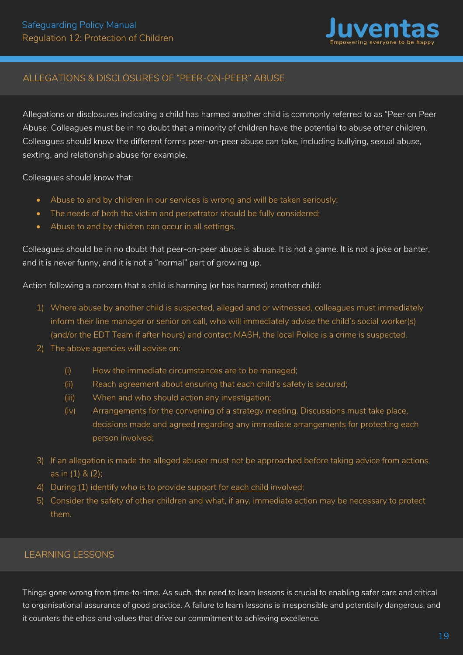

# ALLEGATIONS & DISCLOSURES OF "PEER-ON-PEER" ABUSE

Allegations or disclosures indicating a child has harmed another child is commonly referred to as "Peer on Peer Abuse. Colleagues must be in no doubt that a minority of children have the potential to abuse other children. Colleagues should know the different forms peer-on-peer abuse can take, including bullying, sexual abuse, sexting, and relationship abuse for example.

Colleagues should know that:

- Abuse to and by children in our services is wrong and will be taken seriously;
- The needs of both the victim and perpetrator should be fully considered;
- Abuse to and by children can occur in all settings.

Colleagues should be in no doubt that peer-on-peer abuse is abuse. It is not a game. It is not a joke or banter, and it is never funny, and it is not a "normal" part of growing up.

Action following a concern that a child is harming (or has harmed) another child:

- 1) Where abuse by another child is suspected, alleged and or witnessed, colleagues must immediately inform their line manager or senior on call, who will immediately advise the child's social worker(s) (and/or the EDT Team if after hours) and contact MASH, the local Police is a crime is suspected.
- 2) The above agencies will advise on:
	- (i) How the immediate circumstances are to be managed;
	- (ii) Reach agreement about ensuring that each child's safety is secured;
	- (iii) When and who should action any investigation;
	- (iv) Arrangements for the convening of a strategy meeting. Discussions must take place, decisions made and agreed regarding any immediate arrangements for protecting each person involved;
- 3) If an allegation is made the alleged abuser must not be approached before taking advice from actions as in (1) & (2);
- 4) During (1) identify who is to provide support for each child involved;
- 5) Consider the safety of other children and what, if any, immediate action may be necessary to protect them.

# LEARNING LESSONS

Things gone wrong from time-to-time. As such, the need to learn lessons is crucial to enabling safer care and critical to organisational assurance of good practice. A failure to learn lessons is irresponsible and potentially dangerous, and it counters the ethos and values that drive our commitment to achieving excellence.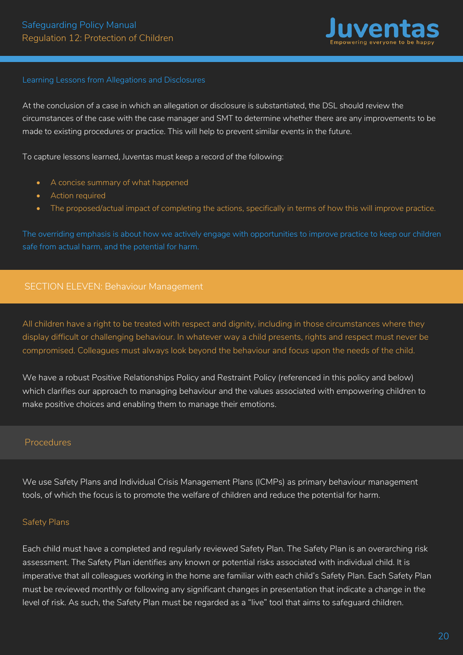

#### <span id="page-20-0"></span>Learning Lessons from Allegations and Disclosures

At the conclusion of a case in which an allegation or disclosure is substantiated, the DSL should review the circumstances of the case with the case manager and SMT to determine whether there are any improvements to be made to existing procedures or practice. This will help to prevent similar events in the future.

To capture lessons learned, Juventas must keep a record of the following:

- A concise summary of what happened
- Action required
- The proposed/actual impact of completing the actions, specifically in terms of how this will improve practice.

The overriding emphasis is about how we actively engage with opportunities to improve practice to keep our children safe from actual harm, and the potential for harm.

# SECTION ELEVEN: Behaviour Management

All children have a right to be treated with respect and dignity, including in those circumstances where they display difficult or challenging behaviour. In whatever way a child presents, rights and respect must never be compromised. Colleagues must always look beyond the behaviour and focus upon the needs of the child.

We have a robust Positive Relationships Policy and Restraint Policy (referenced in this policy and below) which clarifies our approach to managing behaviour and the values associated with empowering children to make positive choices and enabling them to manage their emotions.

#### Procedures

We use Safety Plans and Individual Crisis Management Plans (ICMPs) as primary behaviour management tools, of which the focus is to promote the welfare of children and reduce the potential for harm.

#### Safety Plans

Each child must have a completed and regularly reviewed Safety Plan. The Safety Plan is an overarching risk assessment. The Safety Plan identifies any known or potential risks associated with individual child. It is imperative that all colleagues working in the home are familiar with each child's Safety Plan. Each Safety Plan must be reviewed monthly or following any significant changes in presentation that indicate a change in the level of risk. As such, the Safety Plan must be regarded as a "live" tool that aims to safeguard children.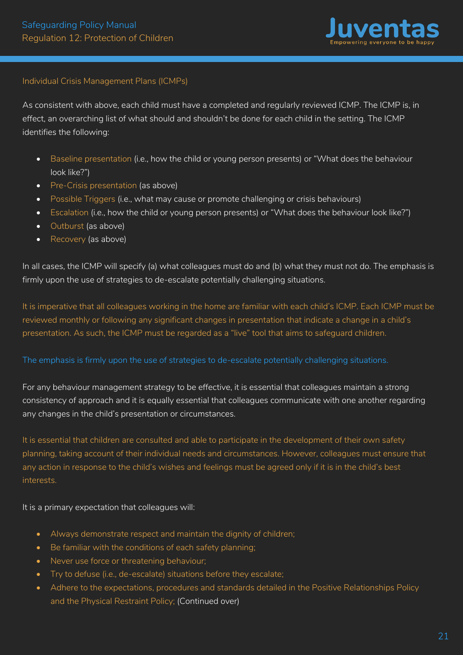

# Individual Crisis Management Plans (ICMPs)

As consistent with above, each child must have a completed and regularly reviewed ICMP. The ICMP is, in effect, an overarching list of what should and shouldn't be done for each child in the setting. The ICMP identifies the following:

- Baseline presentation (i.e., how the child or young person presents) or "What does the behaviour look like?")
- Pre-Crisis presentation (as above)
- Possible Triggers (i.e., what may cause or promote challenging or crisis behaviours)
- Escalation (i.e., how the child or young person presents) or "What does the behaviour look like?")
- Outburst (as above)
- Recovery (as above)

In all cases, the ICMP will specify (a) what colleagues must do and (b) what they must not do. The emphasis is firmly upon the use of strategies to de-escalate potentially challenging situations.

It is imperative that all colleagues working in the home are familiar with each child's ICMP. Each ICMP must be reviewed monthly or following any significant changes in presentation that indicate a change in a child's presentation. As such, the ICMP must be regarded as a "live" tool that aims to safeguard children.

# The emphasis is firmly upon the use of strategies to de-escalate potentially challenging situations.

For any behaviour management strategy to be effective, it is essential that colleagues maintain a strong consistency of approach and it is equally essential that colleagues communicate with one another regarding any changes in the child's presentation or circumstances.

It is essential that children are consulted and able to participate in the development of their own safety planning, taking account of their individual needs and circumstances. However, colleagues must ensure that any action in response to the child's wishes and feelings must be agreed only if it is in the child's best interests.

It is a primary expectation that colleagues will:

- Always demonstrate respect and maintain the dignity of children;
- Be familiar with the conditions of each safety planning;
- Never use force or threatening behaviour;
- Try to defuse (i.e., de-escalate) situations before they escalate;
- Adhere to the expectations, procedures and standards detailed in the Positive Relationships Policy and the Physical Restraint Policy; (Continued over)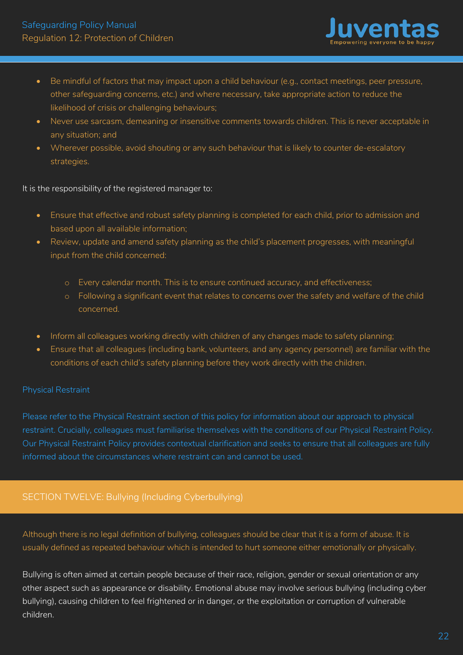

- <span id="page-22-0"></span>• Be mindful of factors that may impact upon a child behaviour (e.g., contact meetings, peer pressure, other safeguarding concerns, etc.) and where necessary, take appropriate action to reduce the likelihood of crisis or challenging behaviours;
- Never use sarcasm, demeaning or insensitive comments towards children. This is never acceptable in any situation; and
- Wherever possible, avoid shouting or any such behaviour that is likely to counter de-escalatory strategies.

It is the responsibility of the registered manager to:

- Ensure that effective and robust safety planning is completed for each child, prior to admission and based upon all available information;
- Review, update and amend safety planning as the child's placement progresses, with meaningful input from the child concerned:
	- o Every calendar month. This is to ensure continued accuracy, and effectiveness;
	- o Following a significant event that relates to concerns over the safety and welfare of the child concerned.
- Inform all colleagues working directly with children of any changes made to safety planning;
- Ensure that all colleagues (including bank, volunteers, and any agency personnel) are familiar with the conditions of each child's safety planning before they work directly with the children.

# Physical Restraint

Please refer to the Physical Restraint section of this policy for information about our approach to physical restraint. Crucially, colleagues must familiarise themselves with the conditions of our Physical Restraint Policy. Our Physical Restraint Policy provides contextual clarification and seeks to ensure that all colleagues are fully informed about the circumstances where restraint can and cannot be used.

# SECTION TWELVE: Bullying (Including Cyberbullying)

Although there is no legal definition of bullying, colleagues should be clear that it is a form of abuse. It is usually defined as repeated behaviour which is intended to hurt someone either emotionally or physically.

Bullying is often aimed at certain people because of their race, religion, gender or sexual orientation or any other aspect such as appearance or disability. Emotional abuse may involve serious bullying (including cyber bullying), causing children to feel frightened or in danger, or the exploitation or corruption of vulnerable children.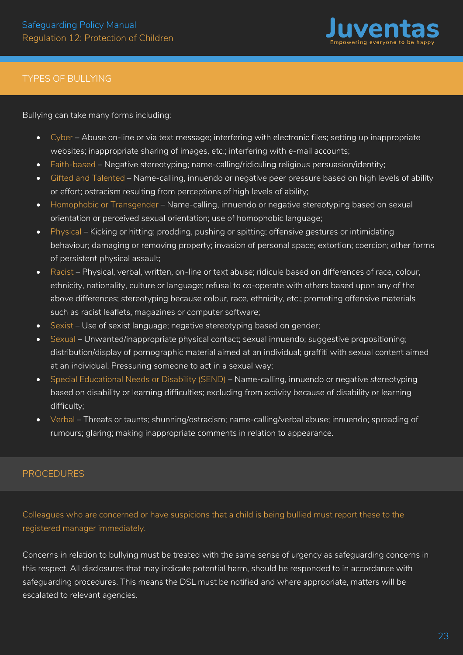

# TYPES OF BULLYING

Bullying can take many forms including:

- Cyber Abuse on-line or via text message; interfering with electronic files; setting up inappropriate websites; inappropriate sharing of images, etc.; interfering with e-mail accounts;
- Faith-based Negative stereotyping; name-calling/ridiculing religious persuasion/identity;
- Gifted and Talented Name-calling, innuendo or negative peer pressure based on high levels of ability or effort; ostracism resulting from perceptions of high levels of ability;
- Homophobic or Transgender Name-calling, innuendo or negative stereotyping based on sexual orientation or perceived sexual orientation; use of homophobic language;
- Physical Kicking or hitting; prodding, pushing or spitting; offensive gestures or intimidating behaviour; damaging or removing property; invasion of personal space; extortion; coercion; other forms of persistent physical assault;
- Racist Physical, verbal, written, on-line or text abuse; ridicule based on differences of race, colour, ethnicity, nationality, culture or language; refusal to co-operate with others based upon any of the above differences; stereotyping because colour, race, ethnicity, etc.; promoting offensive materials such as racist leaflets, magazines or computer software;
- Sexist Use of sexist language; negative stereotyping based on gender;
- Sexual Unwanted/inappropriate physical contact; sexual innuendo; suggestive propositioning; distribution/display of pornographic material aimed at an individual; graffiti with sexual content aimed at an individual. Pressuring someone to act in a sexual way;
- Special Educational Needs or Disability (SEND) Name-calling, innuendo or negative stereotyping based on disability or learning difficulties; excluding from activity because of disability or learning difficulty;
- Verbal Threats or taunts; shunning/ostracism; name-calling/verbal abuse; innuendo; spreading of rumours; glaring; making inappropriate comments in relation to appearance.

# PROCEDURES

Colleagues who are concerned or have suspicions that a child is being bullied must report these to the registered manager immediately.

Concerns in relation to bullying must be treated with the same sense of urgency as safeguarding concerns in this respect. All disclosures that may indicate potential harm, should be responded to in accordance with safeguarding procedures. This means the DSL must be notified and where appropriate, matters will be escalated to relevant agencies.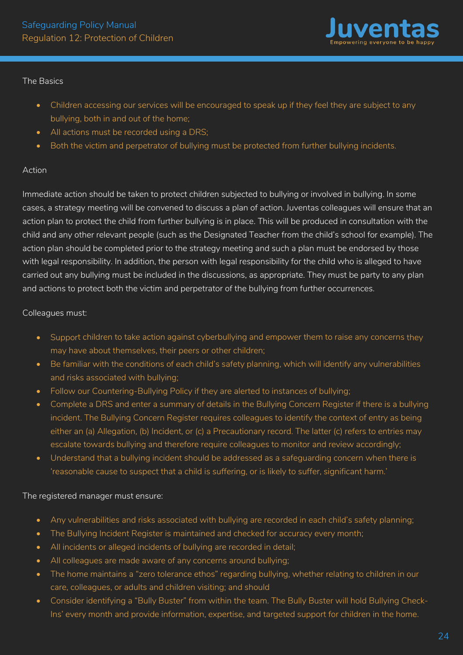

# The Basics

- Children accessing our services will be encouraged to speak up if they feel they are subject to any bullying, both in and out of the home;
- All actions must be recorded using a DRS;
- Both the victim and perpetrator of bullying must be protected from further bullying incidents.

# Action

Immediate action should be taken to protect children subjected to bullying or involved in bullying. In some cases, a strategy meeting will be convened to discuss a plan of action. Juventas colleagues will ensure that an action plan to protect the child from further bullying is in place. This will be produced in consultation with the child and any other relevant people (such as the Designated Teacher from the child's school for example). The action plan should be completed prior to the strategy meeting and such a plan must be endorsed by those with legal responsibility. In addition, the person with legal responsibility for the child who is alleged to have carried out any bullying must be included in the discussions, as appropriate. They must be party to any plan and actions to protect both the victim and perpetrator of the bullying from further occurrences.

# Colleagues must:

- Support children to take action against cyberbullying and empower them to raise any concerns they may have about themselves, their peers or other children;
- Be familiar with the conditions of each child's safety planning, which will identify any vulnerabilities and risks associated with bullying;
- Follow our Countering-Bullying Policy if they are alerted to instances of bullying;
- Complete a DRS and enter a summary of details in the Bullying Concern Register if there is a bullying incident. The Bullying Concern Register requires colleagues to identify the context of entry as being either an (a) Allegation, (b) Incident, or (c) a Precautionary record. The latter (c) refers to entries may escalate towards bullying and therefore require colleagues to monitor and review accordingly;
- Understand that a bullying incident should be addressed as a safeguarding concern when there is 'reasonable cause to suspect that a child is suffering, or is likely to suffer, significant harm.'

# The registered manager must ensure:

- Any vulnerabilities and risks associated with bullying are recorded in each child's safety planning;
- The Bullying Incident Register is maintained and checked for accuracy every month;
- All incidents or alleged incidents of bullying are recorded in detail;
- All colleagues are made aware of any concerns around bullying;
- The home maintains a "zero tolerance ethos" regarding bullying, whether relating to children in our care, colleagues, or adults and children visiting; and should
- Consider identifying a "Bully Buster" from within the team. The Bully Buster will hold Bullying Check-Ins' every month and provide information, expertise, and targeted support for children in the home.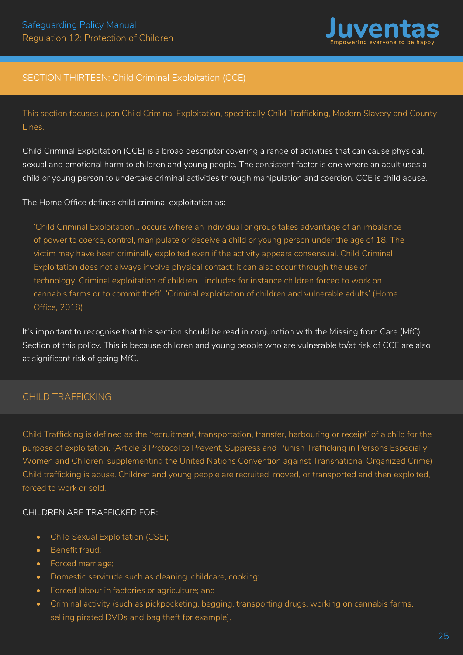

# <span id="page-25-0"></span>SECTION THIRTEEN: Child Criminal Exploitation (CCE)

This section focuses upon Child Criminal Exploitation, specifically Child Trafficking, Modern Slavery and County Lines.

Child Criminal Exploitation (CCE) is a broad descriptor covering a range of activities that can cause physical, sexual and emotional harm to children and young people. The consistent factor is one where an adult uses a child or young person to undertake criminal activities through manipulation and coercion. CCE is child abuse.

The Home Office defines child criminal exploitation as:

'Child Criminal Exploitation... occurs where an individual or group takes advantage of an imbalance of power to coerce, control, manipulate or deceive a child or young person under the age of 18. The victim may have been criminally exploited even if the activity appears consensual. Child Criminal Exploitation does not always involve physical contact; it can also occur through the use of technology. Criminal exploitation of children... includes for instance children forced to work on cannabis farms or to commit theft'. 'Criminal exploitation of children and vulnerable adults' (Home Office, 2018)

It's important to recognise that this section should be read in conjunction with the Missing from Care (MfC) Section of this policy. This is because children and young people who are vulnerable to/at risk of CCE are also at significant risk of going MfC.

# CHILD TRAFFICKING

Child Trafficking is defined as the 'recruitment, transportation, transfer, harbouring or receipt' of a child for the purpose of exploitation. (Article 3 Protocol to Prevent, Suppress and Punish Trafficking in Persons Especially Women and Children, supplementing the United Nations Convention against Transnational Organized Crime) Child trafficking is abuse. Children and young people are recruited, moved, or transported and then exploited, forced to work or sold.

# CHILDREN ARE TRAFFICKED FOR:

- Child Sexual Exploitation (CSE);
- Benefit fraud;
- Forced marriage;
- Domestic servitude such as cleaning, childcare, cooking;
- Forced labour in factories or agriculture; and
- Criminal activity (such as pickpocketing, begging, transporting drugs, working on cannabis farms, selling pirated DVDs and bag theft for example).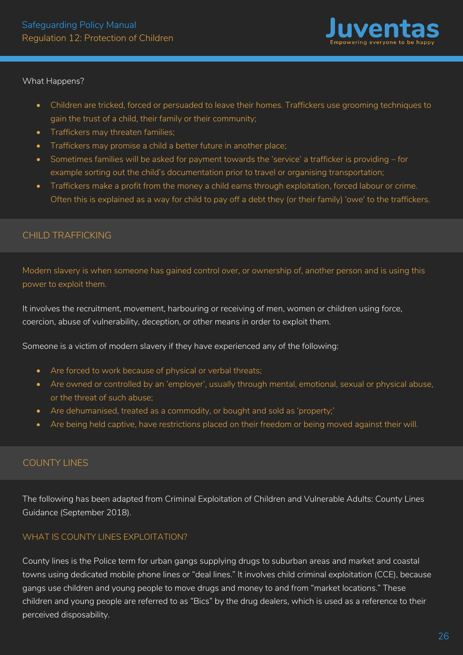

#### What Happens?

- Children are tricked, forced or persuaded to leave their homes. Traffickers use grooming techniques to gain the trust of a child, their family or their community;
- Traffickers may threaten families;
- Traffickers may promise a child a better future in another place;
- Sometimes families will be asked for payment towards the 'service' a trafficker is providing for example sorting out the child's documentation prior to travel or organising transportation;
- Traffickers make a profit from the money a child earns through exploitation, forced labour or crime. Often this is explained as a way for child to pay off a debt they (or their family) 'owe' to the traffickers.

# CHILD TRAFFICKING

Modern slavery is when someone has gained control over, or ownership of, another person and is using this power to exploit them.

It involves the recruitment, movement, harbouring or receiving of men, women or children using force, coercion, abuse of vulnerability, deception, or other means in order to exploit them.

Someone is a victim of modern slavery if they have experienced any of the following:

- Are forced to work because of physical or verbal threats;
- Are owned or controlled by an 'employer', usually through mental, emotional, sexual or physical abuse, or the threat of such abuse;
- Are dehumanised, treated as a commodity, or bought and sold as 'property;'
- Are being held captive, have restrictions placed on their freedom or being moved against their will.

# COUNTY LINES

The following has been adapted from Criminal Exploitation of Children and Vulnerable Adults: County Lines Guidance (September 2018).

# WHAT IS COUNTY LINES EXPLOITATION?

County lines is the Police term for urban gangs supplying drugs to suburban areas and market and coastal towns using dedicated mobile phone lines or "deal lines." It involves child criminal exploitation (CCE), because gangs use children and young people to move drugs and money to and from "market locations." These children and young people are referred to as "Bics" by the drug dealers, which is used as a reference to their perceived disposability.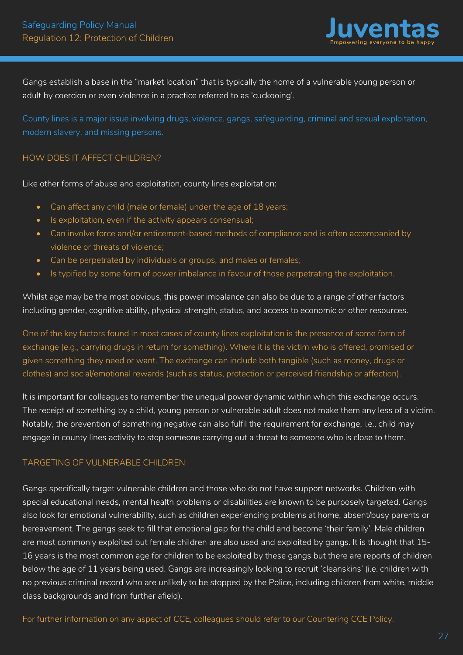

Gangs establish a base in the "market location" that is typically the home of a vulnerable young person or adult by coercion or even violence in a practice referred to as 'cuckooing'.

County lines is a major issue involving drugs, violence, gangs, safeguarding, criminal and sexual exploitation, modern slavery, and missing persons.

#### HOW DOES IT AFFECT CHILDREN?

Like other forms of abuse and exploitation, county lines exploitation:

- Can affect any child (male or female) under the age of 18 years;
- Is exploitation, even if the activity appears consensual;
- Can involve force and/or enticement-based methods of compliance and is often accompanied by violence or threats of violence;
- Can be perpetrated by individuals or groups, and males or females;
- Is typified by some form of power imbalance in favour of those perpetrating the exploitation.

Whilst age may be the most obvious, this power imbalance can also be due to a range of other factors including gender, cognitive ability, physical strength, status, and access to economic or other resources.

One of the key factors found in most cases of county lines exploitation is the presence of some form of exchange (e.g., carrying drugs in return for something). Where it is the victim who is offered, promised or given something they need or want. The exchange can include both tangible (such as money, drugs or clothes) and social/emotional rewards (such as status, protection or perceived friendship or affection).

It is important for colleagues to remember the unequal power dynamic within which this exchange occurs. The receipt of something by a child, young person or vulnerable adult does not make them any less of a victim. Notably, the prevention of something negative can also fulfil the requirement for exchange, i.e., child may engage in county lines activity to stop someone carrying out a threat to someone who is close to them.

# TARGETING OF VULNERABLE CHILDREN

Gangs specifically target vulnerable children and those who do not have support networks. Children with special educational needs, mental health problems or disabilities are known to be purposely targeted. Gangs also look for emotional vulnerability, such as children experiencing problems at home, absent/busy parents or bereavement. The gangs seek to fill that emotional gap for the child and become 'their family'. Male children are most commonly exploited but female children are also used and exploited by gangs. It is thought that 15- 16 years is the most common age for children to be exploited by these gangs but there are reports of children below the age of 11 years being used. Gangs are increasingly looking to recruit 'cleanskins' (i.e. children with no previous criminal record who are unlikely to be stopped by the Police, including children from white, middle class backgrounds and from further afield).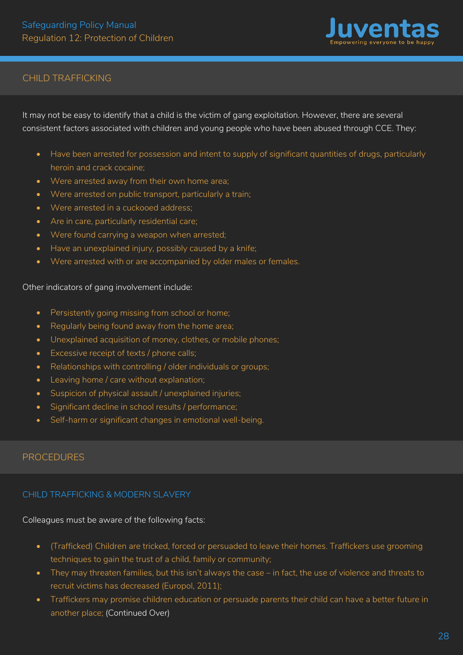

# CHILD TRAFFICKING

It may not be easy to identify that a child is the victim of gang exploitation. However, there are several consistent factors associated with children and young people who have been abused through CCE. They:

- Have been arrested for possession and intent to supply of significant quantities of drugs, particularly heroin and crack cocaine;
- Were arrested away from their own home area;
- Were arrested on public transport, particularly a train;
- Were arrested in a cuckooed address:
- Are in care, particularly residential care;
- Were found carrying a weapon when arrested;
- Have an unexplained injury, possibly caused by a knife;
- Were arrested with or are accompanied by older males or females.

#### Other indicators of gang involvement include:

- Persistently going missing from school or home;
- Regularly being found away from the home area;
- Unexplained acquisition of money, clothes, or mobile phones;
- Excessive receipt of texts / phone calls;
- Relationships with controlling / older individuals or groups;
- Leaving home / care without explanation;
- Suspicion of physical assault / unexplained injuries;
- Significant decline in school results / performance;
- Self-harm or significant changes in emotional well-being.

# PROCEDURES

# CHILD TRAFFICKING & MODERN SLAVERY

Colleagues must be aware of the following facts:

- (Trafficked) Children are tricked, forced or persuaded to leave their homes. Traffickers use grooming techniques to gain the trust of a child, family or community;
- They may threaten families, but this isn't always the case in fact, the use of violence and threats to recruit victims has decreased (Europol, 2011);
- Traffickers may promise children education or persuade parents their child can have a better future in another place; (Continued Over)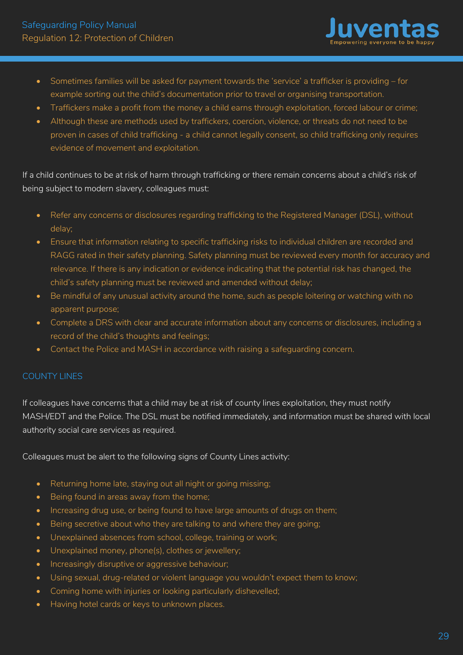

- Sometimes families will be asked for payment towards the 'service' a trafficker is providing for example sorting out the child's documentation prior to travel or organising transportation.
- Traffickers make a profit from the money a child earns through exploitation, forced labour or crime;
- Although these are methods used by traffickers, coercion, violence, or threats do not need to be proven in cases of child trafficking - a child cannot legally consent, so child trafficking only requires evidence of movement and exploitation.

If a child continues to be at risk of harm through trafficking or there remain concerns about a child's risk of being subject to modern slavery, colleagues must:

- Refer any concerns or disclosures regarding trafficking to the Registered Manager (DSL), without delay;
- Ensure that information relating to specific trafficking risks to individual children are recorded and RAGG rated in their safety planning. Safety planning must be reviewed every month for accuracy and relevance. If there is any indication or evidence indicating that the potential risk has changed, the child's safety planning must be reviewed and amended without delay;
- Be mindful of any unusual activity around the home, such as people loitering or watching with no apparent purpose;
- Complete a DRS with clear and accurate information about any concerns or disclosures, including a record of the child's thoughts and feelings;
- Contact the Police and MASH in accordance with raising a safeguarding concern.

# COUNTY LINES

If colleagues have concerns that a child may be at risk of county lines exploitation, they must notify MASH/EDT and the Police. The DSL must be notified immediately, and information must be shared with local authority social care services as required.

Colleagues must be alert to the following signs of County Lines activity:

- Returning home late, staying out all night or going missing;
- Being found in areas away from the home;
- Increasing drug use, or being found to have large amounts of drugs on them;
- Being secretive about who they are talking to and where they are going;
- Unexplained absences from school, college, training or work;
- Unexplained money, phone(s), clothes or jewellery;
- Increasingly disruptive or aggressive behaviour;
- Using sexual, drug-related or violent language you wouldn't expect them to know;
- Coming home with injuries or looking particularly dishevelled;
- Having hotel cards or keys to unknown places.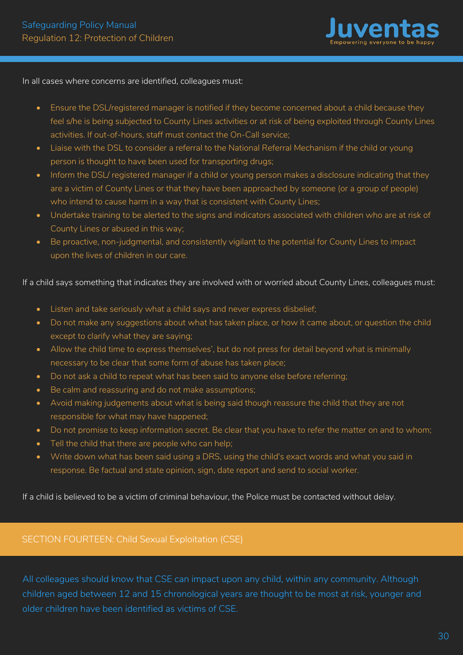

<span id="page-30-0"></span>In all cases where concerns are identified, colleagues must:

- Ensure the DSL/registered manager is notified if they become concerned about a child because they feel s/he is being subjected to County Lines activities or at risk of being exploited through County Lines activities. If out-of-hours, staff must contact the On-Call service;
- Liaise with the DSL to consider a referral to the National Referral Mechanism if the child or young person is thought to have been used for transporting drugs;
- Inform the DSL/ registered manager if a child or young person makes a disclosure indicating that they are a victim of County Lines or that they have been approached by someone (or a group of people) who intend to cause harm in a way that is consistent with County Lines;
- Undertake training to be alerted to the signs and indicators associated with children who are at risk of County Lines or abused in this way;
- Be proactive, non-judgmental, and consistently vigilant to the potential for County Lines to impact upon the lives of children in our care.

If a child says something that indicates they are involved with or worried about County Lines, colleagues must:

- Listen and take seriously what a child says and never express disbelief;
- Do not make any suggestions about what has taken place, or how it came about, or question the child except to clarify what they are saying;
- Allow the child time to express themselves', but do not press for detail beyond what is minimally necessary to be clear that some form of abuse has taken place;
- Do not ask a child to repeat what has been said to anyone else before referring;
- Be calm and reassuring and do not make assumptions;
- Avoid making judgements about what is being said though reassure the child that they are not responsible for what may have happened;
- Do not promise to keep information secret. Be clear that you have to refer the matter on and to whom;
- Tell the child that there are people who can help;
- Write down what has been said using a DRS, using the child's exact words and what you said in response. Be factual and state opinion, sign, date report and send to social worker.

If a child is believed to be a victim of criminal behaviour, the Police must be contacted without delay.

# SECTION FOURTEEN: Child Sexual Exploitation (CSE)

All colleagues should know that CSE can impact upon any child, within any community. Although children aged between 12 and 15 chronological years are thought to be most at risk, younger and older children have been identified as victims of CSE.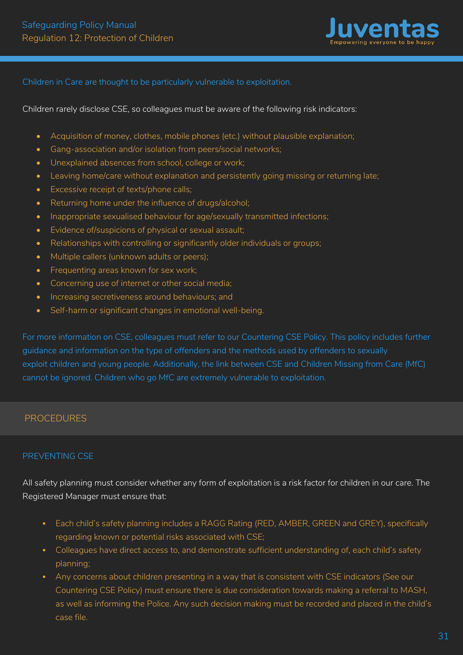

#### Children in Care are thought to be particularly vulnerable to exploitation.

Children rarely disclose CSE, so colleagues must be aware of the following risk indicators:

- Acquisition of money, clothes, mobile phones (etc.) without plausible explanation;
- Gang-association and/or isolation from peers/social networks;
- Unexplained absences from school, college or work;
- Leaving home/care without explanation and persistently going missing or returning late;
- Excessive receipt of texts/phone calls;
- Returning home under the influence of drugs/alcohol;
- Inappropriate sexualised behaviour for age/sexually transmitted infections;
- Evidence of/suspicions of physical or sexual assault;
- Relationships with controlling or significantly older individuals or groups;
- Multiple callers (unknown adults or peers);
- Frequenting areas known for sex work:
- Concerning use of internet or other social media;
- Increasing secretiveness around behaviours; and
- Self-harm or significant changes in emotional well-being.

For more information on CSE, colleagues must refer to our Countering CSE Policy. This policy includes further guidance and information on the type of offenders and the methods used by offenders to sexually exploit children and young people. Additionally, the link between CSE and Children Missing from Care (MfC) cannot be ignored. Children who go MfC are extremely vulnerable to exploitation.

#### PROCEDURES

#### PREVENTING CSE

All safety planning must consider whether any form of exploitation is a risk factor for children in our care. The Registered Manager must ensure that:

- Each child's safety planning includes a RAGG Rating (RED, AMBER, GREEN and GREY), specifically regarding known or potential risks associated with CSE;
- Colleagues have direct access to, and demonstrate sufficient understanding of, each child's safety planning;
- Any concerns about children presenting in a way that is consistent with CSE indicators (See our Countering CSE Policy) must ensure there is due consideration towards making a referral to MASH, as well as informing the Police. Any such decision making must be recorded and placed in the child's case file.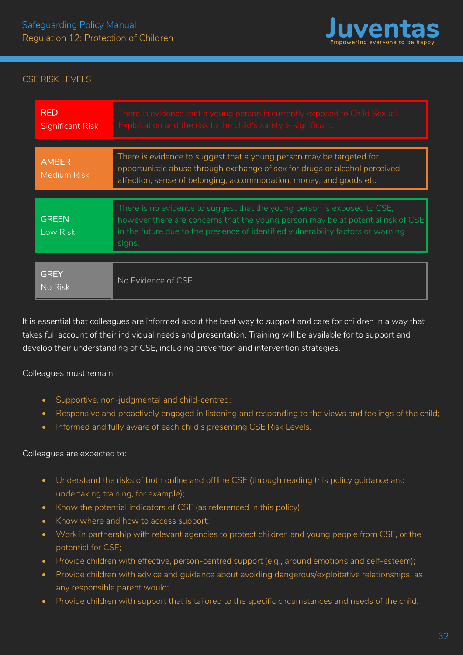

# CSE RISK LEVELS

| <b>RED</b><br><b>Significant Risk</b> | There is evidence that a young person is currently exposed to Child Sexual<br>Exploitation and the risk to the child's safety is significant.                                                                                                              |  |  |  |
|---------------------------------------|------------------------------------------------------------------------------------------------------------------------------------------------------------------------------------------------------------------------------------------------------------|--|--|--|
| <b>AMBER</b><br><b>Medium Risk</b>    | There is evidence to suggest that a young person may be targeted for<br>opportunistic abuse through exchange of sex for drugs or alcohol perceived<br>affection, sense of belonging, accommodation, money, and goods etc.                                  |  |  |  |
|                                       |                                                                                                                                                                                                                                                            |  |  |  |
| <b>GREEN</b><br>Low Risk              | There is no evidence to suggest that the young person is exposed to CSE,<br>however there are concerns that the young person may be at potential risk of CSE<br>in the future due to the presence of identified vulnerability factors or warning<br>signs. |  |  |  |
|                                       |                                                                                                                                                                                                                                                            |  |  |  |
| <b>GREY</b><br>No Risk                | No Evidence of CSE                                                                                                                                                                                                                                         |  |  |  |

It is essential that colleagues are informed about the best way to support and care for children in a way that takes full account of their individual needs and presentation. Training will be available for to support and develop their understanding of CSE, including prevention and intervention strategies.

Colleagues must remain:

- Supportive, non-judgmental and child-centred;
- Responsive and proactively engaged in listening and responding to the views and feelings of the child;
- Informed and fully aware of each child's presenting CSE Risk Levels.

#### Colleagues are expected to:

- Understand the risks of both online and offline CSE (through reading this policy guidance and undertaking training, for example);
- Know the potential indicators of CSE (as referenced in this policy);
- Know where and how to access support;
- Work in partnership with relevant agencies to protect children and young people from CSE, or the potential for CSE;
- Provide children with effective, person-centred support (e.g., around emotions and self-esteem);
- Provide children with advice and guidance about avoiding dangerous/exploitative relationships, as any responsible parent would;
- Provide children with support that is tailored to the specific circumstances and needs of the child.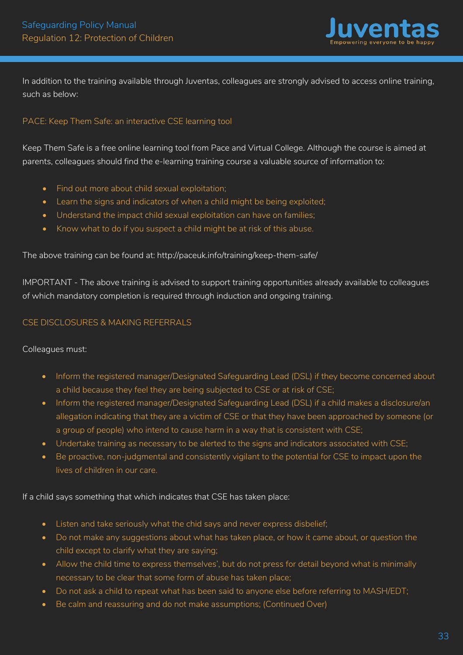

In addition to the training available through Juventas, colleagues are strongly advised to access online training, such as below:

# PACE: Keep Them Safe: an interactive CSE learning tool

Keep Them Safe is a free online learning tool from Pace and Virtual College. Although the course is aimed at parents, colleagues should find the e-learning training course a valuable source of information to:

- Find out more about child sexual exploitation;
- Learn the signs and indicators of when a child might be being exploited;
- Understand the impact child sexual exploitation can have on families;
- Know what to do if you suspect a child might be at risk of this abuse.

The above training can be found at: http://paceuk.info/training/keep-them-safe/

IMPORTANT - The above training is advised to support training opportunities already available to colleagues of which mandatory completion is required through induction and ongoing training.

#### CSE DISCLOSURES & MAKING REFERRALS

#### Colleagues must:

- Inform the registered manager/Designated Safeguarding Lead (DSL) if they become concerned about a child because they feel they are being subjected to CSE or at risk of CSE;
- Inform the registered manager/Designated Safeguarding Lead (DSL) if a child makes a disclosure/an allegation indicating that they are a victim of CSE or that they have been approached by someone (or a group of people) who intend to cause harm in a way that is consistent with CSE;
- Undertake training as necessary to be alerted to the signs and indicators associated with CSE;
- Be proactive, non-judgmental and consistently vigilant to the potential for CSE to impact upon the lives of children in our care.

If a child says something that which indicates that CSE has taken place:

- Listen and take seriously what the chid says and never express disbelief;
- Do not make any suggestions about what has taken place, or how it came about, or question the child except to clarify what they are saying;
- Allow the child time to express themselves', but do not press for detail beyond what is minimally necessary to be clear that some form of abuse has taken place;
- Do not ask a child to repeat what has been said to anyone else before referring to MASH/EDT;
- Be calm and reassuring and do not make assumptions; (Continued Over)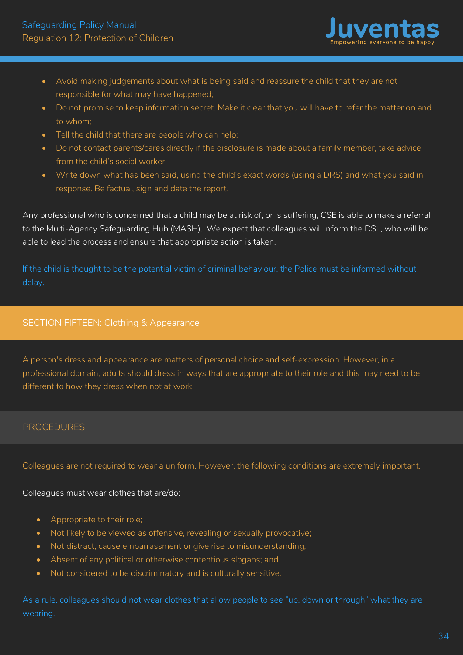

- <span id="page-34-0"></span>• Avoid making judgements about what is being said and reassure the child that they are not responsible for what may have happened;
- Do not promise to keep information secret. Make it clear that you will have to refer the matter on and to whom;
- Tell the child that there are people who can help;
- Do not contact parents/cares directly if the disclosure is made about a family member, take advice from the child's social worker;
- Write down what has been said, using the child's exact words (using a DRS) and what you said in response. Be factual, sign and date the report.

Any professional who is concerned that a child may be at risk of, or is suffering, CSE is able to make a referral to the Multi-Agency Safeguarding Hub (MASH). We expect that colleagues will inform the DSL, who will be able to lead the process and ensure that appropriate action is taken.

If the child is thought to be the potential victim of criminal behaviour, the Police must be informed without delay.

# SECTION FIFTEEN: Clothing & Appearance

A person's dress and appearance are matters of personal choice and self-expression. However, in a professional domain, adults should dress in ways that are appropriate to their role and this may need to be different to how they dress when not at work.

# PROCEDURES

Colleagues are not required to wear a uniform. However, the following conditions are extremely important.

Colleagues must wear clothes that are/do:

- Appropriate to their role;
- Not likely to be viewed as offensive, revealing or sexually provocative;
- Not distract, cause embarrassment or give rise to misunderstanding;
- Absent of any political or otherwise contentious slogans; and
- Not considered to be discriminatory and is culturally sensitive.

As a rule, colleagues should not wear clothes that allow people to see "up, down or through" what they are wearing.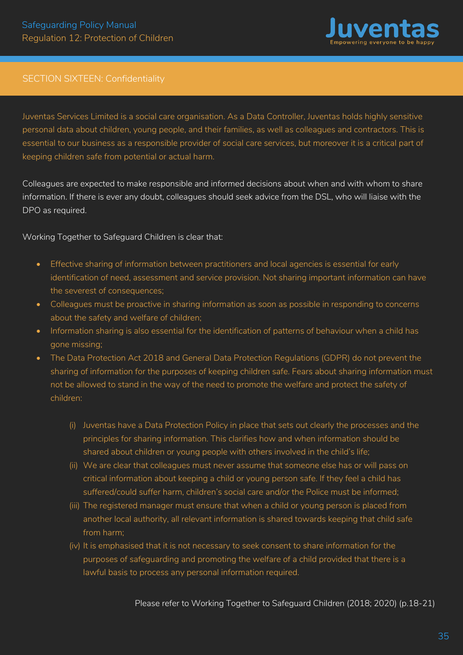

# <span id="page-35-0"></span>SECTION SIXTEEN: Confidentiality

Juventas Services Limited is a social care organisation. As a Data Controller, Juventas holds highly sensitive personal data about children, young people, and their families, as well as colleagues and contractors. This is essential to our business as a responsible provider of social care services, but moreover it is a critical part of keeping children safe from potential or actual harm.

Colleagues are expected to make responsible and informed decisions about when and with whom to share information. If there is ever any doubt, colleagues should seek advice from the DSL, who will liaise with the DPO as required.

Working Together to Safeguard Children is clear that:

- Effective sharing of information between practitioners and local agencies is essential for early identification of need, assessment and service provision. Not sharing important information can have the severest of consequences;
- Colleagues must be proactive in sharing information as soon as possible in responding to concerns about the safety and welfare of children;
- Information sharing is also essential for the identification of patterns of behaviour when a child has gone missing;
- The Data Protection Act 2018 and General Data Protection Regulations (GDPR) do not prevent the sharing of information for the purposes of keeping children safe. Fears about sharing information must not be allowed to stand in the way of the need to promote the welfare and protect the safety of children:
	- (i) Juventas have a Data Protection Policy in place that sets out clearly the processes and the principles for sharing information. This clarifies how and when information should be shared about children or young people with others involved in the child's life;
	- (ii) We are clear that colleagues must never assume that someone else has or will pass on critical information about keeping a child or young person safe. If they feel a child has suffered/could suffer harm, children's social care and/or the Police must be informed;
	- (iii) The registered manager must ensure that when a child or young person is placed from another local authority, all relevant information is shared towards keeping that child safe from harm;
	- (iv) It is emphasised that it is not necessary to seek consent to share information for the purposes of safeguarding and promoting the welfare of a child provided that there is a lawful basis to process any personal information required.

Please refer to Working Together to Safeguard Children (2018; 2020) (p.18-21)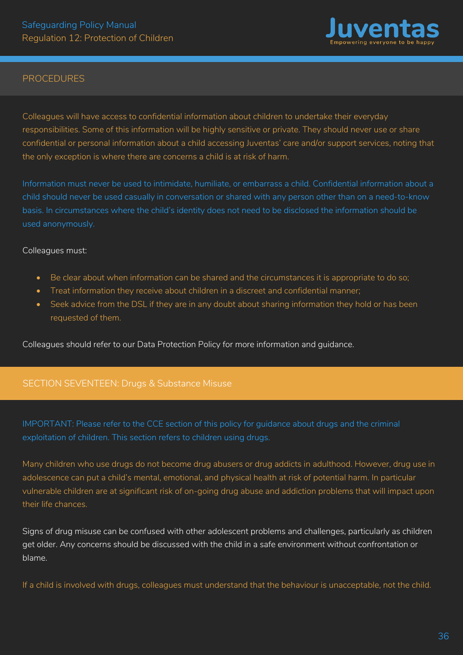

#### PROCEDURES

Colleagues will have access to confidential information about children to undertake their everyday responsibilities. Some of this information will be highly sensitive or private. They should never use or share confidential or personal information about a child accessing Juventas' care and/or support services, noting that the only exception is where there are concerns a child is at risk of harm.

Information must never be used to intimidate, humiliate, or embarrass a child. Confidential information about a child should never be used casually in conversation or shared with any person other than on a need-to-know basis. In circumstances where the child's identity does not need to be disclosed the information should be used anonymously.

#### Colleagues must:

- Be clear about when information can be shared and the circumstances it is appropriate to do so;
- Treat information they receive about children in a discreet and confidential manner;
- Seek advice from the DSL if they are in any doubt about sharing information they hold or has been requested of them.

Colleagues should refer to our Data Protection Policy for more information and guidance.

#### SECTION SEVENTEEN: Drugs & Substance Misuse

IMPORTANT: Please refer to the CCE section of this policy for guidance about drugs and the criminal exploitation of children. This section refers to children using drugs.

Many children who use drugs do not become drug abusers or drug addicts in adulthood. However, drug use in adolescence can put a child's mental, emotional, and physical health at risk of potential harm. In particular vulnerable children are at significant risk of on-going drug abuse and addiction problems that will impact upon their life chances.

Signs of drug misuse can be confused with other adolescent problems and challenges, particularly as children get older. Any concerns should be discussed with the child in a safe environment without confrontation or blame.

If a child is involved with drugs, colleagues must understand that the behaviour is unacceptable, not the child.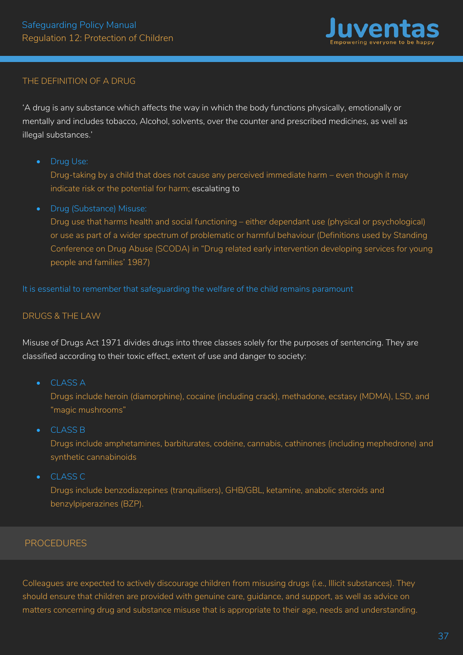

### THE DEFINITION OF A DRUG

'A drug is any substance which affects the way in which the body functions physically, emotionally or mentally and includes tobacco, Alcohol, solvents, over the counter and prescribed medicines, as well as illegal substances.'

• Drug Use:

Drug-taking by a child that does not cause any perceived immediate harm – even though it may indicate risk or the potential for harm; escalating to

• Drug (Substance) Misuse:

Drug use that harms health and social functioning – either dependant use (physical or psychological) or use as part of a wider spectrum of problematic or harmful behaviour (Definitions used by Standing Conference on Drug Abuse (SCODA) in "Drug related early intervention developing services for young people and families' 1987)

It is essential to remember that safeguarding the welfare of the child remains paramount

#### DRUGS & THE LAW

Misuse of Drugs Act 1971 divides drugs into three classes solely for the purposes of sentencing. They are classified according to their toxic effect, extent of use and danger to society:

• CLASS A

Drugs include heroin (diamorphine), cocaine (including crack), methadone, ecstasy (MDMA), LSD, and "magic mushrooms"

• CLASS B

Drugs include amphetamines, barbiturates, codeine, cannabis, cathinones (including mephedrone) and synthetic cannabinoids

• CLASS C

Drugs include benzodiazepines (tranquilisers), GHB/GBL, ketamine, anabolic steroids and benzylpiperazines (BZP).

# PROCEDURES

Colleagues are expected to actively discourage children from misusing drugs (i.e., Illicit substances). They should ensure that children are provided with genuine care, guidance, and support, as well as advice on matters concerning drug and substance misuse that is appropriate to their age, needs and understanding.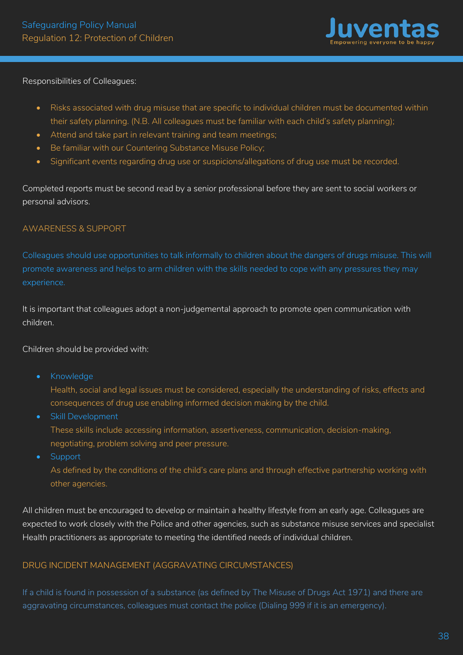

Responsibilities of Colleagues:

- Risks associated with drug misuse that are specific to individual children must be documented within their safety planning. (N.B. All colleagues must be familiar with each child's safety planning);
- Attend and take part in relevant training and team meetings;
- Be familiar with our Countering Substance Misuse Policy;
- Significant events regarding drug use or suspicions/allegations of drug use must be recorded.

Completed reports must be second read by a senior professional before they are sent to social workers or personal advisors.

#### AWARENESS & SUPPORT

Colleagues should use opportunities to talk informally to children about the dangers of drugs misuse. This will promote awareness and helps to arm children with the skills needed to cope with any pressures they may experience.

It is important that colleagues adopt a non-judgemental approach to promote open communication with children.

#### Children should be provided with:

• Knowledge

Health, social and legal issues must be considered, especially the understanding of risks, effects and consequences of drug use enabling informed decision making by the child.

• Skill Development

These skills include accessing information, assertiveness, communication, decision-making, negotiating, problem solving and peer pressure.

• Support

As defined by the conditions of the child's care plans and through effective partnership working with other agencies.

All children must be encouraged to develop or maintain a healthy lifestyle from an early age. Colleagues are expected to work closely with the Police and other agencies, such as substance misuse services and specialist Health practitioners as appropriate to meeting the identified needs of individual children.

#### DRUG INCIDENT MANAGEMENT (AGGRAVATING CIRCUMSTANCES)

If a child is found in possession of a substance (as defined by The Misuse of Drugs Act 1971) and there are aggravating circumstances, colleagues must contact the police (Dialing 999 if it is an emergency).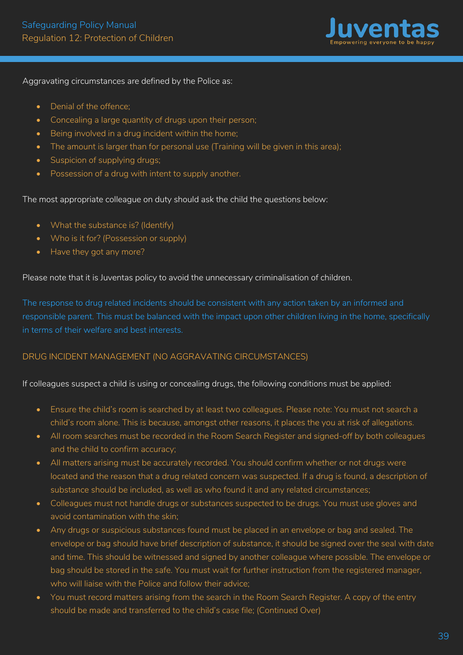

Aggravating circumstances are defined by the Police as:

- Denial of the offence;
- Concealing a large quantity of drugs upon their person;
- Being involved in a drug incident within the home;
- The amount is larger than for personal use (Training will be given in this area);
- Suspicion of supplying drugs;
- Possession of a drug with intent to supply another.

The most appropriate colleague on duty should ask the child the questions below:

- What the substance is? (Identify)
- Who is it for? (Possession or supply)
- Have they got any more?

Please note that it is Juventas policy to avoid the unnecessary criminalisation of children.

The response to drug related incidents should be consistent with any action taken by an informed and responsible parent. This must be balanced with the impact upon other children living in the home, specifically in terms of their welfare and best interests.

#### DRUG INCIDENT MANAGEMENT (NO AGGRAVATING CIRCUMSTANCES)

If colleagues suspect a child is using or concealing drugs, the following conditions must be applied:

- Ensure the child's room is searched by at least two colleagues. Please note: You must not search a child's room alone. This is because, amongst other reasons, it places the you at risk of allegations.
- All room searches must be recorded in the Room Search Register and signed-off by both colleagues and the child to confirm accuracy;
- All matters arising must be accurately recorded. You should confirm whether or not drugs were located and the reason that a drug related concern was suspected. If a drug is found, a description of substance should be included, as well as who found it and any related circumstances;
- Colleagues must not handle drugs or substances suspected to be drugs. You must use gloves and avoid contamination with the skin;
- Any drugs or suspicious substances found must be placed in an envelope or bag and sealed. The envelope or bag should have brief description of substance, it should be signed over the seal with date and time. This should be witnessed and signed by another colleague where possible. The envelope or bag should be stored in the safe. You must wait for further instruction from the registered manager, who will liaise with the Police and follow their advice;
- You must record matters arising from the search in the Room Search Register. A copy of the entry should be made and transferred to the child's case file; (Continued Over)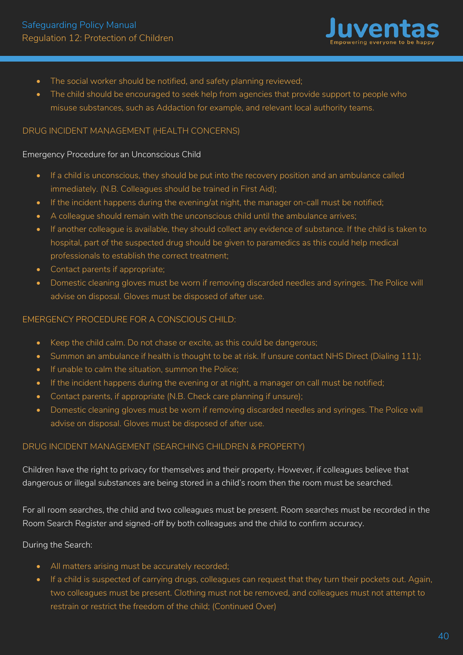

- The social worker should be notified, and safety planning reviewed;
- The child should be encouraged to seek help from agencies that provide support to people who misuse substances, such as Addaction for example, and relevant local authority teams.

#### DRUG INCIDENT MANAGEMENT (HEALTH CONCERNS)

#### Emergency Procedure for an Unconscious Child

- If a child is unconscious, they should be put into the recovery position and an ambulance called immediately. (N.B. Colleagues should be trained in First Aid);
- If the incident happens during the evening/at night, the manager on-call must be notified;
- A colleague should remain with the unconscious child until the ambulance arrives;
- If another colleague is available, they should collect any evidence of substance. If the child is taken to hospital, part of the suspected drug should be given to paramedics as this could help medical professionals to establish the correct treatment;
- Contact parents if appropriate;
- Domestic cleaning gloves must be worn if removing discarded needles and syringes. The Police will advise on disposal. Gloves must be disposed of after use.

#### EMERGENCY PROCEDURE FOR A CONSCIOUS CHILD:

- Keep the child calm. Do not chase or excite, as this could be dangerous;
- Summon an ambulance if health is thought to be at risk. If unsure contact NHS Direct (Dialing 111);
- If unable to calm the situation, summon the Police;
- If the incident happens during the evening or at night, a manager on call must be notified;
- Contact parents, if appropriate (N.B. Check care planning if unsure);
- Domestic cleaning gloves must be worn if removing discarded needles and syringes. The Police will advise on disposal. Gloves must be disposed of after use.

### DRUG INCIDENT MANAGEMENT (SEARCHING CHILDREN & PROPERTY)

Children have the right to privacy for themselves and their property. However, if colleagues believe that dangerous or illegal substances are being stored in a child's room then the room must be searched.

For all room searches, the child and two colleagues must be present. Room searches must be recorded in the Room Search Register and signed-off by both colleagues and the child to confirm accuracy.

#### During the Search:

- All matters arising must be accurately recorded;
- If a child is suspected of carrying drugs, colleagues can request that they turn their pockets out. Again, two colleagues must be present. Clothing must not be removed, and colleagues must not attempt to restrain or restrict the freedom of the child; (Continued Over)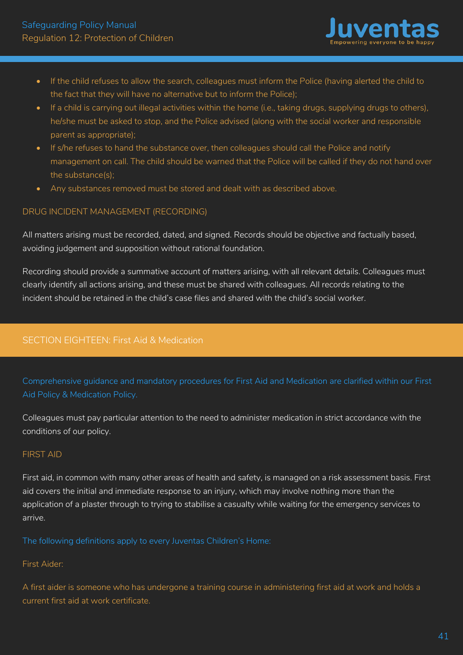

- If the child refuses to allow the search, colleagues must inform the Police (having alerted the child to the fact that they will have no alternative but to inform the Police);
- If a child is carrying out illegal activities within the home (i.e., taking drugs, supplying drugs to others), he/she must be asked to stop, and the Police advised (along with the social worker and responsible parent as appropriate);
- If s/he refuses to hand the substance over, then colleagues should call the Police and notify management on call. The child should be warned that the Police will be called if they do not hand over the substance(s);
- Any substances removed must be stored and dealt with as described above.

# DRUG INCIDENT MANAGEMENT (RECORDING)

All matters arising must be recorded, dated, and signed. Records should be objective and factually based, avoiding judgement and supposition without rational foundation.

Recording should provide a summative account of matters arising, with all relevant details. Colleagues must clearly identify all actions arising, and these must be shared with colleagues. All records relating to the incident should be retained in the child's case files and shared with the child's social worker.

# SECTION EIGHTEEN: First Aid & Medication

Comprehensive guidance and mandatory procedures for First Aid and Medication are clarified within our First Aid Policy & Medication Policy.

Colleagues must pay particular attention to the need to administer medication in strict accordance with the conditions of our policy.

#### FIRST AID

First aid, in common with many other areas of health and safety, is managed on a risk assessment basis. First aid covers the initial and immediate response to an injury, which may involve nothing more than the application of a plaster through to trying to stabilise a casualty while waiting for the emergency services to arrive.

The following definitions apply to every Juventas Children's Home:

#### First Aider:

A first aider is someone who has undergone a training course in administering first aid at work and holds a current first aid at work certificate.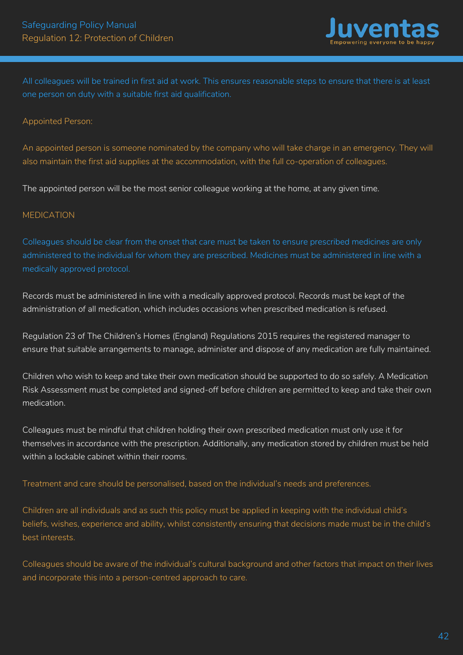

All colleagues will be trained in first aid at work. This ensures reasonable steps to ensure that there is at least one person on duty with a suitable first aid qualification.

#### Appointed Person:

An appointed person is someone nominated by the company who will take charge in an emergency. They will also maintain the first aid supplies at the accommodation, with the full co-operation of colleagues.

The appointed person will be the most senior colleague working at the home, at any given time.

### MEDICATION

Colleagues should be clear from the onset that care must be taken to ensure prescribed medicines are only administered to the individual for whom they are prescribed. Medicines must be administered in line with a medically approved protocol.

Records must be administered in line with a medically approved protocol. Records must be kept of the administration of all medication, which includes occasions when prescribed medication is refused.

Regulation 23 of The Children's Homes (England) Regulations 2015 requires the registered manager to ensure that suitable arrangements to manage, administer and dispose of any medication are fully maintained.

Children who wish to keep and take their own medication should be supported to do so safely. A Medication Risk Assessment must be completed and signed-off before children are permitted to keep and take their own medication.

Colleagues must be mindful that children holding their own prescribed medication must only use it for themselves in accordance with the prescription. Additionally, any medication stored by children must be held within a lockable cabinet within their rooms.

#### Treatment and care should be personalised, based on the individual's needs and preferences.

Children are all individuals and as such this policy must be applied in keeping with the individual child's beliefs, wishes, experience and ability, whilst consistently ensuring that decisions made must be in the child's best interests.

Colleagues should be aware of the individual's cultural background and other factors that impact on their lives and incorporate this into a person-centred approach to care.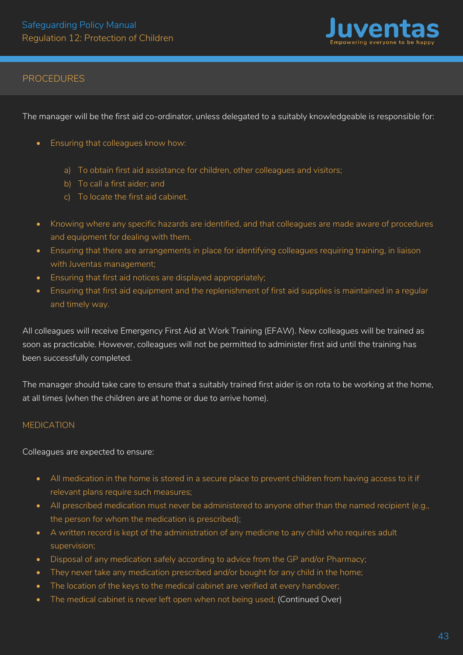

### PROCEDURES

The manager will be the first aid co-ordinator, unless delegated to a suitably knowledgeable is responsible for:

- Ensuring that colleagues know how:
	- a) To obtain first aid assistance for children, other colleagues and visitors;
	- b) To call a first aider; and
	- c) To locate the first aid cabinet.
- Knowing where any specific hazards are identified, and that colleagues are made aware of procedures and equipment for dealing with them.
- Ensuring that there are arrangements in place for identifying colleagues requiring training, in liaison with Juventas management;
- Ensuring that first aid notices are displayed appropriately;
- Ensuring that first aid equipment and the replenishment of first aid supplies is maintained in a regular and timely way.

All colleagues will receive Emergency First Aid at Work Training (EFAW). New colleagues will be trained as soon as practicable. However, colleagues will not be permitted to administer first aid until the training has been successfully completed.

The manager should take care to ensure that a suitably trained first aider is on rota to be working at the home, at all times (when the children are at home or due to arrive home).

#### MEDICATION

Colleagues are expected to ensure:

- All medication in the home is stored in a secure place to prevent children from having access to it if relevant plans require such measures;
- All prescribed medication must never be administered to anyone other than the named recipient (e.g., the person for whom the medication is prescribed);
- A written record is kept of the administration of any medicine to any child who requires adult supervision;
- Disposal of any medication safely according to advice from the GP and/or Pharmacy;
- They never take any medication prescribed and/or bought for any child in the home;
- The location of the keys to the medical cabinet are verified at every handover;
- The medical cabinet is never left open when not being used; (Continued Over)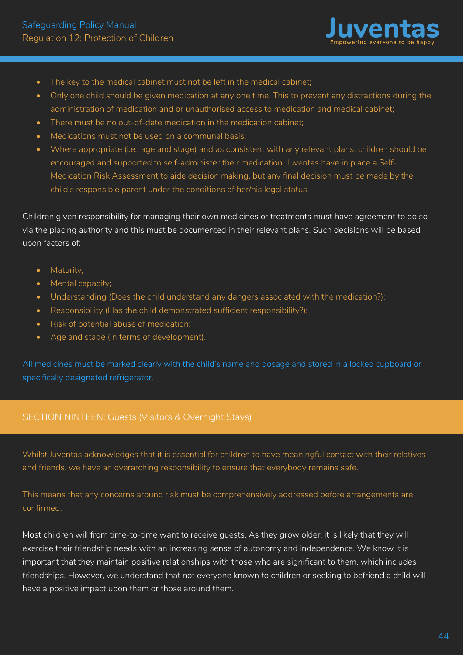

- The key to the medical cabinet must not be left in the medical cabinet;
- Only one child should be given medication at any one time. This to prevent any distractions during the administration of medication and or unauthorised access to medication and medical cabinet;
- There must be no out-of-date medication in the medication cabinet:
- Medications must not be used on a communal basis;
- Where appropriate (i.e., age and stage) and as consistent with any relevant plans, children should be encouraged and supported to self-administer their medication. Juventas have in place a Self-Medication Risk Assessment to aide decision making, but any final decision must be made by the child's responsible parent under the conditions of her/his legal status.

Children given responsibility for managing their own medicines or treatments must have agreement to do so via the placing authority and this must be documented in their relevant plans. Such decisions will be based upon factors of:

- Maturity:
- Mental capacity;
- Understanding (Does the child understand any dangers associated with the medication?);
- Responsibility (Has the child demonstrated sufficient responsibility?);
- Risk of potential abuse of medication;
- Age and stage (In terms of development).

All medicines must be marked clearly with the child's name and dosage and stored in a locked cupboard or specifically designated refrigerator.

### SECTION NINTEEN: Guests (Visitors & Overnight Stays)

Whilst Juventas acknowledges that it is essential for children to have meaningful contact with their relatives and friends, we have an overarching responsibility to ensure that everybody remains safe.

This means that any concerns around risk must be comprehensively addressed before arrangements are confirmed.

Most children will from time-to-time want to receive guests. As they grow older, it is likely that they will exercise their friendship needs with an increasing sense of autonomy and independence. We know it is important that they maintain positive relationships with those who are significant to them, which includes friendships. However, we understand that not everyone known to children or seeking to befriend a child will have a positive impact upon them or those around them.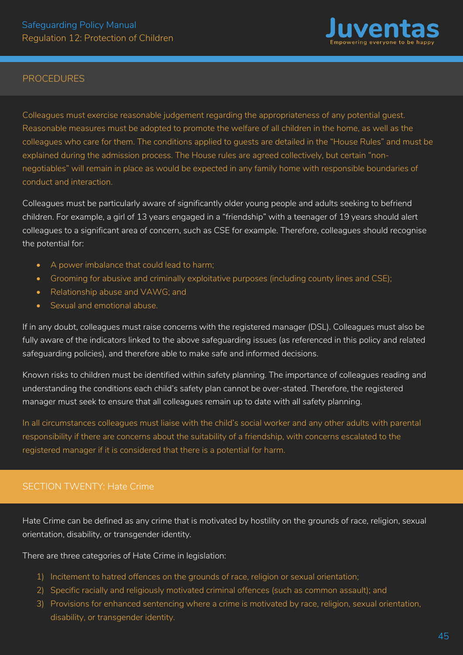

#### PROCEDURES

Colleagues must exercise reasonable judgement regarding the appropriateness of any potential guest. Reasonable measures must be adopted to promote the welfare of all children in the home, as well as the colleagues who care for them. The conditions applied to guests are detailed in the "House Rules" and must be explained during the admission process. The House rules are agreed collectively, but certain "nonnegotiables" will remain in place as would be expected in any family home with responsible boundaries of conduct and interaction.

Colleagues must be particularly aware of significantly older young people and adults seeking to befriend children. For example, a girl of 13 years engaged in a "friendship" with a teenager of 19 years should alert colleagues to a significant area of concern, such as CSE for example. Therefore, colleagues should recognise the potential for:

- A power imbalance that could lead to harm;
- Grooming for abusive and criminally exploitative purposes (including county lines and CSE);
- Relationship abuse and VAWG; and
- Sexual and emotional abuse.

If in any doubt, colleagues must raise concerns with the registered manager (DSL). Colleagues must also be fully aware of the indicators linked to the above safeguarding issues (as referenced in this policy and related safeguarding policies), and therefore able to make safe and informed decisions.

Known risks to children must be identified within safety planning. The importance of colleagues reading and understanding the conditions each child's safety plan cannot be over-stated. Therefore, the registered manager must seek to ensure that all colleagues remain up to date with all safety planning.

In all circumstances colleagues must liaise with the child's social worker and any other adults with parental responsibility if there are concerns about the suitability of a friendship, with concerns escalated to the registered manager if it is considered that there is a potential for harm.

# SECTION TWENTY: Hate Crime

Hate Crime can be defined as any crime that is motivated by hostility on the grounds of race, religion, sexual orientation, disability, or transgender identity.

There are three categories of Hate Crime in legislation:

- 1) Incitement to hatred offences on the grounds of race, religion or sexual orientation;
- 2) Specific racially and religiously motivated criminal offences (such as common assault); and
- 3) Provisions for enhanced sentencing where a crime is motivated by race, religion, sexual orientation, disability, or transgender identity.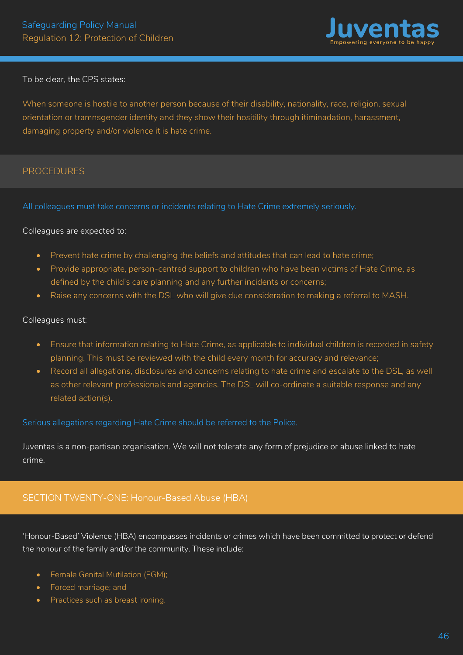

#### To be clear, the CPS states:

When someone is hostile to another person because of their disability, nationality, race, religion, sexual orientation or tramnsgender identity and they show their hositility through itiminadation, harassment, damaging property and/or violence it is hate crime.

#### PROCEDURES

All colleagues must take concerns or incidents relating to Hate Crime extremely seriously.

#### Colleagues are expected to:

- Prevent hate crime by challenging the beliefs and attitudes that can lead to hate crime;
- Provide appropriate, person-centred support to children who have been victims of Hate Crime, as defined by the child's care planning and any further incidents or concerns;
- Raise any concerns with the DSL who will give due consideration to making a referral to MASH.

#### Colleagues must:

- Ensure that information relating to Hate Crime, as applicable to individual children is recorded in safety planning. This must be reviewed with the child every month for accuracy and relevance;
- Record all allegations, disclosures and concerns relating to hate crime and escalate to the DSL, as well as other relevant professionals and agencies. The DSL will co-ordinate a suitable response and any related action(s).

Serious allegations regarding Hate Crime should be referred to the Police.

Juventas is a non-partisan organisation. We will not tolerate any form of prejudice or abuse linked to hate crime.

# SECTION TWENTY-ONE: Honour-Based Abuse (HBA)

'Honour-Based' Violence (HBA) encompasses incidents or crimes which have been committed to protect or defend the honour of the family and/or the community. These include:

- Female Genital Mutilation (FGM);
- Forced marriage; and
- Practices such as breast ironing.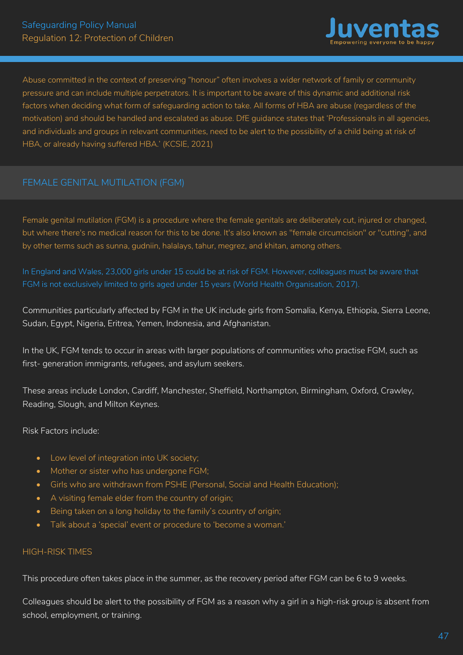

Abuse committed in the context of preserving "honour" often involves a wider network of family or community pressure and can include multiple perpetrators. It is important to be aware of this dynamic and additional risk factors when deciding what form of safeguarding action to take. All forms of HBA are abuse (regardless of the motivation) and should be handled and escalated as abuse. DfE guidance states that 'Professionals in all agencies, and individuals and groups in relevant communities, need to be alert to the possibility of a child being at risk of HBA, or already having suffered HBA.' (KCSIE, 2021)

# FEMALE GENITAL MUTILATION (FGM)

Female genital mutilation (FGM) is a procedure where the female genitals are deliberately cut, injured or changed, but where there's no medical reason for this to be done. It's also known as "female circumcision" or "cutting", and by other terms such as sunna, gudniin, halalays, tahur, megrez, and khitan, among others.

In England and Wales, 23,000 girls under 15 could be at risk of FGM. However, colleagues must be aware that FGM is not exclusively limited to girls aged under 15 years (World Health Organisation, 2017).

Communities particularly affected by FGM in the UK include girls from Somalia, Kenya, Ethiopia, Sierra Leone, Sudan, Egypt, Nigeria, Eritrea, Yemen, Indonesia, and Afghanistan.

In the UK, FGM tends to occur in areas with larger populations of communities who practise FGM, such as first- generation immigrants, refugees, and asylum seekers.

These areas include London, Cardiff, Manchester, Sheffield, Northampton, Birmingham, Oxford, Crawley, Reading, Slough, and Milton Keynes.

Risk Factors include:

- Low level of integration into UK society;
- Mother or sister who has undergone FGM;
- Girls who are withdrawn from PSHE (Personal, Social and Health Education);
- A visiting female elder from the country of origin;
- Being taken on a long holiday to the family's country of origin;
- Talk about a 'special' event or procedure to 'become a woman.'

#### HIGH-RISK TIMES

This procedure often takes place in the summer, as the recovery period after FGM can be 6 to 9 weeks.

Colleagues should be alert to the possibility of FGM as a reason why a girl in a high-risk group is absent from school, employment, or training.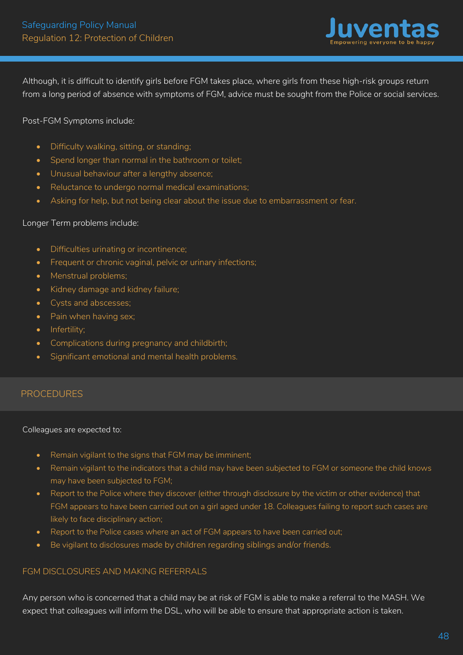

Although, it is difficult to identify girls before FGM takes place, where girls from these high-risk groups return from a long period of absence with symptoms of FGM, advice must be sought from the Police or social services.

#### Post-FGM Symptoms include:

- Difficulty walking, sitting, or standing;
- Spend longer than normal in the bathroom or toilet;
- Unusual behaviour after a lengthy absence;
- Reluctance to undergo normal medical examinations;
- Asking for help, but not being clear about the issue due to embarrassment or fear.

#### Longer Term problems include:

- Difficulties urinating or incontinence;
- Frequent or chronic vaginal, pelvic or urinary infections;
- Menstrual problems;
- Kidney damage and kidney failure;
- Cysts and abscesses;
- Pain when having sex;
- Infertility;
- Complications during pregnancy and childbirth;
- Significant emotional and mental health problems*.*

### PROCEDURES

#### Colleagues are expected to:

- Remain vigilant to the signs that FGM may be imminent;
- Remain vigilant to the indicators that a child may have been subjected to FGM or someone the child knows may have been subjected to FGM;
- Report to the Police where they discover (either through disclosure by the victim or other evidence) that FGM appears to have been carried out on a girl aged under 18. Colleagues failing to report such cases are likely to face disciplinary action;
- Report to the Police cases where an act of FGM appears to have been carried out;
- Be vigilant to disclosures made by children regarding siblings and/or friends.

#### FGM DISCLOSURES AND MAKING REFERRALS

Any person who is concerned that a child may be at risk of FGM is able to make a referral to the MASH. We expect that colleagues will inform the DSL, who will be able to ensure that appropriate action is taken.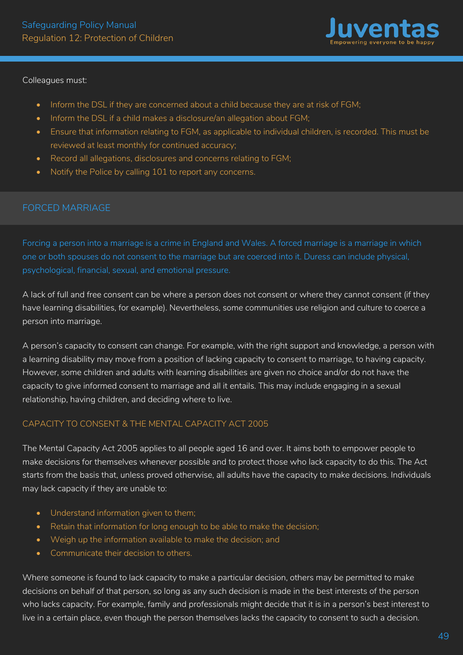

#### Colleagues must:

- Inform the DSL if they are concerned about a child because they are at risk of FGM;
- Inform the DSL if a child makes a disclosure/an allegation about FGM;
- Ensure that information relating to FGM, as applicable to individual children, is recorded. This must be reviewed at least monthly for continued accuracy;
- Record all allegations, disclosures and concerns relating to FGM;
- Notify the Police by calling 101 to report any concerns.

### FORCED MARRIAGE

Forcing a person into a marriage is a crime in England and Wales. A forced marriage is a marriage in which one or both spouses do not consent to the marriage but are coerced into it. Duress can include physical, psychological, financial, sexual, and emotional pressure.

A lack of full and free consent can be where a person does not consent or where they cannot consent (if they have learning disabilities, for example). Nevertheless, some communities use religion and culture to coerce a person into marriage.

A person's capacity to consent can change. For example, with the right support and knowledge, a person with a learning disability may move from a position of lacking capacity to consent to marriage, to having capacity. However, some children and adults with learning disabilities are given no choice and/or do not have the capacity to give informed consent to marriage and all it entails. This may include engaging in a sexual relationship, having children, and deciding where to live.

### CAPACITY TO CONSENT & THE MENTAL CAPACITY ACT 2005

The Mental Capacity Act 2005 applies to all people aged 16 and over. It aims both to empower people to make decisions for themselves whenever possible and to protect those who lack capacity to do this. The Act starts from the basis that, unless proved otherwise, all adults have the capacity to make decisions. Individuals may lack capacity if they are unable to:

- Understand information given to them;
- Retain that information for long enough to be able to make the decision;
- Weigh up the information available to make the decision; and
- Communicate their decision to others.

Where someone is found to lack capacity to make a particular decision, others may be permitted to make decisions on behalf of that person, so long as any such decision is made in the best interests of the person who lacks capacity. For example, family and professionals might decide that it is in a person's best interest to live in a certain place, even though the person themselves lacks the capacity to consent to such a decision.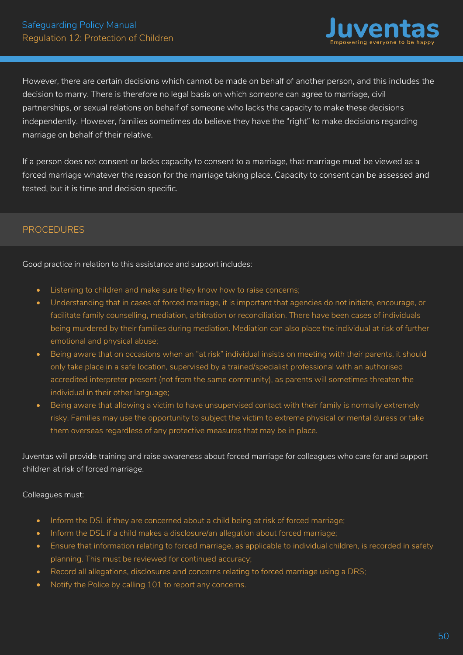

However, there are certain decisions which cannot be made on behalf of another person, and this includes the decision to marry. There is therefore no legal basis on which someone can agree to marriage, civil partnerships, or sexual relations on behalf of someone who lacks the capacity to make these decisions independently. However, families sometimes do believe they have the "right" to make decisions regarding marriage on behalf of their relative.

If a person does not consent or lacks capacity to consent to a marriage, that marriage must be viewed as a forced marriage whatever the reason for the marriage taking place. Capacity to consent can be assessed and tested, but it is time and decision specific.

# PROCEDURES

Good practice in relation to this assistance and support includes:

- Listening to children and make sure they know how to raise concerns;
- Understanding that in cases of forced marriage, it is important that agencies do not initiate, encourage, or facilitate family counselling, mediation, arbitration or reconciliation. There have been cases of individuals being murdered by their families during mediation. Mediation can also place the individual at risk of further emotional and physical abuse;
- Being aware that on occasions when an "at risk" individual insists on meeting with their parents, it should only take place in a safe location, supervised by a trained/specialist professional with an authorised accredited interpreter present (not from the same community), as parents will sometimes threaten the individual in their other language;
- Being aware that allowing a victim to have unsupervised contact with their family is normally extremely risky. Families may use the opportunity to subject the victim to extreme physical or mental duress or take them overseas regardless of any protective measures that may be in place.

Juventas will provide training and raise awareness about forced marriage for colleagues who care for and support children at risk of forced marriage.

Colleagues must:

- Inform the DSL if they are concerned about a child being at risk of forced marriage;
- Inform the DSL if a child makes a disclosure/an allegation about forced marriage;
- Ensure that information relating to forced marriage, as applicable to individual children, is recorded in safety planning. This must be reviewed for continued accuracy;
- Record all allegations, disclosures and concerns relating to forced marriage using a DRS;
- Notify the Police by calling 101 to report any concerns.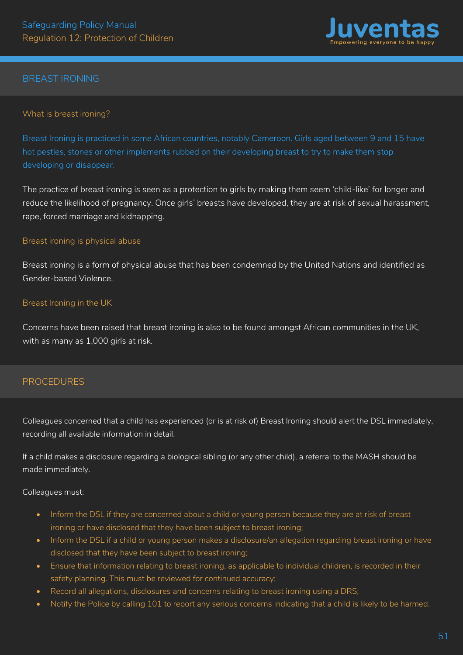

# BREAST IRONING

#### What is breast ironing?

Breast Ironing is practiced in some African countries, notably Cameroon. Girls aged between 9 and 15 have hot pestles, stones or other implements rubbed on their developing breast to try to make them stop developing or disappear.

The practice of breast ironing is seen as a protection to girls by making them seem 'child-like' for longer and reduce the likelihood of pregnancy. Once girls' breasts have developed, they are at risk of sexual harassment, rape, forced marriage and kidnapping.

#### Breast ironing is physical abuse

Breast ironing is a form of physical abuse that has been condemned by the United Nations and identified as Gender-based Violence.

#### Breast Ironing in the UK

Concerns have been raised that breast ironing is also to be found amongst African communities in the UK, with as many as 1,000 girls at risk.

### PROCEDURES

Colleagues concerned that a child has experienced (or is at risk of) Breast Ironing should alert the DSL immediately, recording all available information in detail.

If a child makes a disclosure regarding a biological sibling (or any other child), a referral to the MASH should be made immediately.

#### Colleagues must:

- Inform the DSL if they are concerned about a child or young person because they are at risk of breast ironing or have disclosed that they have been subject to breast ironing;
- Inform the DSL if a child or young person makes a disclosure/an allegation regarding breast ironing or have disclosed that they have been subject to breast ironing;
- Ensure that information relating to breast ironing, as applicable to individual children, is recorded in their safety planning. This must be reviewed for continued accuracy;
- Record all allegations, disclosures and concerns relating to breast ironing using a DRS;
- Notify the Police by calling 101 to report any serious concerns indicating that a child is likely to be harmed.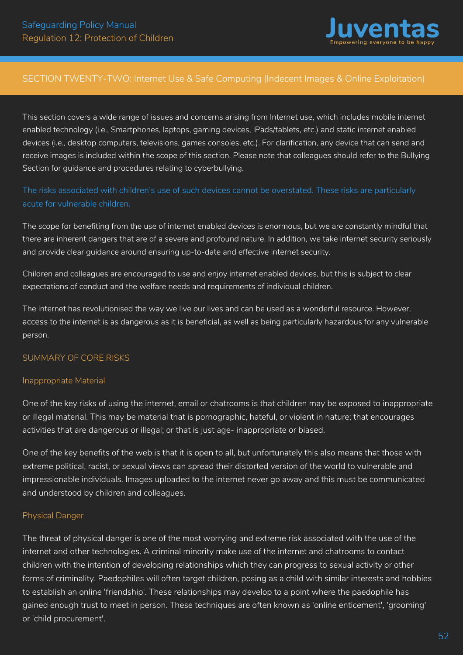

# SECTION TWENTY-TWO: Internet Use & Safe Computing (Indecent Images & Online Exploitation)

This section covers a wide range of issues and concerns arising from Internet use, which includes mobile internet enabled technology (i.e., Smartphones, laptops, gaming devices, iPads/tablets, etc.) and static internet enabled devices (i.e., desktop computers, televisions, games consoles, etc.). For clarification, any device that can send and receive images is included within the scope of this section. Please note that colleagues should refer to the Bullying Section for guidance and procedures relating to cyberbullying.

The risks associated with children's use of such devices cannot be overstated. These risks are particularly acute for vulnerable children.

The scope for benefiting from the use of internet enabled devices is enormous, but we are constantly mindful that there are inherent dangers that are of a severe and profound nature. In addition, we take internet security seriously and provide clear guidance around ensuring up-to-date and effective internet security.

Children and colleagues are encouraged to use and enjoy internet enabled devices, but this is subject to clear expectations of conduct and the welfare needs and requirements of individual children.

The internet has revolutionised the way we live our lives and can be used as a wonderful resource. However, access to the internet is as dangerous as it is beneficial, as well as being particularly hazardous for any vulnerable person.

#### SUMMARY OF CORE RISKS

#### Inappropriate Material

One of the key risks of using the internet, email or chatrooms is that children may be exposed to inappropriate or illegal material. This may be material that is pornographic, hateful, or violent in nature; that encourages activities that are dangerous or illegal; or that is just age- inappropriate or biased.

One of the key benefits of the web is that it is open to all, but unfortunately this also means that those with extreme political, racist, or sexual views can spread their distorted version of the world to vulnerable and impressionable individuals. Images uploaded to the internet never go away and this must be communicated and understood by children and colleagues.

#### Physical Danger

The threat of physical danger is one of the most worrying and extreme risk associated with the use of the internet and other technologies. A criminal minority make use of the internet and chatrooms to contact children with the intention of developing relationships which they can progress to sexual activity or other forms of criminality. Paedophiles will often target children, posing as a child with similar interests and hobbies to establish an online 'friendship'. These relationships may develop to a point where the paedophile has gained enough trust to meet in person. These techniques are often known as 'online enticement', 'grooming' or 'child procurement'.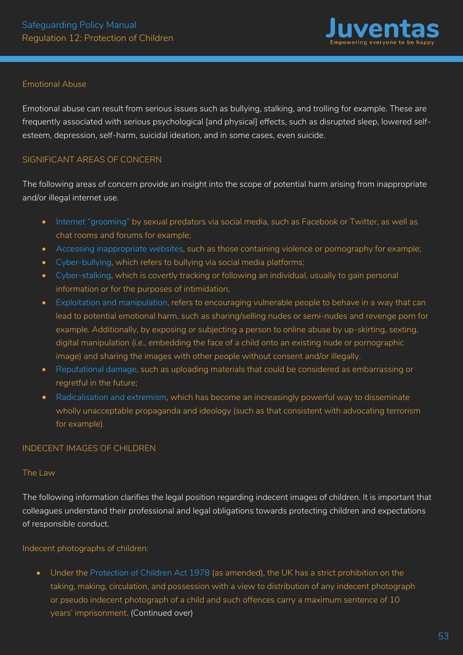

#### Emotional Abuse

Emotional abuse can result from serious issues such as bullying, stalking, and trolling for example. These are frequently associated with serious psychological [and physical] effects, such as disrupted sleep, lowered selfesteem, depression, self-harm, suicidal ideation, and in some cases, even suicide.

#### SIGNIFICANT AREAS OF CONCERN

The following areas of concern provide an insight into the scope of potential harm arising from inappropriate and/or illegal internet use.

- Internet "grooming" by sexual predators via social media, such as Facebook or Twitter, as well as chat rooms and forums for example;
- Accessing inappropriate websites, such as those containing violence or pornography for example;
- Cyber-bullying, which refers to bullying via social media platforms;
- Cyber-stalking, which is covertly tracking or following an individual, usually to gain personal information or for the purposes of intimidation;
- Exploitation and manipulation, refers to encouraging vulnerable people to behave in a way that can lead to potential emotional harm, such as sharing/selling nudes or semi-nudes and revenge porn for example. Additionally, by exposing or subjecting a person to online abuse by up-skirting, sexting, digital manipulation (i.e., embedding the face of a child onto an existing nude or pornographic image) and sharing the images with other people without consent and/or illegally.
- Reputational damage, such as uploading materials that could be considered as embarrassing or regretful in the future;
- Radicalisation and extremism, which has become an increasingly powerful way to disseminate wholly unacceptable propaganda and ideology (such as that consistent with advocating terrorism for example).

#### INDECENT IMAGES OF CHILDREN

#### The Law

The following information clarifies the legal position regarding indecent images of children. It is important that colleagues understand their professional and legal obligations towards protecting children and expectations of responsible conduct.

#### Indecent photographs of children:

• Under the Protection of Children Act 1978 (as amended), the UK has a strict prohibition on the taking, making, circulation, and possession with a view to distribution of any indecent photograph or pseudo indecent photograph of a child and such offences carry a maximum sentence of 10 years' imprisonment. (Continued over)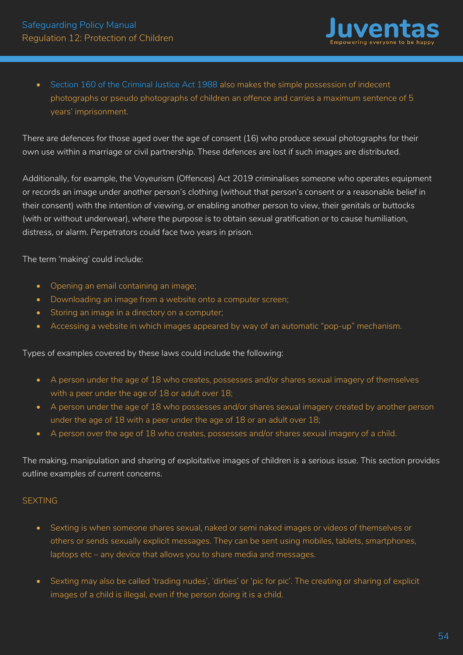

• Section 160 of the Criminal Justice Act 1988 also makes the simple possession of indecent photographs or pseudo photographs of children an offence and carries a maximum sentence of 5 years' imprisonment.

There are defences for those aged over the age of consent (16) who produce sexual photographs for their own use within a marriage or civil partnership. These defences are lost if such images are distributed.

Additionally, for example, the Voyeurism (Offences) Act 2019 criminalises someone who operates equipment or records an image under another person's clothing (without that person's consent or a reasonable belief in their consent) with the intention of viewing, or enabling another person to view, their genitals or buttocks (with or without underwear), where the purpose is to obtain sexual gratification or to cause humiliation, distress, or alarm. Perpetrators could face two years in prison.

The term 'making' could include:

- Opening an email containing an image;
- Downloading an image from a website onto a computer screen;
- Storing an image in a directory on a computer;
- Accessing a website in which images appeared by way of an automatic "pop-up" mechanism.

#### Types of examples covered by these laws could include the following:

- A person under the age of 18 who creates, possesses and/or shares sexual imagery of themselves with a peer under the age of 18 or adult over 18;
- A person under the age of 18 who possesses and/or shares sexual imagery created by another person under the age of 18 with a peer under the age of 18 or an adult over 18;
- A person over the age of 18 who creates, possesses and/or shares sexual imagery of a child.

The making, manipulation and sharing of exploitative images of children is a serious issue. This section provides outline examples of current concerns.

### **SEXTING**

- Sexting is when someone shares sexual, naked or semi naked images or videos of themselves or others or sends sexually explicit messages. They can be sent using mobiles, tablets, smartphones, laptops etc – any device that allows you to share media and messages.
- Sexting may also be called 'trading nudes', 'dirties' or 'pic for pic'. The creating or sharing of explicit images of a child is illegal, even if the person doing it is a child.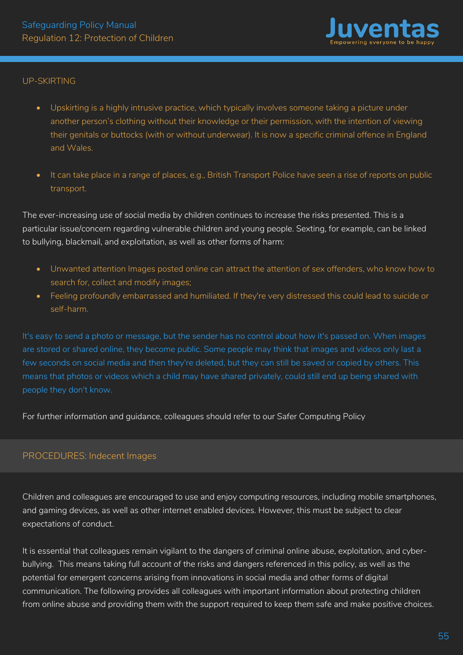

#### UP-SKIRTING

- Upskirting is a highly intrusive practice, which typically involves someone taking a picture under another person's clothing without their knowledge or their permission, with the intention of viewing their genitals or buttocks (with or without underwear). It is now a specific criminal offence in England and Wales.
- It can take place in a range of places, e.g., British Transport Police have seen a rise of reports on public transport.

The ever-increasing use of social media by children continues to increase the risks presented. This is a particular issue/concern regarding vulnerable children and young people. Sexting, for example, can be linked to bullying, blackmail, and exploitation, as well as other forms of harm:

- Unwanted attention Images posted online can attract the attention of sex offenders, who know how to search for, collect and modify images;
- Feeling profoundly embarrassed and humiliated. If they're very distressed this could lead to suicide or self-harm.

It's easy to send a photo or message, but the sender has no control about how it's passed on. When images are stored or shared online, they become public. Some people may think that images and videos only last a few seconds on social media and then they're deleted, but they can still be saved or copied by others. This means that photos or videos which a child may have shared privately, could still end up being shared with people they don't know.

For further information and guidance, colleagues should refer to our Safer Computing Policy

### PROCEDURES: Indecent Images

Children and colleagues are encouraged to use and enjoy computing resources, including mobile smartphones, and gaming devices, as well as other internet enabled devices. However, this must be subject to clear expectations of conduct.

It is essential that colleagues remain vigilant to the dangers of criminal online abuse, exploitation, and cyberbullying. This means taking full account of the risks and dangers referenced in this policy, as well as the potential for emergent concerns arising from innovations in social media and other forms of digital communication. The following provides all colleagues with important information about protecting children from online abuse and providing them with the support required to keep them safe and make positive choices.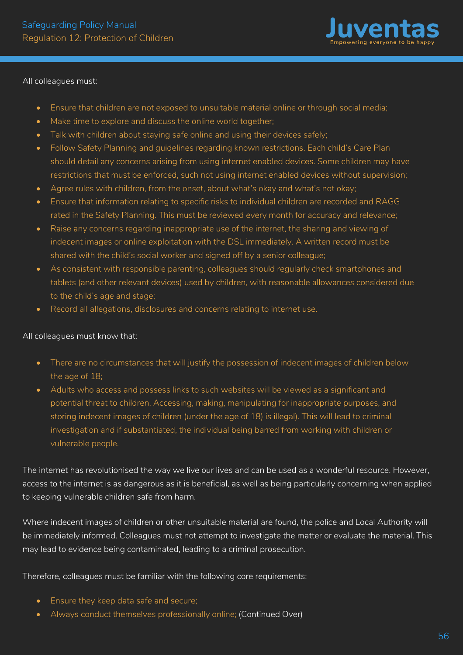

All colleagues must:

- Ensure that children are not exposed to unsuitable material online or through social media;
- Make time to explore and discuss the online world together;
- Talk with children about staying safe online and using their devices safely;
- Follow Safety Planning and guidelines regarding known restrictions. Each child's Care Plan should detail any concerns arising from using internet enabled devices. Some children may have restrictions that must be enforced, such not using internet enabled devices without supervision;
- Agree rules with children, from the onset, about what's okay and what's not okay;
- Ensure that information relating to specific risks to individual children are recorded and RAGG rated in the Safety Planning. This must be reviewed every month for accuracy and relevance;
- Raise any concerns regarding inappropriate use of the internet, the sharing and viewing of indecent images or online exploitation with the DSL immediately. A written record must be shared with the child's social worker and signed off by a senior colleague;
- As consistent with responsible parenting, colleagues should regularly check smartphones and tablets (and other relevant devices) used by children, with reasonable allowances considered due to the child's age and stage;
- Record all allegations, disclosures and concerns relating to internet use.

All colleagues must know that:

- There are no circumstances that will justify the possession of indecent images of children below the age of 18;
- Adults who access and possess links to such websites will be viewed as a significant and potential threat to children. Accessing, making, manipulating for inappropriate purposes, and storing indecent images of children (under the age of 18) is illegal). This will lead to criminal investigation and if substantiated, the individual being barred from working with children or vulnerable people.

The internet has revolutionised the way we live our lives and can be used as a wonderful resource. However, access to the internet is as dangerous as it is beneficial, as well as being particularly concerning when applied to keeping vulnerable children safe from harm.

Where indecent images of children or other unsuitable material are found, the police and Local Authority will be immediately informed. Colleagues must not attempt to investigate the matter or evaluate the material. This may lead to evidence being contaminated, leading to a criminal prosecution.

Therefore, colleagues must be familiar with the following core requirements:

- Ensure they keep data safe and secure;
- Always conduct themselves professionally online; (Continued Over)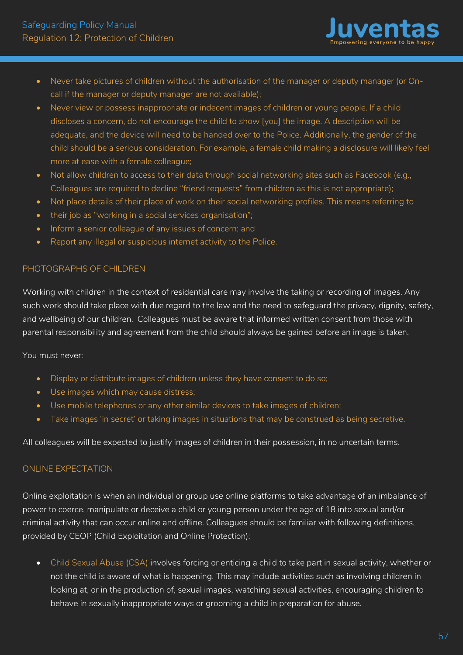

- Never take pictures of children without the authorisation of the manager or deputy manager (or Oncall if the manager or deputy manager are not available);
- Never view or possess inappropriate or indecent images of children or young people. If a child discloses a concern, do not encourage the child to show [you] the image. A description will be adequate, and the device will need to be handed over to the Police. Additionally, the gender of the child should be a serious consideration. For example, a female child making a disclosure will likely feel more at ease with a female colleague;
- Not allow children to access to their data through social networking sites such as Facebook (e.g., Colleagues are required to decline "friend requests" from children as this is not appropriate);
- Not place details of their place of work on their social networking profiles. This means referring to
- their job as "working in a social services organisation";
- Inform a senior colleague of any issues of concern; and
- Report any illegal or suspicious internet activity to the Police.

# PHOTOGRAPHS OF CHILDREN

Working with children in the context of residential care may involve the taking or recording of images. Any such work should take place with due regard to the law and the need to safeguard the privacy, dignity, safety, and wellbeing of our children. Colleagues must be aware that informed written consent from those with parental responsibility and agreement from the child should always be gained before an image is taken.

You must never:

- Display or distribute images of children unless they have consent to do so;
- Use images which may cause distress;
- Use mobile telephones or any other similar devices to take images of children;
- Take images 'in secret' or taking images in situations that may be construed as being secretive.

All colleagues will be expected to justify images of children in their possession, in no uncertain terms.

### ONLINE EXPECTATION

Online exploitation is when an individual or group use online platforms to take advantage of an imbalance of power to coerce, manipulate or deceive a child or young person under the age of 18 into sexual and/or criminal activity that can occur online and offline. Colleagues should be familiar with following definitions, provided by CEOP (Child Exploitation and Online Protection):

• Child Sexual Abuse (CSA) involves forcing or enticing a child to take part in sexual activity, whether or not the child is aware of what is happening. This may include activities such as involving children in looking at, or in the production of, sexual images, watching sexual activities, encouraging children to behave in sexually inappropriate ways or grooming a child in preparation for abuse.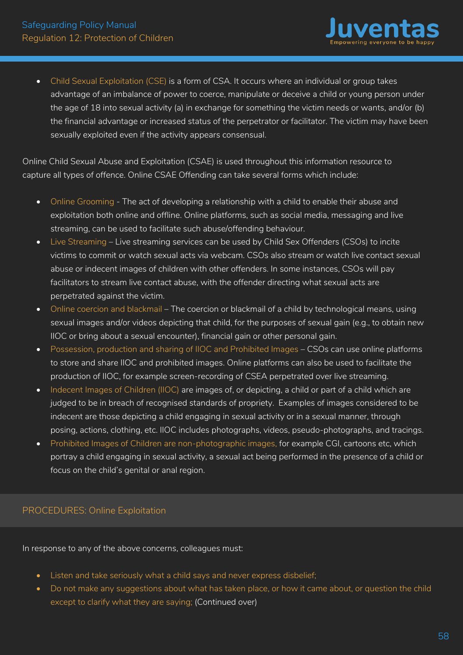

• Child Sexual Exploitation (CSE) is a form of CSA. It occurs where an individual or group takes advantage of an imbalance of power to coerce, manipulate or deceive a child or young person under the age of 18 into sexual activity (a) in exchange for something the victim needs or wants, and/or (b) the financial advantage or increased status of the perpetrator or facilitator. The victim may have been sexually exploited even if the activity appears consensual.

Online Child Sexual Abuse and Exploitation (CSAE) is used throughout this information resource to capture all types of offence. Online CSAE Offending can take several forms which include:

- Online Grooming The act of developing a relationship with a child to enable their abuse and exploitation both online and offline. Online platforms, such as social media, messaging and live streaming, can be used to facilitate such abuse/offending behaviour.
- Live Streaming Live streaming services can be used by Child Sex Offenders (CSOs) to incite victims to commit or watch sexual acts via webcam. CSOs also stream or watch live contact sexual abuse or indecent images of children with other offenders. In some instances, CSOs will pay facilitators to stream live contact abuse, with the offender directing what sexual acts are perpetrated against the victim.
- Online coercion and blackmail The coercion or blackmail of a child by technological means, using sexual images and/or videos depicting that child, for the purposes of sexual gain (e.g., to obtain new IIOC or bring about a sexual encounter), financial gain or other personal gain.
- Possession, production and sharing of IIOC and Prohibited Images CSOs can use online platforms to store and share IIOC and prohibited images. Online platforms can also be used to facilitate the production of IIOC, for example screen-recording of CSEA perpetrated over live streaming.
- Indecent Images of Children (IIOC) are images of, or depicting, a child or part of a child which are judged to be in breach of recognised standards of propriety. Examples of images considered to be indecent are those depicting a child engaging in sexual activity or in a sexual manner, through posing, actions, clothing, etc. IIOC includes photographs, videos, pseudo-photographs, and tracings.
- Prohibited Images of Children are non-photographic images, for example CGI, cartoons etc, which portray a child engaging in sexual activity, a sexual act being performed in the presence of a child or focus on the child's genital or anal region.

# PROCEDURES: Online Exploitation

In response to any of the above concerns, colleagues must:

- Listen and take seriously what a child says and never express disbelief;
- Do not make any suggestions about what has taken place, or how it came about, or question the child except to clarify what they are saying; (Continued over)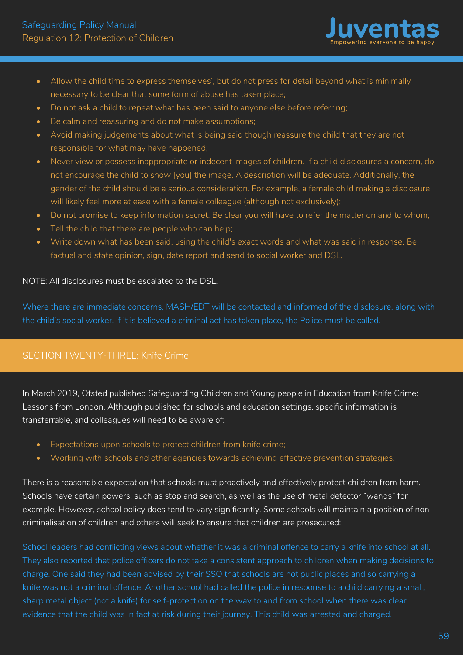

- Allow the child time to express themselves', but do not press for detail beyond what is minimally necessary to be clear that some form of abuse has taken place;
- Do not ask a child to repeat what has been said to anyone else before referring;
- Be calm and reassuring and do not make assumptions;
- Avoid making judgements about what is being said though reassure the child that they are not responsible for what may have happened;
- Never view or possess inappropriate or indecent images of children. If a child disclosures a concern, do not encourage the child to show [you] the image. A description will be adequate. Additionally, the gender of the child should be a serious consideration. For example, a female child making a disclosure will likely feel more at ease with a female colleague (although not exclusively);
- Do not promise to keep information secret. Be clear you will have to refer the matter on and to whom;
- Tell the child that there are people who can help;
- Write down what has been said, using the child's exact words and what was said in response. Be factual and state opinion, sign, date report and send to social worker and DSL.

#### NOTE: All disclosures must be escalated to the DSL.

Where there are immediate concerns, MASH/EDT will be contacted and informed of the disclosure, along with the child's social worker. If it is believed a criminal act has taken place, the Police must be called.

# SECTION TWENTY-THREE: Knife Crime

In March 2019, Ofsted published Safeguarding Children and Young people in Education from Knife Crime: Lessons from London. Although published for schools and education settings, specific information is transferrable, and colleagues will need to be aware of:

- Expectations upon schools to protect children from knife crime;
- Working with schools and other agencies towards achieving effective prevention strategies.

There is a reasonable expectation that schools must proactively and effectively protect children from harm. Schools have certain powers, such as stop and search, as well as the use of metal detector "wands" for example. However, school policy does tend to vary significantly. Some schools will maintain a position of noncriminalisation of children and others will seek to ensure that children are prosecuted:

School leaders had conflicting views about whether it was a criminal offence to carry a knife into school at all. They also reported that police officers do not take a consistent approach to children when making decisions to charge. One said they had been advised by their SSO that schools are not public places and so carrying a knife was not a criminal offence. Another school had called the police in response to a child carrying a small, sharp metal object (not a knife) for self-protection on the way to and from school when there was clear evidence that the child was in fact at risk during their journey. This child was arrested and charged.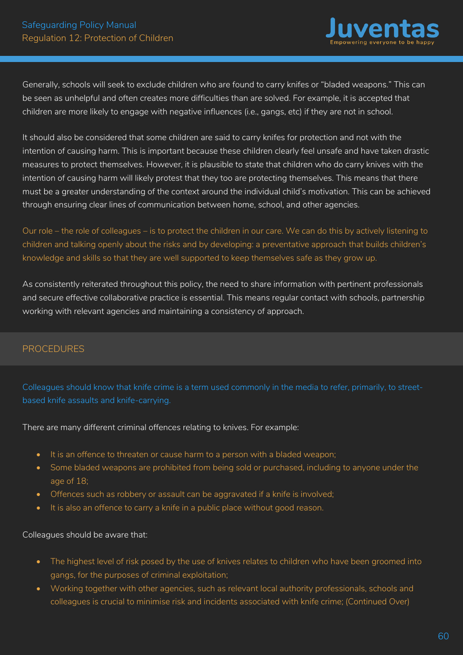

Generally, schools will seek to exclude children who are found to carry knifes or "bladed weapons." This can be seen as unhelpful and often creates more difficulties than are solved. For example, it is accepted that children are more likely to engage with negative influences (i.e., gangs, etc) if they are not in school.

It should also be considered that some children are said to carry knifes for protection and not with the intention of causing harm. This is important because these children clearly feel unsafe and have taken drastic measures to protect themselves. However, it is plausible to state that children who do carry knives with the intention of causing harm will likely protest that they too are protecting themselves. This means that there must be a greater understanding of the context around the individual child's motivation. This can be achieved through ensuring clear lines of communication between home, school, and other agencies.

Our role – the role of colleagues – is to protect the children in our care. We can do this by actively listening to children and talking openly about the risks and by developing: a preventative approach that builds children's knowledge and skills so that they are well supported to keep themselves safe as they grow up.

As consistently reiterated throughout this policy, the need to share information with pertinent professionals and secure effective collaborative practice is essential. This means regular contact with schools, partnership working with relevant agencies and maintaining a consistency of approach.

# PROCEDURES

Colleagues should know that knife crime is a term used commonly in the media to refer, primarily, to streetbased knife assaults and knife-carrying.

There are many different criminal offences relating to knives. For example:

- It is an offence to threaten or cause harm to a person with a bladed weapon;
- Some bladed weapons are prohibited from being sold or purchased, including to anyone under the age of 18;
- Offences such as robbery or assault can be aggravated if a knife is involved;
- It is also an offence to carry a knife in a public place without good reason.

#### Colleagues should be aware that:

- The highest level of risk posed by the use of knives relates to children who have been groomed into gangs, for the purposes of criminal exploitation;
- Working together with other agencies, such as relevant local authority professionals, schools and colleagues is crucial to minimise risk and incidents associated with knife crime; (Continued Over)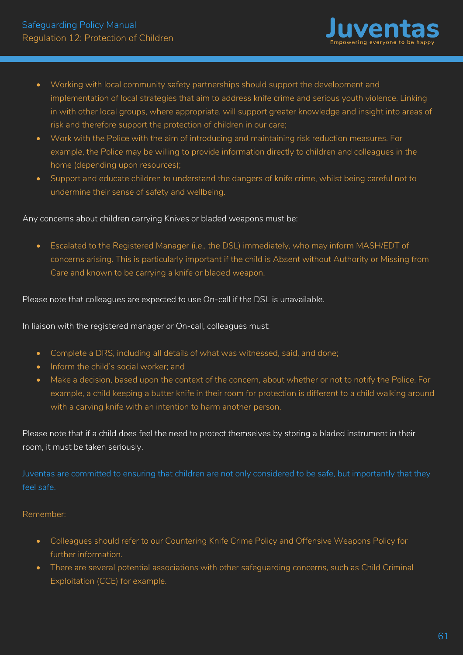

- Working with local community safety partnerships should support the development and implementation of local strategies that aim to address knife crime and serious youth violence. Linking in with other local groups, where appropriate, will support greater knowledge and insight into areas of risk and therefore support the protection of children in our care;
- Work with the Police with the aim of introducing and maintaining risk reduction measures. For example, the Police may be willing to provide information directly to children and colleagues in the home (depending upon resources);
- Support and educate children to understand the dangers of knife crime, whilst being careful not to undermine their sense of safety and wellbeing.

### Any concerns about children carrying Knives or bladed weapons must be:

• Escalated to the Registered Manager (i.e., the DSL) immediately, who may inform MASH/EDT of concerns arising. This is particularly important if the child is Absent without Authority or Missing from Care and known to be carrying a knife or bladed weapon.

Please note that colleagues are expected to use On-call if the DSL is unavailable.

In liaison with the registered manager or On-call, colleagues must:

- Complete a DRS, including all details of what was witnessed, said, and done;
- Inform the child's social worker; and
- Make a decision, based upon the context of the concern, about whether or not to notify the Police. For example, a child keeping a butter knife in their room for protection is different to a child walking around with a carving knife with an intention to harm another person.

Please note that if a child does feel the need to protect themselves by storing a bladed instrument in their room, it must be taken seriously.

Juventas are committed to ensuring that children are not only considered to be safe, but importantly that they feel safe.

#### Remember:

- Colleagues should refer to our Countering Knife Crime Policy and Offensive Weapons Policy for further information.
- There are several potential associations with other safeguarding concerns, such as Child Criminal Exploitation (CCE) for example.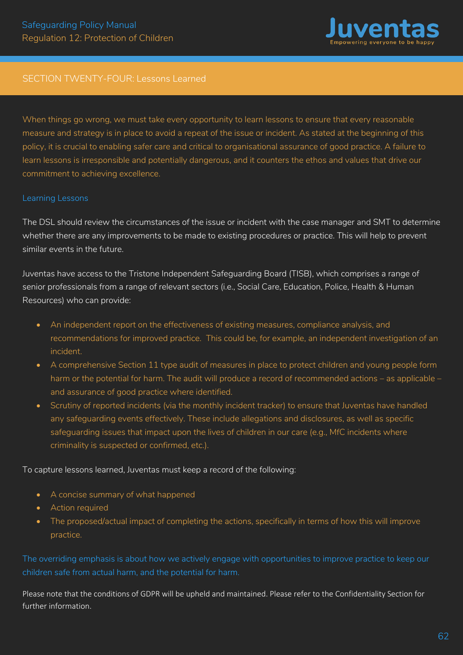

### SECTION TWENTY-FOUR: Lessons Learned

When things go wrong, we must take every opportunity to learn lessons to ensure that every reasonable measure and strategy is in place to avoid a repeat of the issue or incident. As stated at the beginning of this policy, it is crucial to enabling safer care and critical to organisational assurance of good practice. A failure to learn lessons is irresponsible and potentially dangerous, and it counters the ethos and values that drive our commitment to achieving excellence.

#### Learning Lessons

The DSL should review the circumstances of the issue or incident with the case manager and SMT to determine whether there are any improvements to be made to existing procedures or practice. This will help to prevent similar events in the future.

Juventas have access to the Tristone Independent Safeguarding Board (TISB), which comprises a range of senior professionals from a range of relevant sectors (i.e., Social Care, Education, Police, Health & Human Resources) who can provide:

- An independent report on the effectiveness of existing measures, compliance analysis, and recommendations for improved practice. This could be, for example, an independent investigation of an incident.
- A comprehensive Section 11 type audit of measures in place to protect children and young people form harm or the potential for harm. The audit will produce a record of recommended actions – as applicable – and assurance of good practice where identified.
- Scrutiny of reported incidents (via the monthly incident tracker) to ensure that Juventas have handled any safeguarding events effectively. These include allegations and disclosures, as well as specific safeguarding issues that impact upon the lives of children in our care (e.g., MfC incidents where criminality is suspected or confirmed, etc.).

To capture lessons learned, Juventas must keep a record of the following:

- A concise summary of what happened
- Action required
- The proposed/actual impact of completing the actions, specifically in terms of how this will improve practice.

The overriding emphasis is about how we actively engage with opportunities to improve practice to keep our children safe from actual harm, and the potential for harm.

Please note that the conditions of GDPR will be upheld and maintained. Please refer to the Confidentiality Section for further information.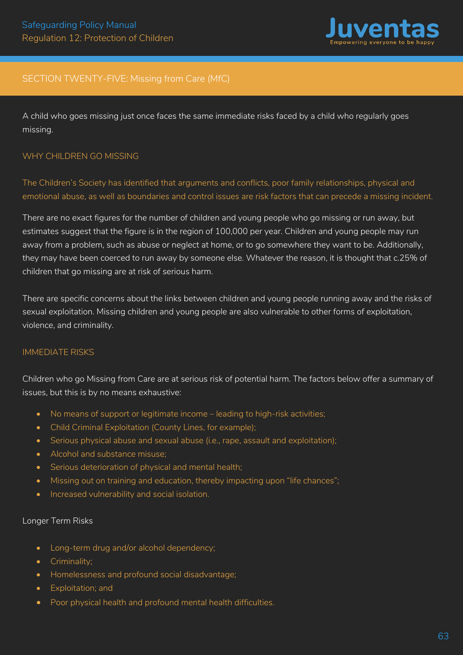

# SECTION TWENTY-FIVE: Missing from Care (MfC)

A child who goes missing just once faces the same immediate risks faced by a child who regularly goes missing.

#### WHY CHILDREN GO MISSING

The Children's Society has identified that arguments and conflicts, poor family relationships, physical and emotional abuse, as well as boundaries and control issues are risk factors that can precede a missing incident.

There are no exact figures for the number of children and young people who go missing or run away, but estimates suggest that the figure is in the region of 100,000 per year. Children and young people may run away from a problem, such as abuse or neglect at home, or to go somewhere they want to be. Additionally, they may have been coerced to run away by someone else. Whatever the reason, it is thought that c.25% of children that go missing are at risk of serious harm.

There are specific concerns about the links between children and young people running away and the risks of sexual exploitation. Missing children and young people are also vulnerable to other forms of exploitation, violence, and criminality.

#### IMMEDIATE RISKS

Children who go Missing from Care are at serious risk of potential harm. The factors below offer a summary of issues, but this is by no means exhaustive:

- No means of support or legitimate income leading to high-risk activities;
- Child Criminal Exploitation (County Lines, for example);
- Serious physical abuse and sexual abuse (i.e., rape, assault and exploitation);
- Alcohol and substance misuse;
- Serious deterioration of physical and mental health;
- Missing out on training and education, thereby impacting upon "life chances";
- Increased vulnerability and social isolation.

#### Longer Term Risks

- Long-term drug and/or alcohol dependency;
- Criminality;
- Homelessness and profound social disadvantage;
- Exploitation; and
- Poor physical health and profound mental health difficulties.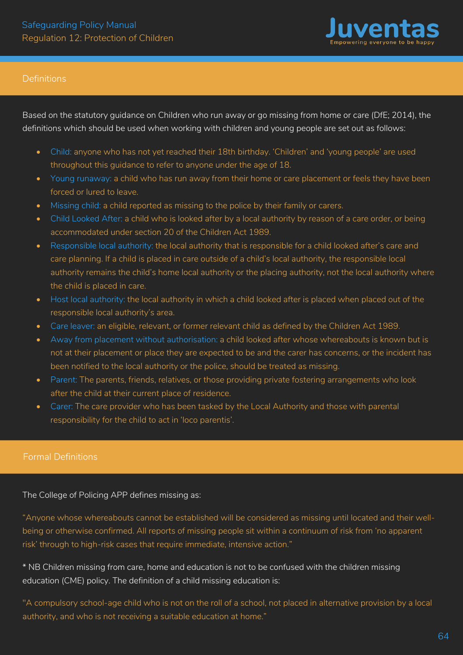

### **Definitions**

Based on the statutory guidance on Children who run away or go missing from home or care (DfE; 2014), the definitions which should be used when working with children and young people are set out as follows:

- Child: anyone who has not yet reached their 18th birthday. 'Children' and 'young people' are used throughout this guidance to refer to anyone under the age of 18.
- Young runaway: a child who has run away from their home or care placement or feels they have been forced or lured to leave.
- Missing child: a child reported as missing to the police by their family or carers.
- Child Looked After: a child who is looked after by a local authority by reason of a care order, or being accommodated under section 20 of the Children Act 1989.
- Responsible local authority: the local authority that is responsible for a child looked after's care and care planning. If a child is placed in care outside of a child's local authority, the responsible local authority remains the child's home local authority or the placing authority, not the local authority where the child is placed in care.
- Host local authority: the local authority in which a child looked after is placed when placed out of the responsible local authority's area.
- Care leaver: an eligible, relevant, or former relevant child as defined by the Children Act 1989.
- Away from placement without authorisation: a child looked after whose whereabouts is known but is not at their placement or place they are expected to be and the carer has concerns, or the incident has been notified to the local authority or the police, should be treated as missing.
- Parent: The parents, friends, relatives, or those providing private fostering arrangements who look after the child at their current place of residence.
- Carer: The care provider who has been tasked by the Local Authority and those with parental responsibility for the child to act in 'loco parentis'.

The College of Policing APP defines missing as:

"Anyone whose whereabouts cannot be established will be considered as missing until located and their wellbeing or otherwise confirmed. All reports of missing people sit within a continuum of risk from 'no apparent risk' through to high-risk cases that require immediate, intensive action."

\* NB Children missing from care, home and education is not to be confused with the children missing education (CME) policy. The definition of a child missing education is:

"A compulsory school-age child who is not on the roll of a school, not placed in alternative provision by a local authority, and who is not receiving a suitable education at home."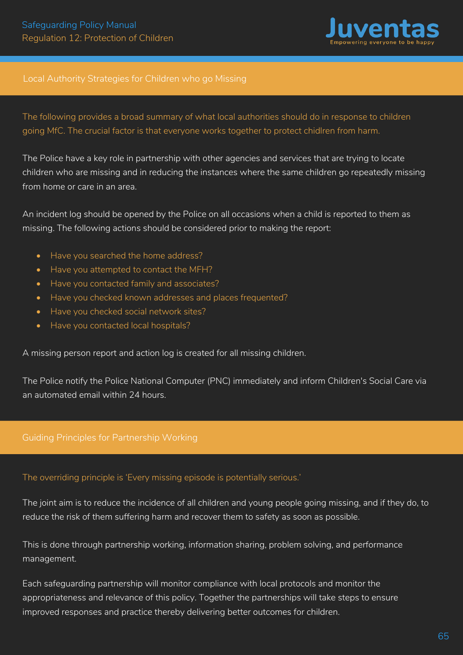

### Local Authority Strategies for Children who go Missing

The following provides a broad summary of what local authorities should do in response to children going MfC. The crucial factor is that everyone works together to protect chidlren from harm.

The Police have a key role in partnership with other agencies and services that are trying to locate children who are missing and in reducing the instances where the same children go repeatedly missing from home or care in an area.

An incident log should be opened by the Police on all occasions when a child is reported to them as missing. The following actions should be considered prior to making the report:

- Have you searched the home address?
- Have you attempted to contact the MFH?
- Have you contacted family and associates?
- Have you checked known addresses and places frequented?
- Have you checked social network sites?
- Have you contacted local hospitals?

A missing person report and action log is created for all missing children.

The Police notify the Police National Computer (PNC) immediately and inform Children's Social Care via an automated email within 24 hours.

# Guiding Principles for Partnership Working

#### The overriding principle is 'Every missing episode is potentially serious.'

The joint aim is to reduce the incidence of all children and young people going missing, and if they do, to reduce the risk of them suffering harm and recover them to safety as soon as possible.

This is done through partnership working, information sharing, problem solving, and performance management.

Each safeguarding partnership will monitor compliance with local protocols and monitor the appropriateness and relevance of this policy. Together the partnerships will take steps to ensure improved responses and practice thereby delivering better outcomes for children.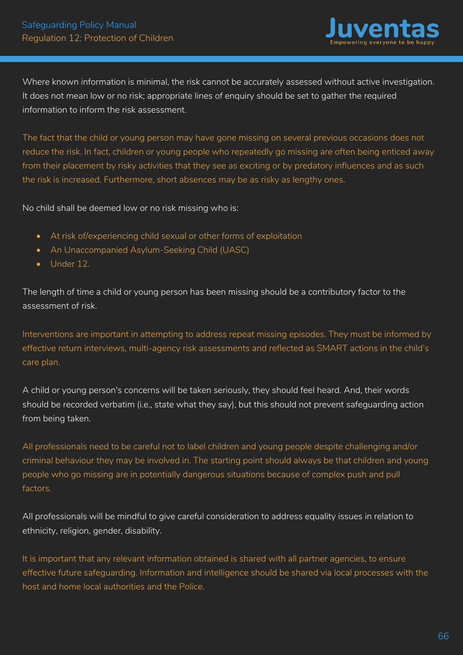

Where known information is minimal, the risk cannot be accurately assessed without active investigation. It does not mean low or no risk; appropriate lines of enquiry should be set to gather the required information to inform the risk assessment.

The fact that the child or young person may have gone missing on several previous occasions does not reduce the risk. In fact, children or young people who repeatedly go missing are often being enticed away from their placement by risky activities that they see as exciting or by predatory influences and as such the risk is increased. Furthermore, short absences may be as risky as lengthy ones.

No child shall be deemed low or no risk missing who is:

- At risk of/experiencing child sexual or other forms of exploitation
- An Unaccompanied Asylum-Seeking Child (UASC)
- Under 12.

The length of time a child or young person has been missing should be a contributory factor to the assessment of risk.

Interventions are important in attempting to address repeat missing episodes. They must be informed by effective return interviews, multi-agency risk assessments and reflected as SMART actions in the child's care plan.

A child or young person's concerns will be taken seriously, they should feel heard. And, their words should be recorded verbatim (i.e., state what they say), but this should not prevent safeguarding action from being taken.

All professionals need to be careful not to label children and young people despite challenging and/or criminal behaviour they may be involved in. The starting point should always be that children and young people who go missing are in potentially dangerous situations because of complex push and pull factors.

All professionals will be mindful to give careful consideration to address equality issues in relation to ethnicity, religion, gender, disability.

It is important that any relevant information obtained is shared with all partner agencies, to ensure effective future safeguarding. Information and intelligence should be shared via local processes with the host and home local authorities and the Police.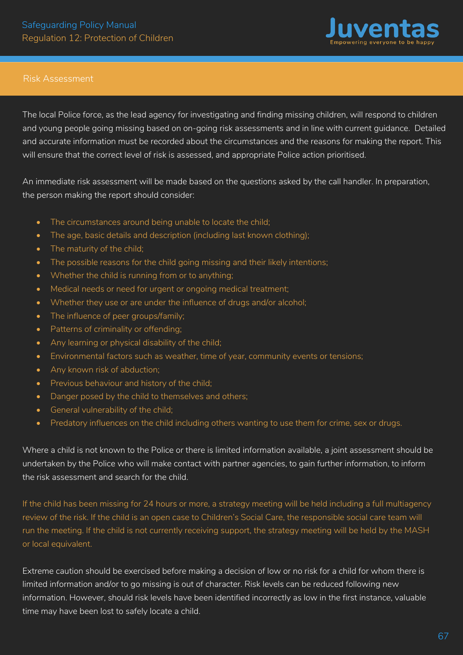

#### Risk Assessment

The local Police force, as the lead agency for investigating and finding missing children, will respond to children and young people going missing based on on-going risk assessments and in line with current guidance. Detailed and accurate information must be recorded about the circumstances and the reasons for making the report. This will ensure that the correct level of risk is assessed, and appropriate Police action prioritised.

An immediate risk assessment will be made based on the questions asked by the call handler. In preparation, the person making the report should consider:

- The circumstances around being unable to locate the child;
- The age, basic details and description (including last known clothing);
- The maturity of the child;
- The possible reasons for the child going missing and their likely intentions;
- Whether the child is running from or to anything;
- Medical needs or need for urgent or ongoing medical treatment;
- Whether they use or are under the influence of drugs and/or alcohol;
- The influence of peer groups/family;
- Patterns of criminality or offending;
- Any learning or physical disability of the child;
- Environmental factors such as weather, time of year, community events or tensions;
- Any known risk of abduction;
- Previous behaviour and history of the child;
- Danger posed by the child to themselves and others;
- General vulnerability of the child;
- Predatory influences on the child including others wanting to use them for crime, sex or drugs.

Where a child is not known to the Police or there is limited information available, a joint assessment should be undertaken by the Police who will make contact with partner agencies, to gain further information, to inform the risk assessment and search for the child.

If the child has been missing for 24 hours or more, a strategy meeting will be held including a full multiagency review of the risk. If the child is an open case to Children's Social Care, the responsible social care team will run the meeting. If the child is not currently receiving support, the strategy meeting will be held by the MASH or local equivalent.

Extreme caution should be exercised before making a decision of low or no risk for a child for whom there is limited information and/or to go missing is out of character. Risk levels can be reduced following new information. However, should risk levels have been identified incorrectly as low in the first instance, valuable time may have been lost to safely locate a child.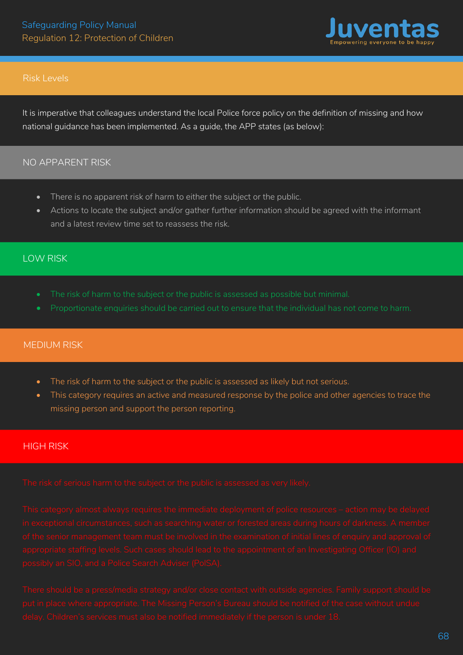

### Risk Levels

It is imperative that colleagues understand the local Police force policy on the definition of missing and how national guidance has been implemented. As a guide, the APP states (as below):

### NO APPARENT RISK

- There is no apparent risk of harm to either the subject or the public.
- Actions to locate the subject and/or gather further information should be agreed with the informant and a latest review time set to reassess the risk.

# LOW RISK

- 
- 

# MEDIUM RISK

- The risk of harm to the subject or the public is assessed as likely but not serious.
- This category requires an active and measured response by the police and other agencies to trace the missing person and support the person reporting.

# HIGH RISK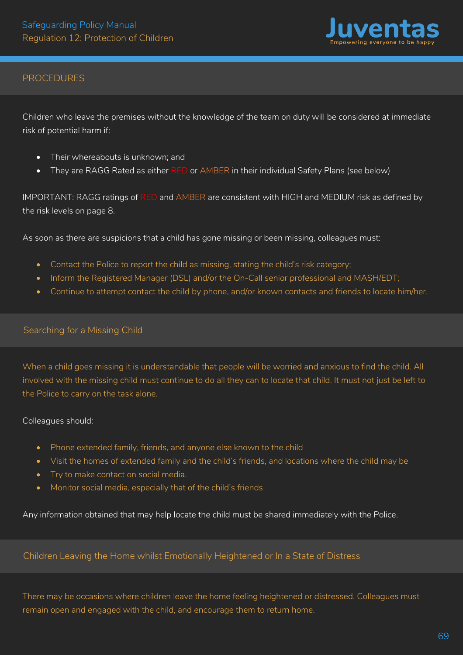

# PROCEDURES

Children who leave the premises without the knowledge of the team on duty will be considered at immediate risk of potential harm if:

- Their whereabouts is unknown; and
- They are RAGG Rated as either RED or AMBER in their individual Safety Plans (see below)

IMPORTANT: RAGG ratings of RED and AMBER are consistent with HIGH and MEDIUM risk as defined by the risk levels on page 8.

As soon as there are suspicions that a child has gone missing or been missing, colleagues must:

- Contact the Police to report the child as missing, stating the child's risk category;
- Inform the Registered Manager (DSL) and/or the On-Call senior professional and MASH/EDT;
- Continue to attempt contact the child by phone, and/or known contacts and friends to locate him/her.

#### Searching for a Missing Child

When a child goes missing it is understandable that people will be worried and anxious to find the child. All involved with the missing child must continue to do all they can to locate that child. It must not just be left to the Police to carry on the task alone.

#### Colleagues should:

- Phone extended family, friends, and anyone else known to the child
- Visit the homes of extended family and the child's friends, and locations where the child may be
- Try to make contact on social media.
- Monitor social media, especially that of the child's friends

Any information obtained that may help locate the child must be shared immediately with the Police.

# Children Leaving the Home whilst Emotionally Heightened or In a State of Distress

There may be occasions where children leave the home feeling heightened or distressed. Colleagues must remain open and engaged with the child, and encourage them to return home.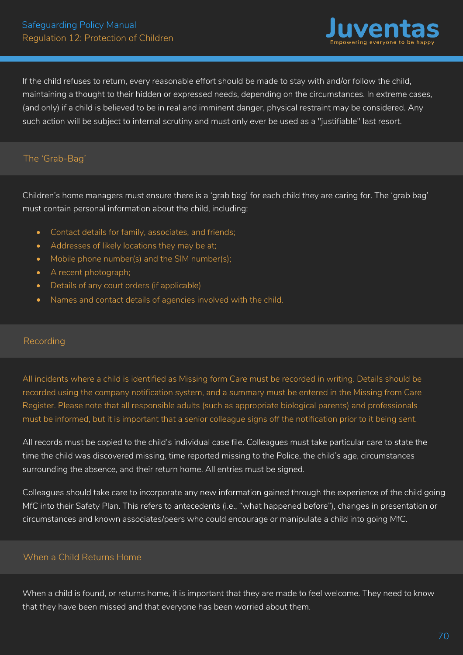

If the child refuses to return, every reasonable effort should be made to stay with and/or follow the child, maintaining a thought to their hidden or expressed needs, depending on the circumstances. In extreme cases, (and only) if a child is believed to be in real and imminent danger, physical restraint may be considered. Any such action will be subject to internal scrutiny and must only ever be used as a "justifiable" last resort.

# The 'Grab-Bag'

Children's home managers must ensure there is a 'grab bag' for each child they are caring for. The 'grab bag' must contain personal information about the child, including:

- Contact details for family, associates, and friends;
- Addresses of likely locations they may be at;
- Mobile phone number(s) and the SIM number(s);
- A recent photograph;
- Details of any court orders (if applicable)
- Names and contact details of agencies involved with the child.

# Recording

All incidents where a child is identified as Missing form Care must be recorded in writing. Details should be recorded using the company notification system, and a summary must be entered in the Missing from Care Register. Please note that all responsible adults (such as appropriate biological parents) and professionals must be informed, but it is important that a senior colleague signs off the notification prior to it being sent.

All records must be copied to the child's individual case file. Colleagues must take particular care to state the time the child was discovered missing, time reported missing to the Police, the child's age, circumstances surrounding the absence, and their return home. All entries must be signed.

Colleagues should take care to incorporate any new information gained through the experience of the child going MfC into their Safety Plan. This refers to antecedents (i.e., "what happened before"), changes in presentation or circumstances and known associates/peers who could encourage or manipulate a child into going MfC.

# When a Child Returns Home

When a child is found, or returns home, it is important that they are made to feel welcome. They need to know that they have been missed and that everyone has been worried about them.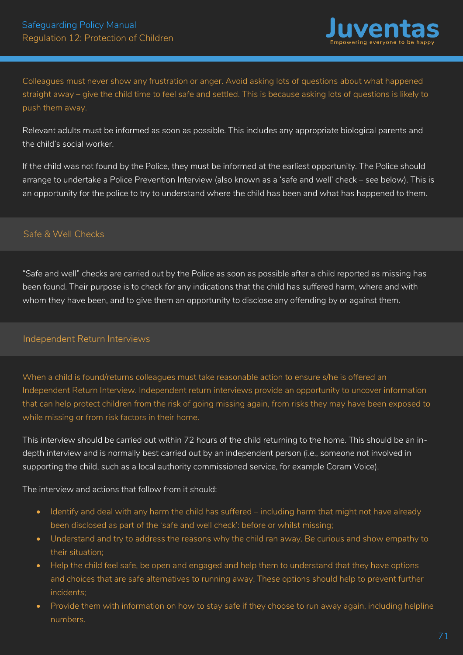

Colleagues must never show any frustration or anger. Avoid asking lots of questions about what happened straight away – give the child time to feel safe and settled. This is because asking lots of questions is likely to push them away.

Relevant adults must be informed as soon as possible. This includes any appropriate biological parents and the child's social worker.

If the child was not found by the Police, they must be informed at the earliest opportunity. The Police should arrange to undertake a Police Prevention Interview (also known as a 'safe and well' check – see below). This is an opportunity for the police to try to understand where the child has been and what has happened to them.

# Safe & Well Checks

"Safe and well" checks are carried out by the Police as soon as possible after a child reported as missing has been found. Their purpose is to check for any indications that the child has suffered harm, where and with whom they have been, and to give them an opportunity to disclose any offending by or against them.

# Independent Return Interviews

When a child is found/returns colleagues must take reasonable action to ensure s/he is offered an Independent Return Interview. Independent return interviews provide an opportunity to uncover information that can help protect children from the risk of going missing again, from risks they may have been exposed to while missing or from risk factors in their home.

This interview should be carried out within 72 hours of the child returning to the home. This should be an indepth interview and is normally best carried out by an independent person (i.e., someone not involved in supporting the child, such as a local authority commissioned service, for example Coram Voice).

The interview and actions that follow from it should:

- Identify and deal with any harm the child has suffered including harm that might not have already been disclosed as part of the 'safe and well check': before or whilst missing;
- Understand and try to address the reasons why the child ran away. Be curious and show empathy to their situation;
- Help the child feel safe, be open and engaged and help them to understand that they have options and choices that are safe alternatives to running away. These options should help to prevent further incidents;
- Provide them with information on how to stay safe if they choose to run away again, including helpline numbers.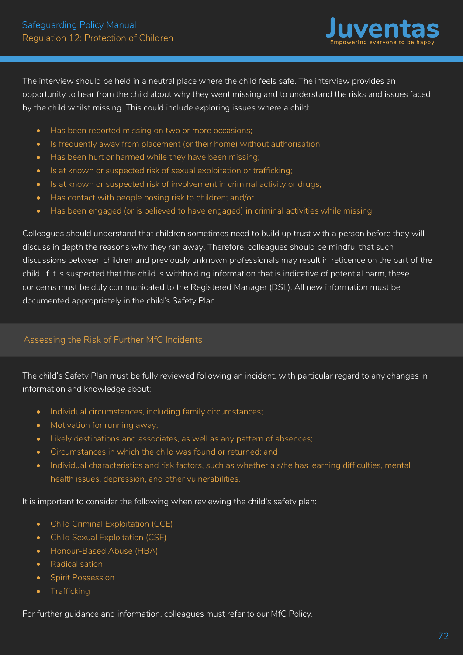

The interview should be held in a neutral place where the child feels safe. The interview provides an opportunity to hear from the child about why they went missing and to understand the risks and issues faced by the child whilst missing. This could include exploring issues where a child:

- Has been reported missing on two or more occasions;
- Is frequently away from placement (or their home) without authorisation;
- Has been hurt or harmed while they have been missing;
- Is at known or suspected risk of sexual exploitation or trafficking;
- Is at known or suspected risk of involvement in criminal activity or drugs;
- Has contact with people posing risk to children; and/or
- Has been engaged (or is believed to have engaged) in criminal activities while missing.

Colleagues should understand that children sometimes need to build up trust with a person before they will discuss in depth the reasons why they ran away. Therefore, colleagues should be mindful that such discussions between children and previously unknown professionals may result in reticence on the part of the child. If it is suspected that the child is withholding information that is indicative of potential harm, these concerns must be duly communicated to the Registered Manager (DSL). All new information must be documented appropriately in the child's Safety Plan.

# Assessing the Risk of Further MfC Incidents

The child's Safety Plan must be fully reviewed following an incident, with particular regard to any changes in information and knowledge about:

- Individual circumstances, including family circumstances;
- Motivation for running away;
- Likely destinations and associates, as well as any pattern of absences;
- Circumstances in which the child was found or returned; and
- Individual characteristics and risk factors, such as whether a s/he has learning difficulties, mental health issues, depression, and other vulnerabilities.

It is important to consider the following when reviewing the child's safety plan:

- Child Criminal Exploitation (CCE)
- Child Sexual Exploitation (CSE)
- Honour-Based Abuse (HBA)
- Radicalisation
- Spirit Possession
- Trafficking

For further guidance and information, colleagues must refer to our MfC Policy.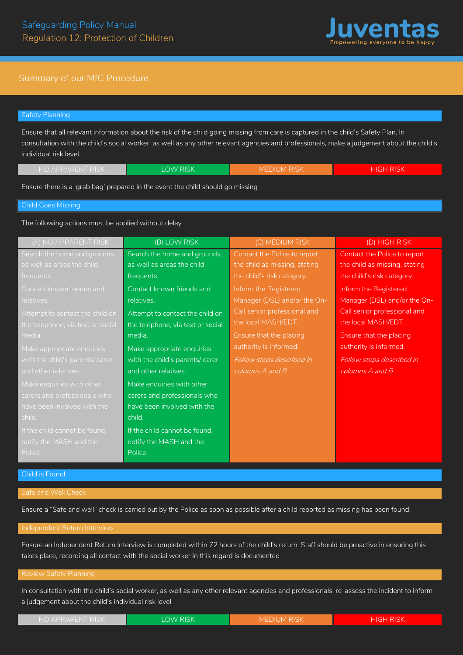

### Summary of our MfC Procedure

# Safety Planning Ensure that all relevant information about the risk of the child going missing from care is captured in the child's Safety Plan. In

consultation with the child's social worker, as well as any other relevant agencies and professionals, make a judgement about the child's individual risk level.

| NO APPARENT RISK | LOW RISK | <b>MEDIUM RISK</b> | <b>HIGH RISK</b> |
|------------------|----------|--------------------|------------------|
|                  |          |                    |                  |

Ensure there is a 'grab bag' prepared in the event the child should go missing

#### Child Goes Missing

The following actions must be applied without delay

| (A) NO APPARENT RISK              | (B) LOW RISK                      | (C) MEDIUM RISK               | (D) HIGH RISK                 |
|-----------------------------------|-----------------------------------|-------------------------------|-------------------------------|
| Search the home and grounds,      | Search the home and grounds,      | Contact the Police to report  | Contact the Police to report  |
| as well as areas the child        | as well as areas the child        | the child as missing, stating | the child as missing, stating |
| frequents.                        | frequents.                        | the child's risk category.    | the child's risk category.    |
| Contact known friends and         | Contact known friends and         | Inform the Registered         | Inform the Registered         |
| relatives.                        | relatives.                        | Manager (DSL) and/or the On-  | Manager (DSL) and/or the On-  |
| Attempt to contact the child on   | Attempt to contact the child on   | Call senior professional and  | Call senior professional and  |
| the telephone, via text or social | the telephone, via text or social | the local MASH/EDT.           | the local MASH/EDT.           |
| media.                            | media.                            | Ensure that the placing       | Ensure that the placing       |
| Make appropriate enquiries        | Make appropriate enquiries        | authority is informed.        | authority is informed.        |
| with the child's parents/ carer   | with the child's parents/ carer   | Follow steps described in     | Follow steps described in     |
| and other relatives.              | and other relatives.              | $columns$ A and $B$           | columns A and B               |
| Make enquiries with other         | Make enquiries with other         |                               |                               |
| carers and professionals who      | carers and professionals who      |                               |                               |
| have been involved with the       | have been involved with the       |                               |                               |
| child.                            | child.                            |                               |                               |
| If the child cannot be found,     | If the child cannot be found,     |                               |                               |
| notify the MASH and the           | notify the MASH and the           |                               |                               |
| Police.                           | Police.                           |                               |                               |

Ensure a "Safe and well" check is carried out by the Police as soon as possible after a child reported as missing has been found.

#### Independent Return Interview

Ensure an Independent Return Interview is completed within 72 hours of the child's return. Staff should be proactive in ensuring this takes place, recording all contact with the social worker in this regard is documented

In consultation with the child's social worker, as well as any other relevant agencies and professionals, re-assess the incident to inform a judgement about the child's individual risk level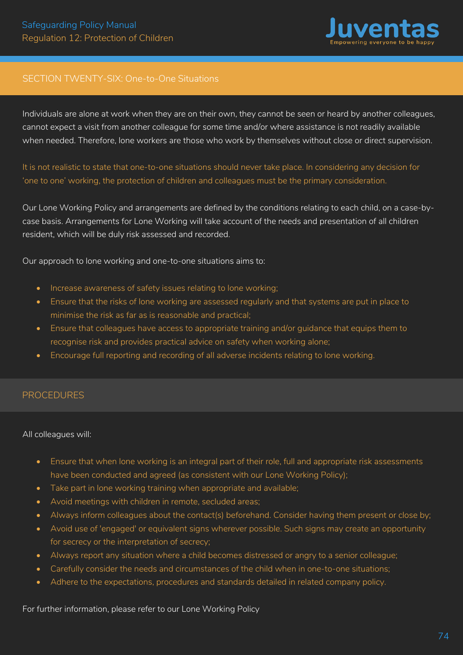

# SECTION TWENTY-SIX: One-to-One Situations

Individuals are alone at work when they are on their own, they cannot be seen or heard by another colleagues, cannot expect a visit from another colleague for some time and/or where assistance is not readily available when needed. Therefore, lone workers are those who work by themselves without close or direct supervision.

It is not realistic to state that one-to-one situations should never take place. In considering any decision for 'one to one' working, the protection of children and colleagues must be the primary consideration.

Our Lone Working Policy and arrangements are defined by the conditions relating to each child, on a case-bycase basis. Arrangements for Lone Working will take account of the needs and presentation of all children resident, which will be duly risk assessed and recorded.

Our approach to lone working and one-to-one situations aims to:

- Increase awareness of safety issues relating to lone working;
- Ensure that the risks of lone working are assessed regularly and that systems are put in place to minimise the risk as far as is reasonable and practical;
- Ensure that colleagues have access to appropriate training and/or guidance that equips them to recognise risk and provides practical advice on safety when working alone;
- Encourage full reporting and recording of all adverse incidents relating to lone working.

### PROCEDURES

#### All colleagues will:

- Ensure that when lone working is an integral part of their role, full and appropriate risk assessments have been conducted and agreed (as consistent with our Lone Working Policy);
- Take part in lone working training when appropriate and available;
- Avoid meetings with children in remote, secluded areas;
- Always inform colleagues about the contact(s) beforehand. Consider having them present or close by;
- Avoid use of 'engaged' or equivalent signs wherever possible. Such signs may create an opportunity for secrecy or the interpretation of secrecy;
- Always report any situation where a child becomes distressed or angry to a senior colleague;
- Carefully consider the needs and circumstances of the child when in one-to-one situations;
- Adhere to the expectations, procedures and standards detailed in related company policy.

For further information, please refer to our Lone Working Policy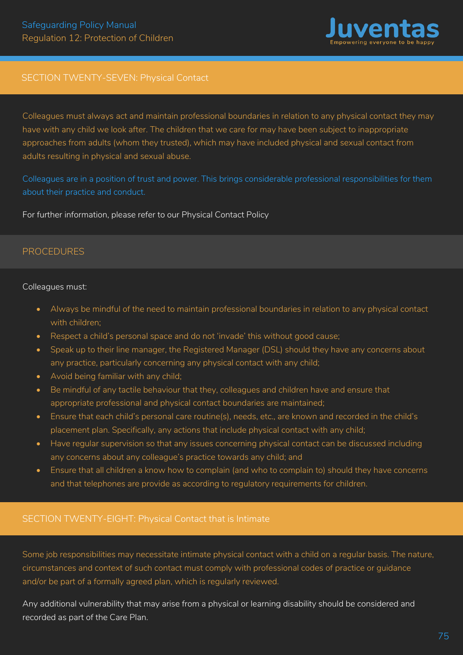

# SECTION TWENTY-SEVEN: Physical Contact

Colleagues must always act and maintain professional boundaries in relation to any physical contact they may have with any child we look after. The children that we care for may have been subject to inappropriate approaches from adults (whom they trusted), which may have included physical and sexual contact from adults resulting in physical and sexual abuse.

Colleagues are in a position of trust and power. This brings considerable professional responsibilities for them about their practice and conduct.

For further information, please refer to our Physical Contact Policy

# PROCEDURES

#### Colleagues must:

- Always be mindful of the need to maintain professional boundaries in relation to any physical contact with children;
- Respect a child's personal space and do not 'invade' this without good cause;
- Speak up to their line manager, the Registered Manager (DSL) should they have any concerns about any practice, particularly concerning any physical contact with any child;
- Avoid being familiar with any child;
- Be mindful of any tactile behaviour that they, colleagues and children have and ensure that appropriate professional and physical contact boundaries are maintained;
- Ensure that each child's personal care routine(s), needs, etc., are known and recorded in the child's placement plan. Specifically, any actions that include physical contact with any child;
- Have regular supervision so that any issues concerning physical contact can be discussed including any concerns about any colleague's practice towards any child; and
- Ensure that all children a know how to complain (and who to complain to) should they have concerns and that telephones are provide as according to regulatory requirements for children.

# SECTION TWENTY-EIGHT: Physical Contact that is Intimate

Some job responsibilities may necessitate intimate physical contact with a child on a regular basis. The nature, circumstances and context of such contact must comply with professional codes of practice or guidance and/or be part of a formally agreed plan, which is regularly reviewed.

Any additional vulnerability that may arise from a physical or learning disability should be considered and recorded as part of the Care Plan.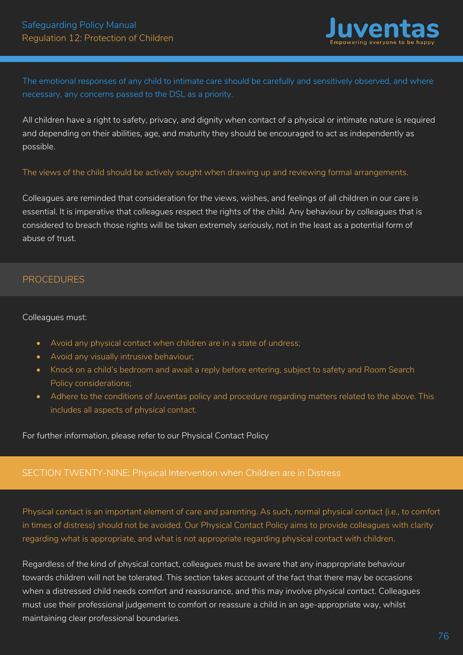

The emotional responses of any child to intimate care should be carefully and sensitively observed, and where necessary, any concerns passed to the DSL as a priority.

All children have a right to safety, privacy, and dignity when contact of a physical or intimate nature is required and depending on their abilities, age, and maturity they should be encouraged to act as independently as possible.

The views of the child should be actively sought when drawing up and reviewing formal arrangements.

Colleagues are reminded that consideration for the views, wishes, and feelings of all children in our care is essential. It is imperative that colleagues respect the rights of the child. Any behaviour by colleagues that is considered to breach those rights will be taken extremely seriously, not in the least as a potential form of abuse of trust.

# PROCEDURES

### Colleagues must:

- Avoid any physical contact when children are in a state of undress;
- Avoid any visually intrusive behaviour;
- Knock on a child's bedroom and await a reply before entering, subject to safety and Room Search Policy considerations;
- Adhere to the conditions of Juventas policy and procedure regarding matters related to the above. This includes all aspects of physical contact.

For further information, please refer to our Physical Contact Policy

# SECTION TWENTY-NINE: Physical Intervention when Children are in Distress

Physical contact is an important element of care and parenting. As such, normal physical contact (i.e., to comfort in times of distress) should not be avoided. Our Physical Contact Policy aims to provide colleagues with clarity regarding what is appropriate, and what is not appropriate regarding physical contact with children.

Regardless of the kind of physical contact, colleagues must be aware that any inappropriate behaviour towards children will not be tolerated. This section takes account of the fact that there may be occasions when a distressed child needs comfort and reassurance, and this may involve physical contact. Colleagues must use their professional judgement to comfort or reassure a child in an age-appropriate way, whilst maintaining clear professional boundaries.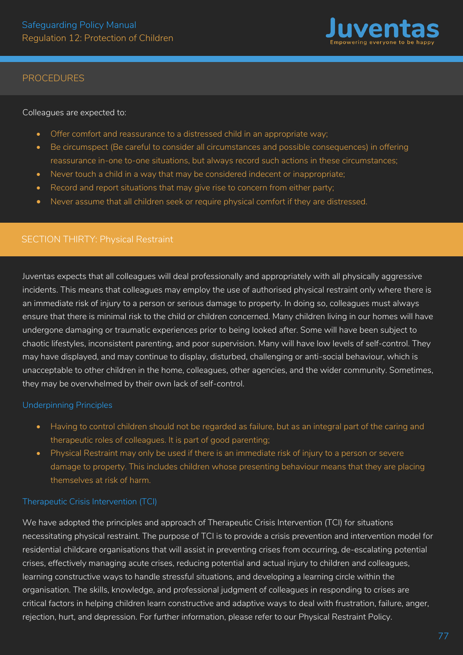

Colleagues are expected to:

- Offer comfort and reassurance to a distressed child in an appropriate way;
- Be circumspect (Be careful to consider all circumstances and possible consequences) in offering reassurance in-one to-one situations, but always record such actions in these circumstances;
- Never touch a child in a way that may be considered indecent or inappropriate;
- Record and report situations that may give rise to concern from either party;
- Never assume that all children seek or require physical comfort if they are distressed.

# SECTION THIRTY: Physical Restraint

Juventas expects that all colleagues will deal professionally and appropriately with all physically aggressive incidents. This means that colleagues may employ the use of authorised physical restraint only where there is an immediate risk of injury to a person or serious damage to property. In doing so, colleagues must always ensure that there is minimal risk to the child or children concerned. Many children living in our homes will have undergone damaging or traumatic experiences prior to being looked after. Some will have been subject to chaotic lifestyles, inconsistent parenting, and poor supervision. Many will have low levels of self-control. They may have displayed, and may continue to display, disturbed, challenging or anti-social behaviour, which is unacceptable to other children in the home, colleagues, other agencies, and the wider community. Sometimes, they may be overwhelmed by their own lack of self-control.

### Underpinning Principles

- Having to control children should not be regarded as failure, but as an integral part of the caring and therapeutic roles of colleagues. It is part of good parenting;
- Physical Restraint may only be used if there is an immediate risk of injury to a person or severe damage to property. This includes children whose presenting behaviour means that they are placing themselves at risk of harm.

# Therapeutic Crisis Intervention (TCI)

We have adopted the principles and approach of Therapeutic Crisis Intervention (TCI) for situations necessitating physical restraint. The purpose of TCI is to provide a crisis prevention and intervention model for residential childcare organisations that will assist in preventing crises from occurring, de-escalating potential crises, effectively managing acute crises, reducing potential and actual injury to children and colleagues, learning constructive ways to handle stressful situations, and developing a learning circle within the organisation. The skills, knowledge, and professional judgment of colleagues in responding to crises are critical factors in helping children learn constructive and adaptive ways to deal with frustration, failure, anger, rejection, hurt, and depression. For further information, please refer to our Physical Restraint Policy.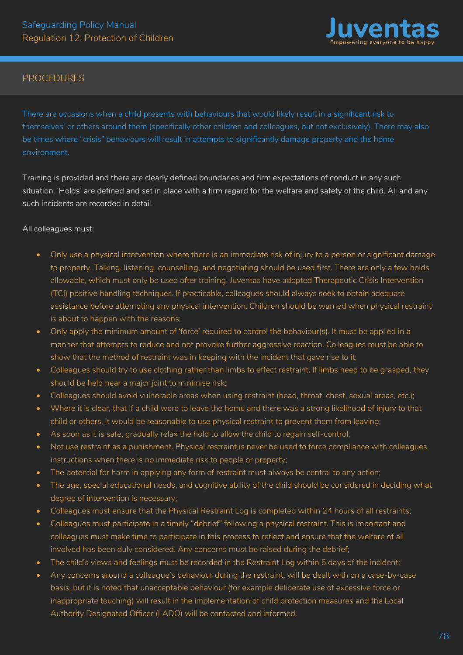

There are occasions when a child presents with behaviours that would likely result in a significant risk to themselves' or others around them (specifically other children and colleagues, but not exclusively). There may also be times where "crisis" behaviours will result in attempts to significantly damage property and the home environment.

Training is provided and there are clearly defined boundaries and firm expectations of conduct in any such situation. 'Holds' are defined and set in place with a firm regard for the welfare and safety of the child. All and any such incidents are recorded in detail.

All colleagues must:

- Only use a physical intervention where there is an immediate risk of injury to a person or significant damage to property. Talking, listening, counselling, and negotiating should be used first. There are only a few holds allowable, which must only be used after training. Juventas have adopted Therapeutic Crisis Intervention (TCI) positive handling techniques. If practicable, colleagues should always seek to obtain adequate assistance before attempting any physical intervention. Children should be warned when physical restraint is about to happen with the reasons;
- Only apply the minimum amount of 'force' required to control the behaviour(s). It must be applied in a manner that attempts to reduce and not provoke further aggressive reaction. Colleagues must be able to show that the method of restraint was in keeping with the incident that gave rise to it;
- Colleagues should try to use clothing rather than limbs to effect restraint. If limbs need to be grasped, they should be held near a major joint to minimise risk;
- Colleagues should avoid vulnerable areas when using restraint (head, throat, chest, sexual areas, etc.);
- Where it is clear, that if a child were to leave the home and there was a strong likelihood of injury to that child or others, it would be reasonable to use physical restraint to prevent them from leaving;
- As soon as it is safe, gradually relax the hold to allow the child to regain self-control;
- Not use restraint as a punishment. Physical restraint is never be used to force compliance with colleagues instructions when there is no immediate risk to people or property;
- The potential for harm in applying any form of restraint must always be central to any action;
- The age, special educational needs, and cognitive ability of the child should be considered in deciding what degree of intervention is necessary;
- Colleagues must ensure that the Physical Restraint Log is completed within 24 hours of all restraints;
- Colleagues must participate in a timely "debrief" following a physical restraint. This is important and colleagues must make time to participate in this process to reflect and ensure that the welfare of all involved has been duly considered. Any concerns must be raised during the debrief;
- The child's views and feelings must be recorded in the Restraint Log within 5 days of the incident;
- Any concerns around a colleague's behaviour during the restraint, will be dealt with on a case-by-case basis, but it is noted that unacceptable behaviour (for example deliberate use of excessive force or inappropriate touching) will result in the implementation of child protection measures and the Local Authority Designated Officer (LADO) will be contacted and informed.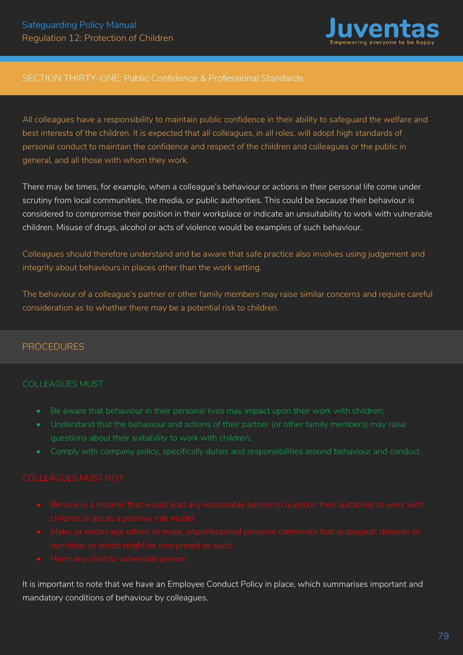

# SECTION THIRTY-ONE: Public Confidence & Professional Standards

All colleagues have a responsibility to maintain public confidence in their ability to safeguard the welfare and best interests of the children. It is expected that all colleagues, in all roles, will adopt high standards of personal conduct to maintain the confidence and respect of the children and colleagues or the public in general, and all those with whom they work.

There may be times, for example, when a colleague's behaviour or actions in their personal life come under scrutiny from local communities, the media, or public authorities. This could be because their behaviour is considered to compromise their position in their workplace or indicate an unsuitability to work with vulnerable children. Misuse of drugs, alcohol or acts of violence would be examples of such behaviour.

Colleagues should therefore understand and be aware that safe practice also involves using judgement and integrity about behaviours in places other than the work setting.

The behaviour of a colleague's partner or other family members may raise similar concerns and require careful consideration as to whether there may be a potential risk to children.

#### .<br>r PROCEDURES

### COLLEAGUES MUST:

- 
- 
- 

- 
- 
- 

It is important to note that we have an Employee Conduct Policy in place, which summarises important and mandatory conditions of behaviour by colleagues.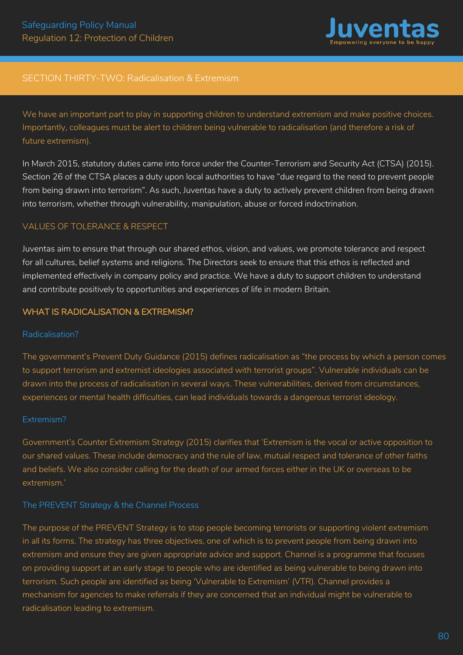

# SECTION THIRTY-TWO: Radicalisation & Extremism

We have an important part to play in supporting children to understand extremism and make positive choices. Importantly, colleagues must be alert to children being vulnerable to radicalisation (and therefore a risk of future extremism).

In March 2015, statutory duties came into force under the Counter-Terrorism and Security Act (CTSA) (2015). Section 26 of the CTSA places a duty upon local authorities to have "due regard to the need to prevent people from being drawn into terrorism". As such, Juventas have a duty to actively prevent children from being drawn into terrorism, whether through vulnerability, manipulation, abuse or forced indoctrination.

### VALUES OF TOLERANCE & RESPECT

Juventas aim to ensure that through our shared ethos, vision, and values, we promote tolerance and respect for all cultures, belief systems and religions. The Directors seek to ensure that this ethos is reflected and implemented effectively in company policy and practice. We have a duty to support children to understand and contribute positively to opportunities and experiences of life in modern Britain.

### WHAT IS RADICALISATION & EXTREMISM?

#### Radicalisation?

The government's Prevent Duty Guidance (2015) defines radicalisation as "the process by which a person comes to support terrorism and extremist ideologies associated with terrorist groups". Vulnerable individuals can be drawn into the process of radicalisation in several ways. These vulnerabilities, derived from circumstances, experiences or mental health difficulties, can lead individuals towards a dangerous terrorist ideology.

#### Extremism?

Government's Counter Extremism Strategy (2015) clarifies that 'Extremism is the vocal or active opposition to our shared values. These include democracy and the rule of law, mutual respect and tolerance of other faiths and beliefs. We also consider calling for the death of our armed forces either in the UK or overseas to be extremism.'

### The PREVENT Strategy & the Channel Process

The purpose of the PREVENT Strategy is to stop people becoming terrorists or supporting violent extremism in all its forms. The strategy has three objectives, one of which is to prevent people from being drawn into extremism and ensure they are given appropriate advice and support. Channel is a programme that focuses on providing support at an early stage to people who are identified as being vulnerable to being drawn into terrorism. Such people are identified as being 'Vulnerable to Extremism' (VTR). Channel provides a mechanism for agencies to make referrals if they are concerned that an individual might be vulnerable to radicalisation leading to extremism.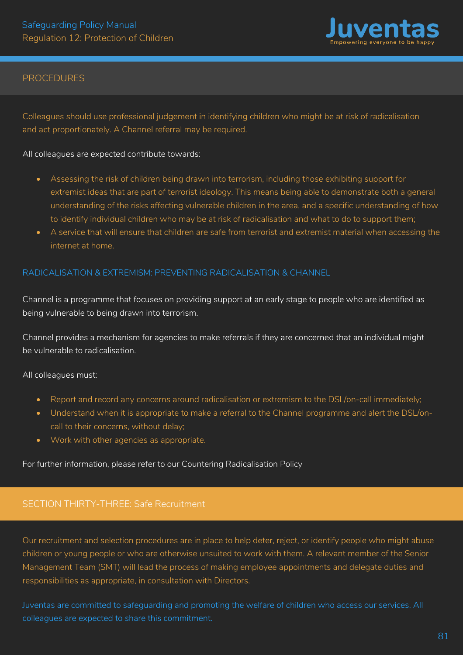

Colleagues should use professional judgement in identifying children who might be at risk of radicalisation and act proportionately. A Channel referral may be required.

#### All colleagues are expected contribute towards:

- Assessing the risk of children being drawn into terrorism, including those exhibiting support for extremist ideas that are part of terrorist ideology. This means being able to demonstrate both a general understanding of the risks affecting vulnerable children in the area, and a specific understanding of how to identify individual children who may be at risk of radicalisation and what to do to support them;
- A service that will ensure that children are safe from terrorist and extremist material when accessing the internet at home.

### RADICALISATION & EXTREMISM: PREVENTING RADICALISATION & CHANNEL

Channel is a programme that focuses on providing support at an early stage to people who are identified as being vulnerable to being drawn into terrorism.

Channel provides a mechanism for agencies to make referrals if they are concerned that an individual might be vulnerable to radicalisation.

#### All colleagues must:

- Report and record any concerns around radicalisation or extremism to the DSL/on-call immediately;
- Understand when it is appropriate to make a referral to the Channel programme and alert the DSL/oncall to their concerns, without delay;
- Work with other agencies as appropriate.

For further information, please refer to our Countering Radicalisation Policy

# SECTION THIRTY-THREE: Safe Recruitment

Our recruitment and selection procedures are in place to help deter, reject, or identify people who might abuse children or young people or who are otherwise unsuited to work with them. A relevant member of the Senior Management Team (SMT) will lead the process of making employee appointments and delegate duties and responsibilities as appropriate, in consultation with Directors.

Juventas are committed to safeguarding and promoting the welfare of children who access our services. All colleagues are expected to share this commitment.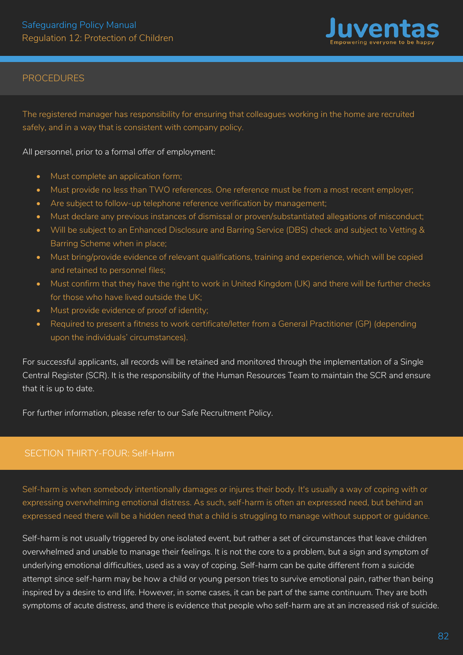

The registered manager has responsibility for ensuring that colleagues working in the home are recruited safely, and in a way that is consistent with company policy.

### All personnel, prior to a formal offer of employment:

- Must complete an application form:
- Must provide no less than TWO references. One reference must be from a most recent employer;
- Are subject to follow-up telephone reference verification by management:
- Must declare any previous instances of dismissal or proven/substantiated allegations of misconduct;
- Will be subject to an Enhanced Disclosure and Barring Service (DBS) check and subject to Vetting & Barring Scheme when in place;
- Must bring/provide evidence of relevant qualifications, training and experience, which will be copied and retained to personnel files;
- Must confirm that they have the right to work in United Kingdom (UK) and there will be further checks for those who have lived outside the UK;
- Must provide evidence of proof of identity;
- Required to present a fitness to work certificate/letter from a General Practitioner (GP) (depending upon the individuals' circumstances).

For successful applicants, all records will be retained and monitored through the implementation of a Single Central Register (SCR). It is the responsibility of the Human Resources Team to maintain the SCR and ensure that it is up to date.

For further information, please refer to our Safe Recruitment Policy.

#### J SECTION THIRTY-FOUR: Self-Harm

Self-harm is when somebody intentionally damages or injures their body. It's usually a way of coping with or expressing overwhelming emotional distress. As such, self-harm is often an expressed need, but behind an expressed need there will be a hidden need that a child is struggling to manage without support or guidance.

Self-harm is not usually triggered by one isolated event, but rather a set of circumstances that leave children overwhelmed and unable to manage their feelings. It is not the core to a problem, but a sign and symptom of underlying emotional difficulties, used as a way of coping. Self-harm can be quite different from a suicide attempt since self-harm may be how a child or young person tries to survive emotional pain, rather than being inspired by a desire to end life. However, in some cases, it can be part of the same continuum. They are both symptoms of acute distress, and there is evidence that people who self-harm are at an increased risk of suicide.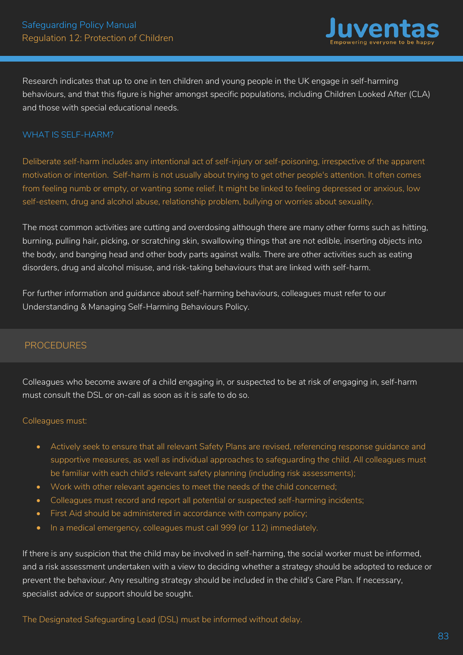

Research indicates that up to one in ten children and young people in the UK engage in self-harming behaviours, and that this figure is higher amongst specific populations, including Children Looked After (CLA) and those with special educational needs.

## WHAT IS SELF-HARM?

Deliberate self-harm includes any intentional act of self-injury or self-poisoning, irrespective of the apparent motivation or intention. Self-harm is not usually about trying to get other people's attention. It often comes from feeling numb or empty, or wanting some relief. It might be linked to feeling depressed or anxious, low self-esteem, drug and alcohol abuse, relationship problem, bullying or worries about sexuality.

The most common activities are cutting and overdosing although there are many other forms such as hitting, burning, pulling hair, picking, or scratching skin, swallowing things that are not edible, inserting objects into the body, and banging head and other body parts against walls. There are other activities such as eating disorders, drug and alcohol misuse, and risk-taking behaviours that are linked with self-harm.

For further information and guidance about self-harming behaviours, colleagues must refer to our Understanding & Managing Self-Harming Behaviours Policy.

# PROCEDURES

Colleagues who become aware of a child engaging in, or suspected to be at risk of engaging in, self-harm must consult the DSL or on-call as soon as it is safe to do so.

#### Colleagues must:

- Actively seek to ensure that all relevant Safety Plans are revised, referencing response guidance and supportive measures, as well as individual approaches to safeguarding the child. All colleagues must be familiar with each child's relevant safety planning (including risk assessments);
- Work with other relevant agencies to meet the needs of the child concerned;
- Colleagues must record and report all potential or suspected self-harming incidents;
- First Aid should be administered in accordance with company policy;
- In a medical emergency, colleagues must call 999 (or 112) immediately.

If there is any suspicion that the child may be involved in self-harming, the social worker must be informed, and a risk assessment undertaken with a view to deciding whether a strategy should be adopted to reduce or prevent the behaviour. Any resulting strategy should be included in the child's Care Plan. If necessary, specialist advice or support should be sought.

The Designated Safeguarding Lead (DSL) must be informed without delay.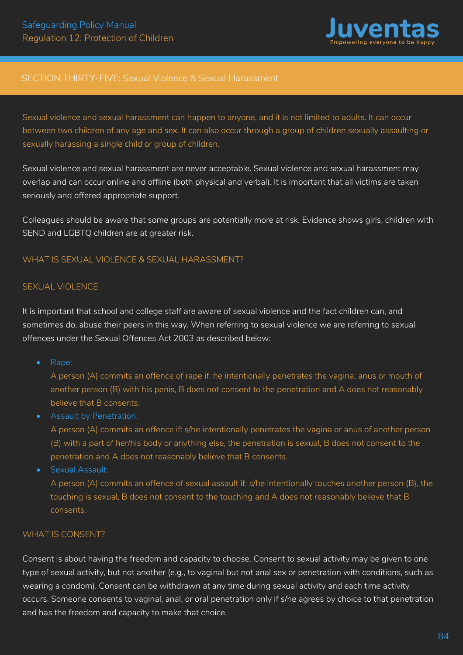

## SECTION THIRTY-FIVE: Sexual Violence & Sexual Harassment

Sexual violence and sexual harassment can happen to anyone, and it is not limited to adults. It can occur between two children of any age and sex. It can also occur through a group of children sexually assaulting or sexually harassing a single child or group of children.

Sexual violence and sexual harassment are never acceptable. Sexual violence and sexual harassment may overlap and can occur online and offline (both physical and verbal). It is important that all victims are taken seriously and offered appropriate support.

Colleagues should be aware that some groups are potentially more at risk. Evidence shows girls, children with SEND and LGBTQ children are at greater risk.

## WHAT IS SEXUAL VIOLENCE & SEXUAL HARASSMENT?

#### SEXUAL VIOLENCE

It is important that school and college staff are aware of sexual violence and the fact children can, and sometimes do, abuse their peers in this way. When referring to sexual violence we are referring to sexual offences under the Sexual Offences Act 2003 as described below:

• Rape:

A person (A) commits an offence of rape if: he intentionally penetrates the vagina, anus or mouth of another person (B) with his penis, B does not consent to the penetration and A does not reasonably believe that B consents.

• Assault by Penetration:

A person (A) commits an offence if: s/he intentionally penetrates the vagina or anus of another person (B) with a part of her/his body or anything else, the penetration is sexual, B does not consent to the penetration and A does not reasonably believe that B consents.

• Sexual Assault:

A person (A) commits an offence of sexual assault if: s/he intentionally touches another person (B), the touching is sexual, B does not consent to the touching and A does not reasonably believe that B consents.

### WHAT IS CONSENT?

Consent is about having the freedom and capacity to choose. Consent to sexual activity may be given to one type of sexual activity, but not another (e.g., to vaginal but not anal sex or penetration with conditions, such as wearing a condom). Consent can be withdrawn at any time during sexual activity and each time activity occurs. Someone consents to vaginal, anal, or oral penetration only if s/he agrees by choice to that penetration and has the freedom and capacity to make that choice.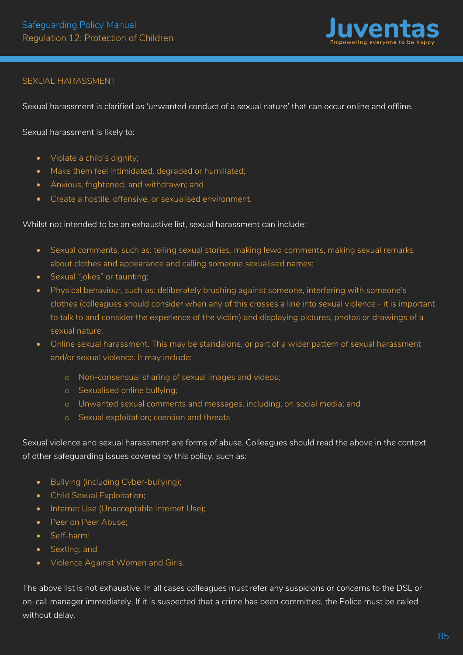

# SEXUAL HARASSMENT

Sexual harassment is clarified as 'unwanted conduct of a sexual nature' that can occur online and offline.

Sexual harassment is likely to:

- Violate a child's dignity;
- Make them feel intimidated, degraded or humiliated;
- Anxious, frightened, and withdrawn; and
- Create a hostile, offensive, or sexualised environment.

#### Whilst not intended to be an exhaustive list, sexual harassment can include:

- Sexual comments, such as: telling sexual stories, making lewd comments, making sexual remarks about clothes and appearance and calling someone sexualised names;
- Sexual "jokes" or taunting;
- Physical behaviour, such as: deliberately brushing against someone, interfering with someone's clothes (colleagues should consider when any of this crosses a line into sexual violence - it is important to talk to and consider the experience of the victim) and displaying pictures, photos or drawings of a sexual nature;
- Online sexual harassment. This may be standalone, or part of a wider pattern of sexual harassment and/or sexual violence. It may include:
	- o Non-consensual sharing of sexual images and videos;
	- o Sexualised online bullying;
	- o Unwanted sexual comments and messages, including, on social media; and
	- o Sexual exploitation; coercion and threats

Sexual violence and sexual harassment are forms of abuse. Colleagues should read the above in the context of other safeguarding issues covered by this policy, such as:

- Bullying (including Cyber-bullying);
- Child Sexual Exploitation;
- Internet Use (Unacceptable Internet Use);
- Peer on Peer Abuse:
- Self-harm;
- Sexting; and
- Violence Against Women and Girls.

The above list is not exhaustive. In all cases colleagues must refer any suspicions or concerns to the DSL or on-call manager immediately. If it is suspected that a crime has been committed, the Police must be called without delay*.*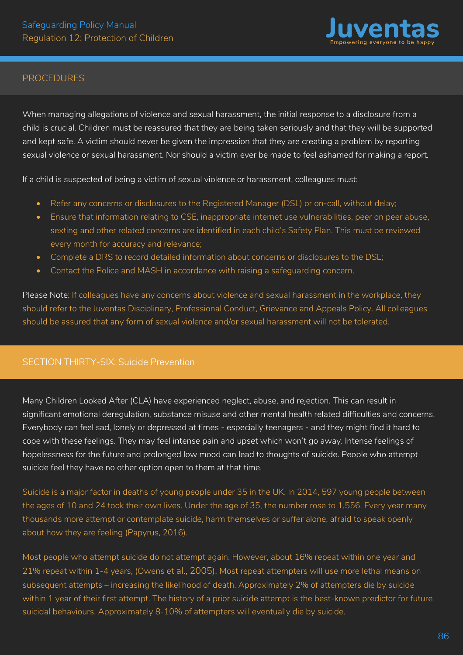

When managing allegations of violence and sexual harassment, the initial response to a disclosure from a child is crucial. Children must be reassured that they are being taken seriously and that they will be supported and kept safe. A victim should never be given the impression that they are creating a problem by reporting sexual violence or sexual harassment. Nor should a victim ever be made to feel ashamed for making a report*.* 

If a child is suspected of being a victim of sexual violence or harassment, colleagues must:

- Refer any concerns or disclosures to the Registered Manager (DSL) or on-call, without delay;
- Ensure that information relating to CSE, inappropriate internet use vulnerabilities, peer on peer abuse, sexting and other related concerns are identified in each child's Safety Plan. This must be reviewed every month for accuracy and relevance;
- Complete a DRS to record detailed information about concerns or disclosures to the DSL;
- Contact the Police and MASH in accordance with raising a safeguarding concern.

Please Note: If colleagues have any concerns about violence and sexual harassment in the workplace, they should refer to the Juventas Disciplinary, Professional Conduct, Grievance and Appeals Policy. All colleagues should be assured that any form of sexual violence and/or sexual harassment will not be tolerated.

# SECTION THIRTY-SIX: Suicide Prevention

Many Children Looked After (CLA) have experienced neglect, abuse, and rejection. This can result in significant emotional deregulation, substance misuse and other mental health related difficulties and concerns. Everybody can feel sad, lonely or depressed at times - especially teenagers - and they might find it hard to cope with these feelings. They may feel intense pain and upset which won't go away. Intense feelings of hopelessness for the future and prolonged low mood can lead to thoughts of suicide. People who attempt suicide feel they have no other option open to them at that time.

Suicide is a major factor in deaths of young people under 35 in the UK. In 2014, 597 young people between the ages of 10 and 24 took their own lives. Under the age of 35, the number rose to 1,556. Every year many thousands more attempt or contemplate suicide, harm themselves or suffer alone, afraid to speak openly about how they are feeling (Papyrus, 2016).

Most people who attempt suicide do not attempt again. However, about 16% repeat within one year and 21% repeat within 1-4 years, (Owens et al., 2005). Most repeat attempters will use more lethal means on subsequent attempts – increasing the likelihood of death. Approximately 2% of attempters die by suicide within 1 year of their first attempt. The history of a prior suicide attempt is the best-known predictor for future suicidal behaviours. Approximately 8-10% of attempters will eventually die by suicide.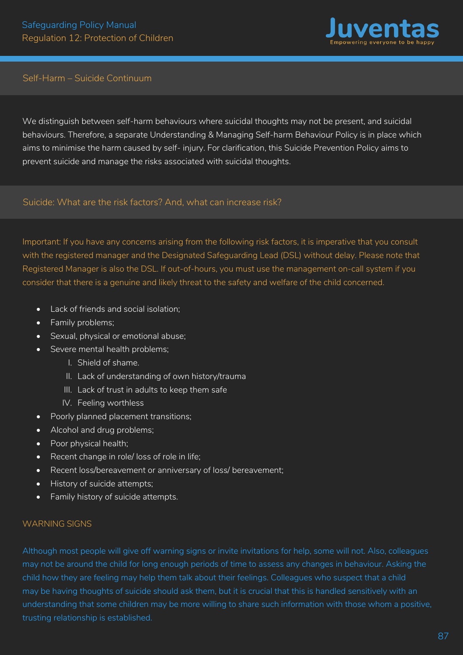

# Self-Harm – Suicide Continuum

We distinguish between self-harm behaviours where suicidal thoughts may not be present, and suicidal behaviours. Therefore, a separate Understanding & Managing Self-harm Behaviour Policy is in place which aims to minimise the harm caused by self- injury. For clarification, this Suicide Prevention Policy aims to prevent suicide and manage the risks associated with suicidal thoughts.

Suicide: What are the risk factors? And, what can increase risk?

Important: If you have any concerns arising from the following risk factors, it is imperative that you consult with the registered manager and the Designated Safeguarding Lead (DSL) without delay. Please note that Registered Manager is also the DSL. If out-of-hours, you must use the management on-call system if you consider that there is a genuine and likely threat to the safety and welfare of the child concerned.

- Lack of friends and social isolation;
- Family problems;
- Sexual, physical or emotional abuse;
- Severe mental health problems;
	- I. Shield of shame.
	- II. Lack of understanding of own history/trauma
	- III. Lack of trust in adults to keep them safe
	- IV. Feeling worthless
- Poorly planned placement transitions;
- Alcohol and drug problems;
- Poor physical health;
- Recent change in role/ loss of role in life;
- Recent loss/bereavement or anniversary of loss/ bereavement;
- History of suicide attempts;
- Family history of suicide attempts.

### WARNING SIGNS

Although most people will give off warning signs or invite invitations for help, some will not. Also, colleagues may not be around the child for long enough periods of time to assess any changes in behaviour. Asking the child how they are feeling may help them talk about their feelings. Colleagues who suspect that a child may be having thoughts of suicide should ask them, but it is crucial that this is handled sensitively with an understanding that some children may be more willing to share such information with those whom a positive, trusting relationship is established.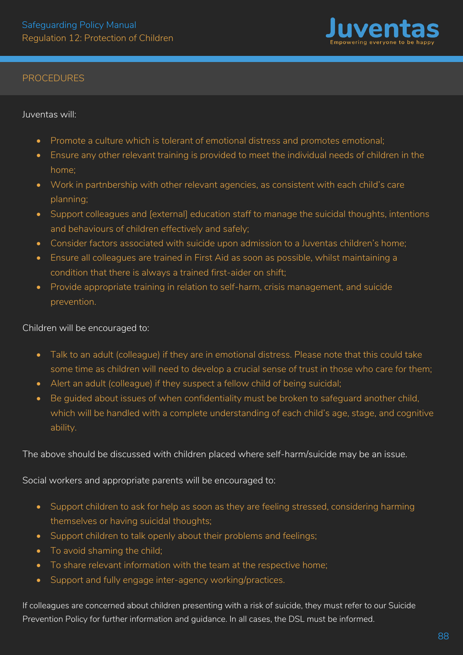

Juventas will:

- Promote a culture which is tolerant of emotional distress and promotes emotional;
- Ensure any other relevant training is provided to meet the individual needs of children in the home;
- Work in partnbership with other relevant agencies, as consistent with each child's care planning;
- Support colleagues and [external] education staff to manage the suicidal thoughts, intentions and behaviours of children effectively and safely;
- Consider factors associated with suicide upon admission to a Juventas children's home;
- Ensure all colleagues are trained in First Aid as soon as possible, whilst maintaining a condition that there is always a trained first-aider on shift;
- Provide appropriate training in relation to self-harm, crisis management, and suicide prevention.

Children will be encouraged to:

- Talk to an adult (colleague) if they are in emotional distress. Please note that this could take some time as children will need to develop a crucial sense of trust in those who care for them;
- Alert an adult (colleague) if they suspect a fellow child of being suicidal;
- Be guided about issues of when confidentiality must be broken to safeguard another child, which will be handled with a complete understanding of each child's age, stage, and cognitive ability.

The above should be discussed with children placed where self-harm/suicide may be an issue.

Social workers and appropriate parents will be encouraged to:

- Support children to ask for help as soon as they are feeling stressed, considering harming themselves or having suicidal thoughts;
- Support children to talk openly about their problems and feelings;
- To avoid shaming the child:
- To share relevant information with the team at the respective home;
- Support and fully engage inter-agency working/practices.

If colleagues are concerned about children presenting with a risk of suicide, they must refer to our Suicide Prevention Policy for further information and guidance. In all cases, the DSL must be informed.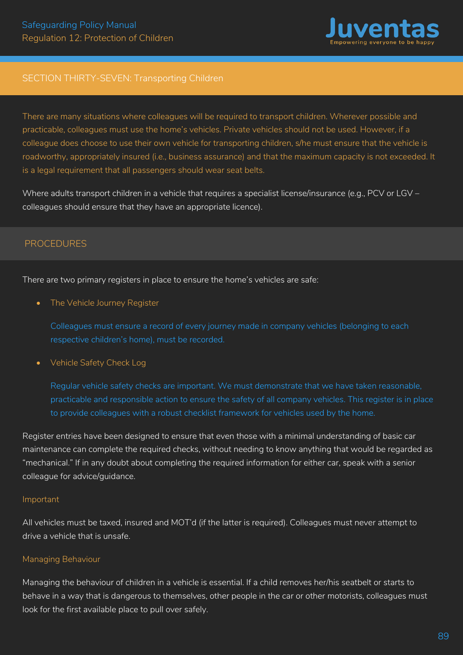

# SECTION THIRTY-SEVEN: Transporting Children

There are many situations where colleagues will be required to transport children. Wherever possible and practicable, colleagues must use the home's vehicles. Private vehicles should not be used. However, if a colleague does choose to use their own vehicle for transporting children, s/he must ensure that the vehicle is roadworthy, appropriately insured (i.e., business assurance) and that the maximum capacity is not exceeded. It is a legal requirement that all passengers should wear seat belts.

Where adults transport children in a vehicle that requires a specialist license/insurance (e.g., PCV or LGV – colleagues should ensure that they have an appropriate licence).

# **PROCEDURES**

There are two primary registers in place to ensure the home's vehicles are safe:

The Vehicle Journey Register

Colleagues must ensure a record of every journey made in company vehicles (belonging to each respective children's home), must be recorded.

• Vehicle Safety Check Log

Regular vehicle safety checks are important. We must demonstrate that we have taken reasonable, practicable and responsible action to ensure the safety of all company vehicles. This register is in place to provide colleagues with a robust checklist framework for vehicles used by the home.

Register entries have been designed to ensure that even those with a minimal understanding of basic car maintenance can complete the required checks, without needing to know anything that would be regarded as "mechanical." If in any doubt about completing the required information for either car, speak with a senior colleague for advice/guidance.

#### Important

All vehicles must be taxed, insured and MOT'd (if the latter is required). Colleagues must never attempt to drive a vehicle that is unsafe.

### Managing Behaviour

Managing the behaviour of children in a vehicle is essential. If a child removes her/his seatbelt or starts to behave in a way that is dangerous to themselves, other people in the car or other motorists, colleagues must look for the first available place to pull over safely.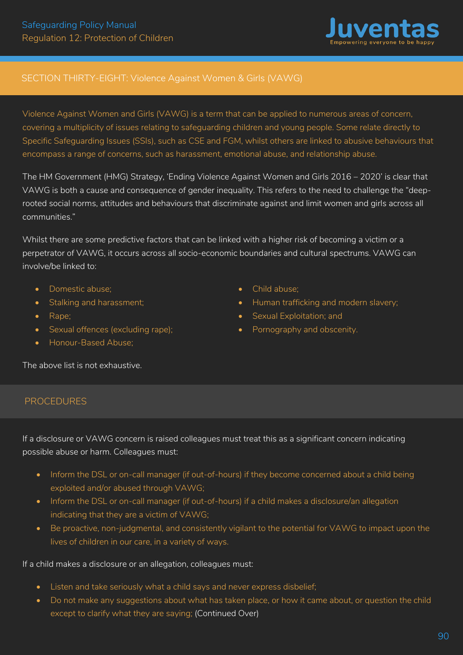

# SECTION THIRTY-EIGHT: Violence Against Women & Girls (VAWG)

Violence Against Women and Girls (VAWG) is a term that can be applied to numerous areas of concern, covering a multiplicity of issues relating to safeguarding children and young people. Some relate directly to Specific Safeguarding Issues (SSIs), such as CSE and FGM, whilst others are linked to abusive behaviours that encompass a range of concerns, such as harassment, emotional abuse, and relationship abuse.

The HM Government (HMG) Strategy, 'Ending Violence Against Women and Girls 2016 – 2020' is clear that VAWG is both a cause and consequence of gender inequality. This refers to the need to challenge the "deeprooted social norms, attitudes and behaviours that discriminate against and limit women and girls across all communities."

Whilst there are some predictive factors that can be linked with a higher risk of becoming a victim or a perpetrator of VAWG, it occurs across all socio-economic boundaries and cultural spectrums. VAWG can involve/be linked to:

- Domestic abuse;
- Stalking and harassment;
- Rape;
- Sexual offences (excluding rape);
- Child abuse;
- Human trafficking and modern slavery;
- Sexual Exploitation; and
- Pornography and obscenity.

• Honour-Based Abuse;

The above list is not exhaustive.

# PROCEDURES

If a disclosure or VAWG concern is raised colleagues must treat this as a significant concern indicating possible abuse or harm. Colleagues must:

- Inform the DSL or on-call manager (if out-of-hours) if they become concerned about a child being exploited and/or abused through VAWG;
- Inform the DSL or on-call manager (if out-of-hours) if a child makes a disclosure/an allegation indicating that they are a victim of VAWG;
- Be proactive, non-judgmental, and consistently vigilant to the potential for VAWG to impact upon the lives of children in our care, in a variety of ways.

If a child makes a disclosure or an allegation, colleagues must:

- Listen and take seriously what a child says and never express disbelief;
- Do not make any suggestions about what has taken place, or how it came about, or question the child except to clarify what they are saying; (Continued Over)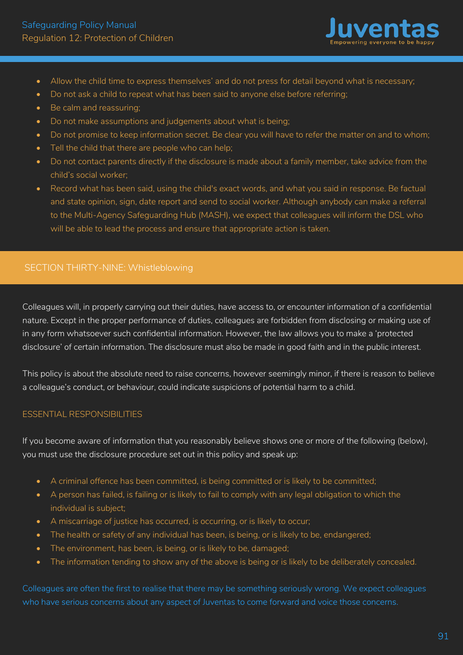

- Allow the child time to express themselves' and do not press for detail beyond what is necessary;
- Do not ask a child to repeat what has been said to anyone else before referring;
- Be calm and reassuring;
- Do not make assumptions and judgements about what is being;
- Do not promise to keep information secret. Be clear you will have to refer the matter on and to whom;
- Tell the child that there are people who can help;
- Do not contact parents directly if the disclosure is made about a family member, take advice from the child's social worker;
- Record what has been said, using the child's exact words, and what you said in response. Be factual and state opinion, sign, date report and send to social worker. Although anybody can make a referral to the Multi-Agency Safeguarding Hub (MASH), we expect that colleagues will inform the DSL who will be able to lead the process and ensure that appropriate action is taken.

# SECTION THIRTY-NINE: Whistleblowing

Colleagues will, in properly carrying out their duties, have access to, or encounter information of a confidential nature. Except in the proper performance of duties, colleagues are forbidden from disclosing or making use of in any form whatsoever such confidential information. However, the law allows you to make a 'protected disclosure' of certain information. The disclosure must also be made in good faith and in the public interest.

This policy is about the absolute need to raise concerns, however seemingly minor, if there is reason to believe a colleague's conduct, or behaviour, could indicate suspicions of potential harm to a child.

# ESSENTIAL RESPONSIBILITIES

If you become aware of information that you reasonably believe shows one or more of the following (below), you must use the disclosure procedure set out in this policy and speak up:

- A criminal offence has been committed, is being committed or is likely to be committed;
- A person has failed, is failing or is likely to fail to comply with any legal obligation to which the individual is subject;
- A miscarriage of justice has occurred, is occurring, or is likely to occur;
- The health or safety of any individual has been, is being, or is likely to be, endangered;
- The environment, has been, is being, or is likely to be, damaged;
- The information tending to show any of the above is being or is likely to be deliberately concealed.

Colleagues are often the first to realise that there may be something seriously wrong. We expect colleagues who have serious concerns about any aspect of Juventas to come forward and voice those concerns.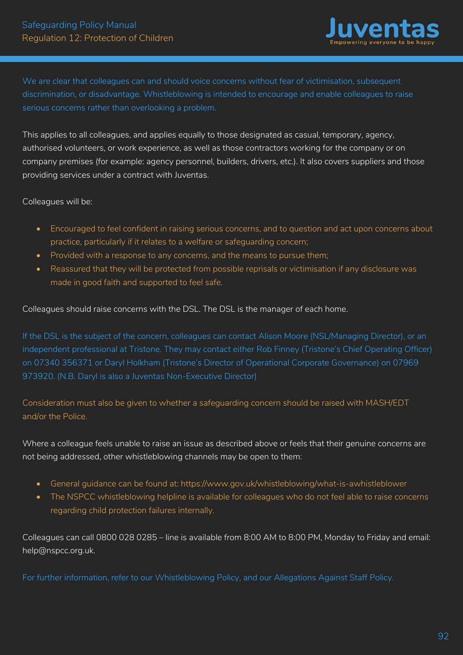

We are clear that colleagues can and should voice concerns without fear of victimisation, subsequent discrimination, or disadvantage. Whistleblowing is intended to encourage and enable colleagues to raise serious concerns rather than overlooking a problem.

This applies to all colleagues, and applies equally to those designated as casual, temporary, agency, authorised volunteers, or work experience, as well as those contractors working for the company or on company premises (for example: agency personnel, builders, drivers, etc.). It also covers suppliers and those providing services under a contract with Juventas.

Colleagues will be:

- Encouraged to feel confident in raising serious concerns, and to question and act upon concerns about practice, particularly if it relates to a welfare or safeguarding concern;
- Provided with a response to any concerns, and the means to pursue them;
- Reassured that they will be protected from possible reprisals or victimisation if any disclosure was made in good faith and supported to feel safe.

Colleagues should raise concerns with the DSL. The DSL is the manager of each home.

If the DSL is the subject of the concern, colleagues can contact Alison Moore (NSL/Managing Director), or an independent professional at Tristone. They may contact either Rob Finney (Tristone's Chief Operating Officer) on 07340 356371 or Daryl Holkham (Tristone's Director of Operational Corporate Governance) on 07969 973920. (N.B. Daryl is also a Juventas Non-Executive Director)

Consideration must also be given to whether a safeguarding concern should be raised with MASH/EDT and/or the Police.

Where a colleague feels unable to raise an issue as described above or feels that their genuine concerns are not being addressed, other whistleblowing channels may be open to them:

- General guidance can be found at: https://www.gov.uk/whistleblowing/what-is-awhistleblower
- The NSPCC whistleblowing helpline is available for colleagues who do not feel able to raise concerns regarding child protection failures internally.

Colleagues can call 0800 028 0285 – line is available from 8:00 AM to 8:00 PM, Monday to Friday and email: help@nspcc.org.uk.

For further information, refer to our Whistleblowing Policy, and our Allegations Against Staff Policy.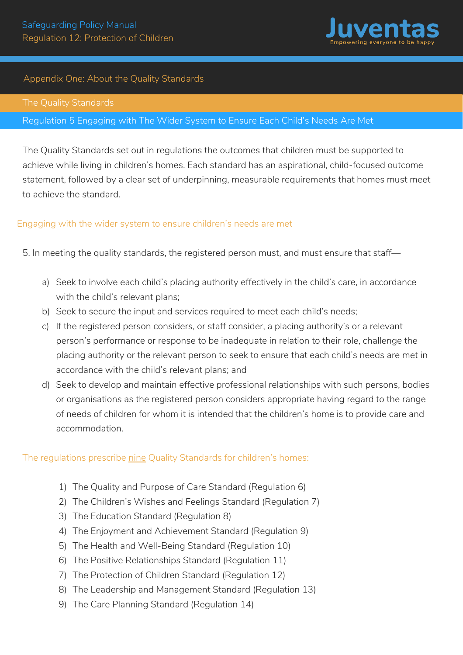

# Appendix One: About the Quality Standards

### Regulation 5 Engaging with The Wider System to Ensure Each Child's Needs Are Met

The Quality Standards set out in regulations the outcomes that children must be supported to achieve while living in children's homes. Each standard has an aspirational, child-focused outcome statement, followed by a clear set of underpinning, measurable requirements that homes must meet to achieve the standard.

### Engaging with the wider system to ensure children's needs are met

5. In meeting the quality standards, the registered person must, and must ensure that staff—

- a) Seek to involve each child's placing authority effectively in the child's care, in accordance with the child's relevant plans:
- b) Seek to secure the input and services required to meet each child's needs;
- c) If the registered person considers, or staff consider, a placing authority's or a relevant person's performance or response to be inadequate in relation to their role, challenge the placing authority or the relevant person to seek to ensure that each child's needs are met in accordance with the child's relevant plans; and
- d) Seek to develop and maintain effective professional relationships with such persons, bodies or organisations as the registered person considers appropriate having regard to the range of needs of children for whom it is intended that the children's home is to provide care and accommodation.

### The regulations prescribe nine Quality Standards for children's homes:

- 1) The Quality and Purpose of Care Standard (Regulation 6)
- 2) The Children's Wishes and Feelings Standard (Regulation 7)
- 3) The Education Standard (Regulation 8)
- 4) The Enjoyment and Achievement Standard (Regulation 9)
- 5) The Health and Well-Being Standard (Regulation 10)
- 6) The Positive Relationships Standard (Regulation 11)
- 7) The Protection of Children Standard (Regulation 12)
- 8) The Leadership and Management Standard (Regulation 13)
- 9) The Care Planning Standard (Regulation 14)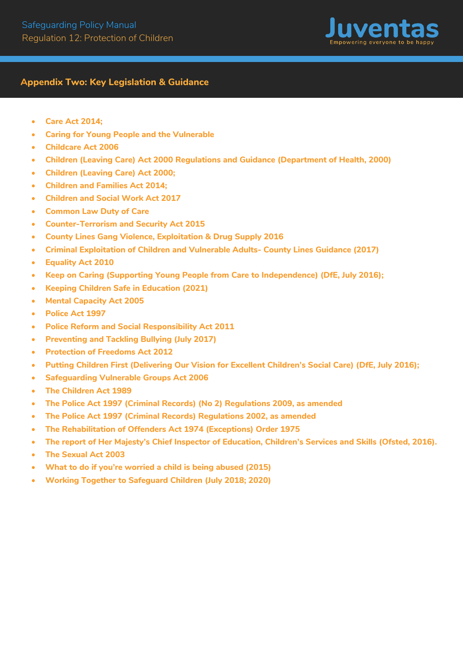

## **Appendix Two: Key Legislation & Guidance**

- **Care Act 2014;**
- **Caring for Young People and the Vulnerable**
- **Childcare Act 2006**
- **Children (Leaving Care) Act 2000 Regulations and Guidance (Department of Health, 2000)**
- **Children (Leaving Care) Act 2000;**
- **Children and Families Act 2014;**
- **Children and Social Work Act 2017**
- **Common Law Duty of Care**
- **Counter-Terrorism and Security Act 2015**
- **County Lines Gang Violence, Exploitation & Drug Supply 2016**
- **Criminal Exploitation of Children and Vulnerable Adults- County Lines Guidance (2017)**
- **Equality Act 2010**
- **Keep on Caring (Supporting Young People from Care to Independence) (DfE, July 2016);**
- **Keeping Children Safe in Education (2021)**
- **Mental Capacity Act 2005**
- **Police Act 1997**
- **Police Reform and Social Responsibility Act 2011**
- **Preventing and Tackling Bullying (July 2017)**
- **Protection of Freedoms Act 2012**
- **Putting Children First (Delivering Our Vision for Excellent Children's Social Care) (DfE, July 2016);**
- **Safeguarding Vulnerable Groups Act 2006**
- **The Children Act 1989**
- **The Police Act 1997 (Criminal Records) (No 2) Regulations 2009, as amended**
- **The Police Act 1997 (Criminal Records) Regulations 2002, as amended**
- **The Rehabilitation of Offenders Act 1974 (Exceptions) Order 1975**
- **The report of Her Majesty's Chief Inspector of Education, Children's Services and Skills (Ofsted, 2016).**
- **The Sexual Act 2003**
- **What to do if you're worried a child is being abused (2015)**
- **Working Together to Safeguard Children (July 2018; 2020)**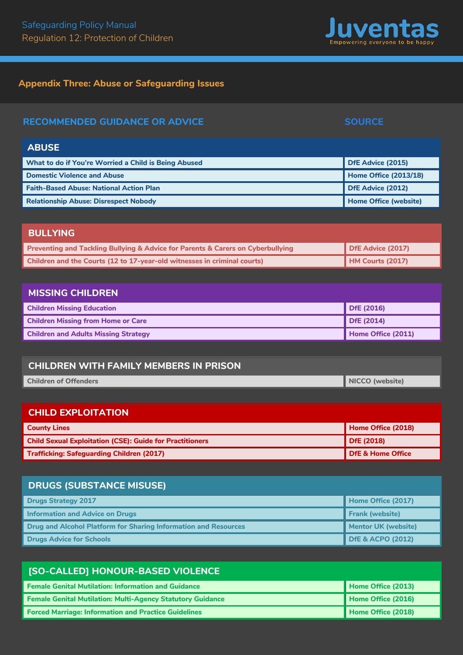# **Ap pendix Three: Abuse or Safeguarding Issues**

| <b>RECOMMENDED GUIDANCE OR ADVICE</b>                                                          | <b>SOURCE</b>                |
|------------------------------------------------------------------------------------------------|------------------------------|
| <b>ABUSE</b>                                                                                   |                              |
| What to do if You're Worried a Child is Being Abused                                           | DfE Advice (2015)            |
| <b>Domestic Violence and Abuse</b>                                                             | <b>Home Office (2013/18)</b> |
| <b>Faith-Based Abuse: National Action Plan</b>                                                 | <b>DfE Advice (2012)</b>     |
| <b>Relationship Abuse: Disrespect Nobody</b>                                                   | <b>Home Office (website)</b> |
|                                                                                                |                              |
| <b>BULLYING</b>                                                                                |                              |
| <b>Preventing and Tackling Bullying &amp; Advice for Parents &amp; Carers on Cyberbullying</b> | DfE Advice (2017)            |

| <b>Preventing and Tackling Bullying &amp; Advice for Parents &amp; Carers on Cyberbullying</b> | $\blacksquare$ DfE Advice (2017) |
|------------------------------------------------------------------------------------------------|----------------------------------|
| Children and the Courts (12 to 17-year-old witnesses in criminal courts)                       | HM Courts (2017)                 |
|                                                                                                |                                  |

| <b>MISSING CHILDREN</b>                     |                    |
|---------------------------------------------|--------------------|
| <b>Children Missing Education</b>           | $\vert$ DfE (2016) |
| <b>Children Missing from Home or Care</b>   | $\vert$ DfE (2014) |
| <b>Children and Adults Missing Strategy</b> | Home Office (2011) |

# **CHILDREN WITH FAMILY MEMBERS IN PRISON**

| <b>Children of Offenders</b> | NICCO (website) |
|------------------------------|-----------------|
|                              |                 |

# **CHILD EXPLOITATION**

| <b>County Lines</b>                                             | Home Office (2018) |
|-----------------------------------------------------------------|--------------------|
| <b>Child Sexual Exploitation (CSE): Guide for Practitioners</b> | DfE (2018)         |
| <b>Trafficking: Safeguarding Children (2017)</b>                | DfE & Home Office  |

# **DRUGS (SUBSTANCE MISUSE)**

| <b>Drugs Strategy 2017</b>                                             | Home Office (2017)           |
|------------------------------------------------------------------------|------------------------------|
| <b>Information and Advice on Drugs</b>                                 | <b>Frank (website)</b>       |
| <b>Drug and Alcohol Platform for Sharing Information and Resources</b> | Mentor UK (website)          |
| <b>Drugs Advice for Schools</b>                                        | <b>DfE &amp; ACPO (2012)</b> |

| [SO-CALLED] HONOUR-BASED VIOLENCE                                 |                    |  |
|-------------------------------------------------------------------|--------------------|--|
| <b>Female Genital Mutilation: Information and Guidance</b>        | Home Office (2013) |  |
| <b>Female Genital Mutilation: Multi-Agency Statutory Guidance</b> | Home Office (2016) |  |
| <b>Forced Marriage: Information and Practice Guidelines</b>       | Home Office (2018) |  |

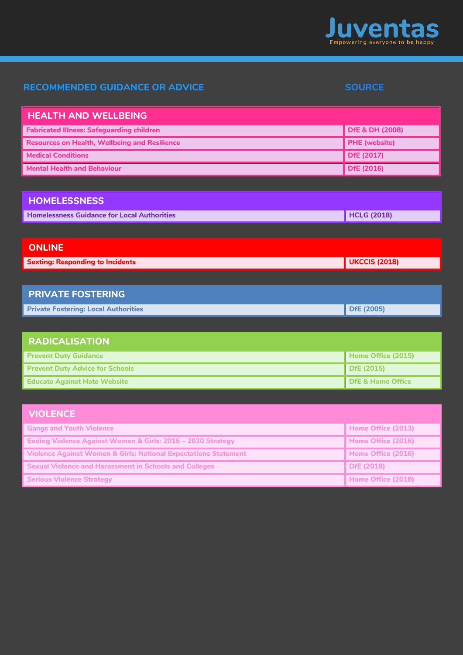

# **RECOMMENDED GUIDANCE OR ADVICE SOURCE SOURCE**

| <b>HEALTH AND WELLBEING</b>                                                |                              |
|----------------------------------------------------------------------------|------------------------------|
| <b>Fabricated Illness: Safeguarding children</b>                           | <b>DfE &amp; DH (2008)</b>   |
| <b>Resources on Health, Wellbeing and Resilience</b>                       | <b>PHE</b> (website)         |
| <b>Medical Conditions</b>                                                  | <b>DfE (2017)</b>            |
| <b>Mental Health and Behaviour</b>                                         | <b>DfE (2016)</b>            |
|                                                                            |                              |
| <b>HOMELESSNESS</b>                                                        |                              |
| <b>Homelessness Guidance for Local Authorities</b>                         | <b>HCLG (2018)</b>           |
|                                                                            |                              |
| <b>ONLINE</b>                                                              |                              |
| <b>Sexting: Responding to Incidents</b>                                    | <b>UKCCIS (2018)</b>         |
|                                                                            |                              |
| <b>PRIVATE FOSTERING</b>                                                   |                              |
| <b>Private Fostering: Local Authorities</b>                                | <b>DfE (2005)</b>            |
|                                                                            |                              |
| <b>RADICALISATION</b>                                                      |                              |
| <b>Prevent Duty Guidance</b>                                               | Home Office (2015)           |
| <b>Prevent Duty Advice for Schools</b>                                     | <b>DfE (2015)</b>            |
| <b>Educate Against Hate Website</b>                                        | <b>DfE &amp; Home Office</b> |
|                                                                            |                              |
| <b>VIOLENCE</b>                                                            |                              |
| <b>Gangs and Youth Violence</b>                                            | Home Office (2013)           |
| Ending Violence Against Women & Girls: 2016 - 2020 Strategy                | Home Office (2016)           |
| <b>Violence Against Women &amp; Girls: National Expectations Statement</b> | Home Office (2016)           |
| <b>Sexual Violence and Harassment in Schools and Colleges</b>              | <b>DfE (2018)</b>            |
| <b>Serious Violence Strategy</b>                                           | Home Office (2018)           |